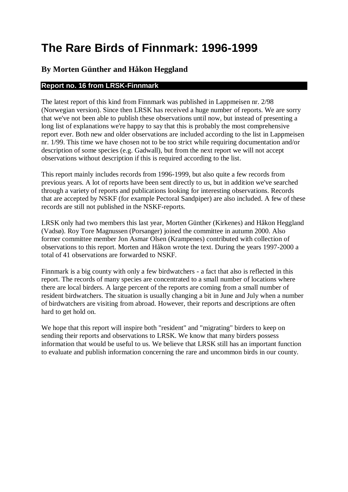# **The Rare Birds of Finnmark: 1996-1999**

# **By Morten Günther and Håkon Heggland**

# **Report no. 16 from LRSK-Finnmark**

The latest report of this kind from Finnmark was published in Lappmeisen nr. 2/98 (Norwegian version). Since then LRSK has received a huge number of reports. We are sorry that we've not been able to publish these observations until now, but instead of presenting a long list of explanations we're happy to say that this is probably the most comprehensive report ever. Both new and older observations are included according to the list in Lappmeisen nr. 1/99. This time we have chosen not to be too strict while requiring documentation and/or description of some species (e.g. Gadwall), but from the next report we will not accept observations without description if this is required according to the list.

This report mainly includes records from 1996-1999, but also quite a few records from previous years. A lot of reports have been sent directly to us, but in addition we've searched through a variety of reports and publications looking for interesting observations. Records that are accepted by NSKF (for example Pectoral Sandpiper) are also included. A few of these records are still not published in the NSKF-reports.

LRSK only had two members this last year, Morten Günther (Kirkenes) and Håkon Heggland (Vadsø). Roy Tore Magnussen (Porsanger) joined the committee in autumn 2000. Also former committee member Jon Asmar Olsen (Krampenes) contributed with collection of observations to this report. Morten and Håkon wrote the text. During the years 1997-2000 a total of 41 observations are forwarded to NSKF.

Finnmark is a big county with only a few birdwatchers - a fact that also is reflected in this report. The records of many species are concentrated to a small number of locations where there are local birders. A large percent of the reports are coming from a small number of resident birdwatchers. The situation is usually changing a bit in June and July when a number of birdwatchers are visiting from abroad. However, their reports and descriptions are often hard to get hold on.

We hope that this report will inspire both "resident" and "migrating" birders to keep on sending their reports and observations to LRSK. We know that many birders possess information that would be useful to us. We believe that LRSK still has an important function to evaluate and publish information concerning the rare and uncommon birds in our county.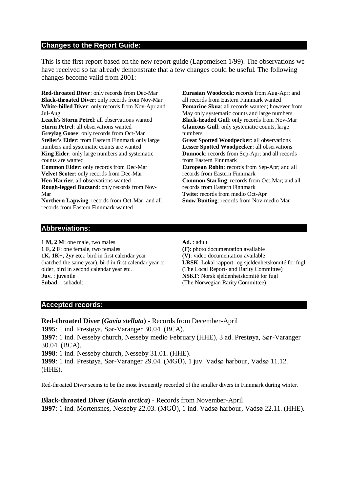### **Changes to the Report Guide:**

This is the first report based on the new report guide (Lappmeisen 1/99). The observations we have received so far already demonstrate that a few changes could be useful. The following changes become valid from 2001:

**Red-throated Diver**: only records from Dec-Mar **Black-throated Diver**: only records from Nov-Mar **White-billed Diver**: only records from Nov-Apr and Jul-Aug

**Leach's Storm Petrel**: all observations wanted **Storm Petrel**: all observations wanted **Greylag Goose**: only records from Oct-Mar **Steller's Eider**: from Eastern Finnmark only large numbers and systematic counts are wanted **King Eider**: only large numbers and systematic counts are wanted

**Common Eider**: only records from Dec-Mar **Velvet Scoter**: only records from Dec-Mar **Hen Harrier**. all observations wanted **Rough-legged Buzzard**: only records from Nov-Mar

**Northern Lapwing**: records from Oct-Mar; and all records from Eastern Finnmark wanted

**Eurasian Woodcock**: records from Aug-Apr; and all records from Eastern Finnmark wanted **Pomarine Skua**: all records wanted; however from May only systematic counts and large numbers **Black-headed Gull**: only records from Nov-Mar **Glaucous Gull**: only systematic counts, large numbers **Great Spotted Woodpecker**: all observations **Lesser Spotted Woodpecker**: all observations

**Dunnock**: records from Sep-Apr; and all records from Eastern Finnmark **European Robin**: records from Sep-Apr; and all

records from Eastern Finnmark **Common Starling**: records from Oct-Mar; and all records from Eastern Finnmark **Twite**: records from medio Oct-Apr **Snow Bunting**: records from Nov-medio Mar

#### **Abbreviations:**

**1 M, 2 M**: one male, two males **1 F, 2 F**: one female, two females **1K, 1K+, 2yr etc.**: bird in first calendar year (hatched the same year), bird in first calendar year or older, bird in second calendar year etc. **Juv.** : juvenile **Subad.** : subadult

**Ad.** : adult

**(F)**: photo documentation available **(V)**: video documentation available **LRSK**: Lokal rapport- og sjeldenhetskomité for fugl (The Local Report- and Rarity Committee) **NSKF**: Norsk sjeldenhetskomité for fugl (The Norwegian Rarity Committee)

#### **Accepted records:**

**Red-throated Diver (***Gavia stellata***)** - Records from December-April

**1995**: 1 ind. Prestøya, Sør-Varanger 30.04. (BCA).

**1997**: 1 ind. Nesseby church, Nesseby medio February (HHE), 3 ad. Prestøya, Sør-Varanger 30.04. (BCA).

**1998**: 1 ind. Nesseby church, Nesseby 31.01. (HHE).

**1999**: 1 ind. Prestøya, Sør-Varanger 29.04. (MGÜ), 1 juv. Vadsø harbour, Vadsø 11.12. (HHE).

Red-throated Diver seems to be the most frequently recorded of the smaller divers in Finnmark during winter.

**Black-throated Diver (***Gavia arctica***)** - Records from November-April **1997**: 1 ind. Mortensnes, Nesseby 22.03. (MGÜ), 1 ind. Vadsø harbour, Vadsø 22.11. (HHE).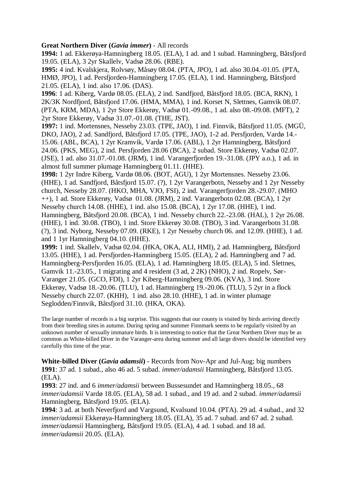# **Great Northern Diver (***Gavia immer***)** - All records

**1994:** 1 ad. Ekkerøya-Hamningberg 18.05. (ELA), 1 ad. and 1 subad. Hamningberg, Båtsfjord 19.05. (ELA), 3 2yr Skallelv, Vadsø 28.06. (RBE).

**1995:** 4 ind. Kvalskjera, Rolvsøy, Måsøy 08.04. (PTA, JPO), 1 ad. also 30.04.-01.05. (PTA, HMØ, JPO), 1 ad. Persfjorden-Hamningberg 17.05. (ELA), 1 ind. Hamningberg, Båtsfjord 21.05. (ELA), 1 ind. also 17.06. (DAS).

**1996**: 1 ad. Kiberg, Vardø 08.05. (ELA), 2 ind. Sandfjord, Båtsfjord 18.05. (BCA, RKN), 1 2K/3K Nordfjord, Båtsfjord 17.06. (HMA, MMA), 1 ind. Korset N, Slettnes, Gamvik 08.07. (PTA, KRM, MDA), 1 2yr Store Ekkerøy, Vadsø 01.-09.08., 1 ad. also 08.-09.08. (MFT), 2 2yr Store Ekkerøy, Vadsø 31.07.-01.08. (THE, JST).

**1997:** 1 ind. Mortensnes, Nesseby 23.03. (TPE, JAO), 1 ind. Finnvik, Båtsfjord 11.05. (MGÜ, DKO, JAO), 2 ad. Sandfjord, Båtsfjord 17.05. (TPE, JAO), 1-2 ad. Persfjorden, Vardø 14.- 15.06. (ABL, BCA), 1 2yr Kramvik, Vardø 17.06. (ABL), 1 2yr Hamningberg, Båtsfjord 24.06. (PKS, MEG), 2 ind. Persfjorden 28.06 (BCA), 2 subad. Store Ekkerøy, Vadsø 02.07. (JSE), 1 ad. also 31.07.-01.08. (JRM), 1 ind. Varangerfjorden 19.-31.08. (JPY a.o.), 1 ad. in almost full summer plumage Hamningberg 01.11. (HHE).

**1998:** 1 2yr Indre Kiberg, Vardø 08.06. (BOT, AGU), 1 2yr Mortensnes. Nesseby 23.06. (HHE), 1 ad. Sandfjord, Båtsfjord 15.07. (?), 1 2yr Varangerbotn, Nesseby and 1 2yr Nesseby church, Nesseby 28.07. (HKO, MHA, VJO, FSI), 2 ind. Varangerfjorden 28.-29.07. (MHO ++), 1 ad. Store Ekkerøy, Vadsø 01.08. (JRM), 2 ind. Varangerbotn 02.08. (BCA), 1 2yr Nesseby church 14.08. (HHE), 1 ind. also 15.08. (BCA), 1 2yr 17.08. (HHE), 1 ind. Hamningberg, Båtsfjord 20.08. (BCA), 1 ind. Nesseby church 22.-23.08. (HAL), 1 2yr 26.08. (HHE), 1 ind. 30.08. (TBO), 1 ind. Store Ekkerøy 30.08. (TBO), 3 ind. Varangerbotn 31.08. (?), 3 ind. Nyborg, Nesseby 07.09. (RKE), 1 2yr Nesseby church 06. and 12.09. (HHE), 1 ad. and 1 1yr Hamningberg 04.10. (HHE).

**1999:** 1 ind. Skallelv, Vadsø 02.04. (HKA, OKA, ALI, HMI), 2 ad. Hamningberg, Båtsfjord 13.05. (HHE), 1 ad. Persfjorden-Hamningberg 15.05. (ELA), 2 ad. Hamningberg and 7 ad. Hamningberg-Persfjorden 16.05. (ELA), 1 ad. Hamningberg 18.05. (ELA), 5 ind. Slettnes, Gamvik 11.-23.05., 1 migrating and 4 resident (3 ad, 2 2K) (NHO), 2 ind. Ropelv, Sør-Varanger 21.05. (GCO, FDI), 1 2yr Kiberg-Hamningberg 09.06. (KVA), 3 ind. Store Ekkerøy, Vadsø 18.-20.06. (TLU), 1 ad. Hamningberg 19.-20.06. (TLU), 5 2yr in a flock Nesseby church 22.07. (KHH), 1 ind. also 28.10. (HHE), 1 ad. in winter plumage Seglodden/Finnvik, Båtsfjord 31.10. (HKA, OKA).

The large number of records is a big surprise. This suggests that our county is visited by birds arriving directly from their breeding sites in autumn. During spring and summer Finnmark seems to be regularly visited by an unknown number of sexually immature birds. It is interesting to notice that the Great Northern Diver may be as common as White-billed Diver in the Varanger-area during summer and all large divers should be identified very carefully this time of the year.

**White-billed Diver (***Gavia adamsii***)** - Records from Nov-Apr and Jul-Aug; big numbers **1991**: 37 ad. 1 subad., also 46 ad. 5 subad. *immer/adamsii* Hamningberg, Båtsfjord 13.05. (ELA).

**1993**: 27 ind. and 6 *immer/adamsii* between Bussesundet and Hamningberg 18.05., 68 *immer/adamsii* Vardø 18.05. (ELA), 58 ad. 1 subad., and 19 ad. and 2 subad. *immer/adamsii* Hamningberg, Båtsfjord 19.05. (ELA).

**1994**: 3 ad. at both Neverfjord and Vargsund, Kvalsund 10.04. (PTA). 29 ad. 4 subad., and 32 *immer/adamsii* Ekkerøya-Hamningberg 18.05. (ELA), 35 ad. 7 subad. and 67 ad. 2 subad. *immer/adamsii* Hamningberg, Båtsfjord 19.05. (ELA), 4 ad. 1 subad. and 18 ad. *immer/adamsii* 20.05. (ELA).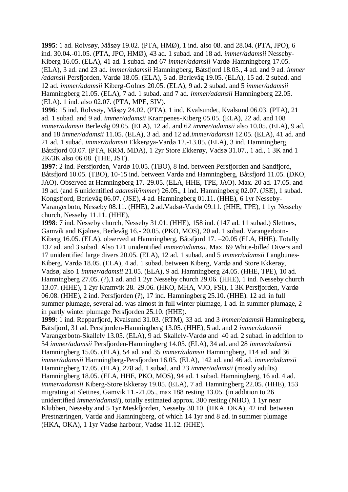**1995**: 1 ad. Rolvsøy, Måsøy 19.02. (PTA, HMØ), 1 ind. also 08. and 28.04. (PTA, JPO), 6 ind. 30.04.-01.05. (PTA, JPO, HMØ), 43 ad. 1 subad. and 18 ad. *immer/adamsii* Nesseby-Kiberg 16.05. (ELA), 41 ad. 1 subad. and 67 *immer/adamsii* Vardø-Hamningberg 17.05. (ELA), 3 ad. and 23 ad. *immer/adamsii* Hamningberg, Båtsfjord 18.05., 4 ad. and 9 ad. *immer /adamsii* Persfjorden, Vardø 18.05. (ELA), 5 ad. Berlevåg 19.05. (ELA), 15 ad. 2 subad. and 12 ad. *immer/adamsii* Kiberg-Golnes 20.05. (ELA), 9 ad. 2 subad. and 5 *immer/adamsii* Hamningberg 21.05. (ELA), 7 ad. 1 subad. and 7 ad. *immer/adamsii* Hamningberg 22.05. (ELA). 1 ind. also 02.07. (PTA, MPE, SIV).

**1996**: 15 ind. Rolvsøy, Måsøy 24.02. (PTA), 1 ind. Kvalsundet, Kvalsund 06.03. (PTA), 21 ad. 1 subad. and 9 ad. *immer/adamsii* Krampenes-Kiberg 05.05. (ELA), 22 ad. and 108 *immer/adamsii* Berlevåg 09.05. (ELA), 12 ad. and 62 *immer/adamsii* also 10.05. (ELA), 9 ad. and 18 *immer/adamsii* 11.05. (ELA), 3 ad. and 12 ad.*immer/adamsii* 12.05. (ELA), 41 ad. and 21 ad. 1 subad. *immer/adamsii* Ekkerøya-Vardø 12.-13.05. (ELA), 3 ind. Hamningberg, Båtsfjord 03.07. (PTA, KRM, MDA), 1 2yr Store Ekkerøy, Vadsø 31.07., 1 ad., 1 3K and 1 2K/3K also 06.08. (THE, JST).

**1997**: 2 ind. Persfjorden, Vardø 10.05. (TBO), 8 ind. between Persfjorden and Sandfjord, Båtsfjord 10.05. (TBO), 10-15 ind. between Vardø and Hamningberg, Båtsfjord 11.05. (DKO, JAO). Observed at Hamningberg 17.-29.05. (ELA, HHE, TPE, JAO). Max. 20 ad. 17.05. and 19 ad. (and 6 unidentified *adamsii/immer*) 26.05., 1 ind. Hamningberg 02.07. (JSE), 1 subad. Kongsfjord, Berlevåg 06.07. (JSE), 4 ad. Hamningberg 01.11. (HHE), 6 1yr Nesseby-Varangerbotn, Nesseby 08.11. (HHE), 2 ad.Vadsø-Vardø 09.11. (HHE, TPE), 1 1yr Nesseby church, Nesseby 11.11. (HHE),

**1998**: 7 ind. Nesseby church, Nesseby 31.01. (HHE), 158 ind. (147 ad. 11 subad.) Slettnes, Gamvik and Kjølnes, Berlevåg 16.- 20.05. (PKO, MOS), 20 ad. 1 subad. Varangerbotn-Kiberg 16.05. (ELA), observed at Hamningberg, Båtsfjord 17. –20.05 (ELA, HHE). Totally 137 ad. and 3 subad. Also 121 unidentified *immer/adamsii*. Max. 69 White-billed Divers and 17 unidentified large divers 20.05. (ELA), 12 ad. 1 subad. and 5 *immer/adamsii* Langbunes-Kiberg, Vardø 18.05. (ELA), 4 ad. 1 subad. between Kiberg, Vardø and Store Ekkerøy, Vadsø, also 1 *immer/adamsii* 21.05. (ELA), 9 ad. Hamningberg 24.05. (HHE, TPE), 10 ad. Hamningberg 27.05. (?),1 ad. and 1 2yr Nesseby church 29.06. (HHE), 1 ind. Nesseby church 13.07. (HHE), 1 2yr Kramvik 28.-29.06. (HKO, MHA, VJO, FSI), 1 3K Persfjorden, Vardø 06.08. (HHE), 2 ind. Persfjorden (?), 17 ind. Hamningberg 25.10. (HHE). 12 ad. in full summer plumage, several ad. was almost in full winter plumage, 1 ad. in summer plumage, 2 in partly winter plumage Persfjorden 25.10. (HHE).

**1999**: 1 ind. Repparfjord, Kvalsund 31.03. (RTM), 33 ad. and 3 *immer/adamsii* Hamningberg, Båtsfjord, 31 ad. Persfjorden-Hamningberg 13.05. (HHE), 5 ad. and 2 *immer/adamsii* Varangerbotn-Skallelv 13.05. (ELA), 9 ad. Skallelv-Vardø and 40 ad. 2 subad. in addition to 54 *immer/adamsii* Persfjorden-Hamningberg 14.05. (ELA), 34 ad. and 28 *immer/adamsii* Hamningberg 15.05. (ELA), 54 ad. and 35 *immer/adamsii* Hamningberg, 114 ad. and 36 *immer/adamsii* Hamningberg-Persfjorden 16.05. (ELA), 142 ad. and 46 ad. *immer/adamsii* Hamningberg 17.05. (ELA), 278 ad. 1 subad. and 23 *immer/adamsii* (mostly adults) Hamningberg 18.05. (ELA, HHE, PKO, MOS), 94 ad. 1 subad. Hamningberg, 16 ad. 4 ad. *immer/adamsii* Kiberg-Store Ekkerøy 19.05. (ELA), 7 ad. Hamningberg 22.05. (HHE), 153 migrating at Slettnes, Gamvik 11.-21.05., max 188 resting 13.05. (in addition to 26 unidentified *immer/adamsii*), totally estimated approx. 300 resting (NHO), 1 1yr near Klubben, Nesseby and 5 1yr Meskfjorden, Nesseby 30.10. (HKA, OKA), 42 ind. between Prestnæringen, Vardø and Hamningberg, of which 14 1yr and 8 ad. in summer plumage (HKA, OKA), 1 1yr Vadsø harbour, Vadsø 11.12. (HHE).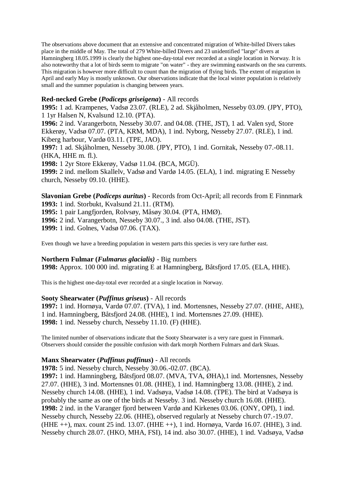The observations above document that an extensive and concentrated migration of White-billed Divers takes place in the middle of May. The total of 279 White-billed Divers and 23 unidentified "large" divers at Hamningberg 18.05.1999 is clearly the highest one-day-total ever recorded at a single location in Norway. It is also noteworthy that a lot of birds seem to migrate "on water" - they are swimming eastwards on the sea currents. This migration is however more difficult to count than the migration of flying birds. The extent of migration in April and early May is mostly unknown. Our observations indicate that the local winter population is relatively small and the summer population is changing between years.

# **Red-necked Grebe (***Podiceps griseigena***)** - All records

**1995:** 1 ad. Krampenes, Vadsø 23.07. (RLE), 2 ad. Skjåholmen, Nesseby 03.09. (JPY, PTO), 1 1yr Halsen N, Kvalsund 12.10. (PTA).

**1996:** 2 ind. Varangerbotn, Nesseby 30.07. and 04.08. (THE, JST), 1 ad. Valen syd, Store Ekkerøy, Vadsø 07.07. (PTA, KRM, MDA), 1 ind. Nyborg, Nesseby 27.07. (RLE), 1 ind. Kiberg harbour, Vardø 03.11. (TPE, JAO).

**1997:** 1 ad. Skjåholmen, Nesseby 30.08. (JPY, PTO), 1 ind. Gornitak, Nesseby 07.-08.11. (HKA, HHE m. fl.).

**1998:** 1 2yr Store Ekkerøy, Vadsø 11.04. (BCA, MGÜ).

**1999:** 2 ind. mellom Skallelv, Vadsø and Vardø 14.05. (ELA), 1 ind. migrating E Nesseby church, Nesseby 09.10. (HHE).

**Slavonian Grebe (***Podiceps auritus***)** - Records from Oct-April; all records from E Finnmark **1993:** 1 ind. Storbukt, Kvalsund 21.11. (RTM).

**1995:** 1 pair Langfjorden, Rolvsøy, Måsøy 30.04. (PTA, HMØ).

**1996:** 2 ind. Varangerbotn, Nesseby 30.07., 3 ind. also 04.08. (THE, JST).

**1999:** 1 ind. Golnes, Vadsø 07.06. (TAX).

Even though we have a breeding population in western parts this species is very rare further east.

#### **Northern Fulmar (***Fulmarus glacialis)* - Big numbers

**1998:** Approx. 100 000 ind. migrating E at Hamningberg, Båtsfjord 17.05. (ELA, HHE).

This is the highest one-day-total ever recorded at a single location in Norway.

# **Sooty Shearwater (***Puffinus griseus***)** - All records

**1997:** 1 ind. Hornøya, Vardø 07.07. (TVA), 1 ind. Mortensnes, Nesseby 27.07. (HHE, AHE), 1 ind. Hamningberg, Båtsfjord 24.08. (HHE), 1 ind. Mortensnes 27.09. (HHE). **1998:** 1 ind. Nesseby church, Nesseby 11.10. (F) (HHE).

The limited number of observations indicate that the Sooty Shearwater is a very rare guest in Finnmark. Observers should consider the possible confusion with dark morph Northern Fulmars and dark Skuas.

# **Manx Shearwater (***Puffinus puffinus***)** - All records

**1978:** 5 ind. Nesseby church, Nesseby 30.06.-02.07. (BCA).

**1997:** 1 ind. Hamningberg, Båtsfjord 08.07. (MVA, TVA, ØHA),1 ind. Mortensnes, Nesseby 27.07. (HHE), 3 ind. Mortensnes 01.08. (HHE), 1 ind. Hamningberg 13.08. (HHE), 2 ind. Nesseby church 14.08. (HHE), 1 ind. Vadsøya, Vadsø 14.08. (TPE). The bird at Vadsøya is probably the same as one of the birds at Nesseby. 3 ind. Nesseby church 16.08. (HHE). **1998:** 2 ind. in the Varanger fjord between Vardø and Kirkenes 03.06. (ONY, OPI), 1 ind. Nesseby church, Nesseby 22.06. (HHE), observed regularly at Nesseby church 07.-19.07. (HHE ++), max. count 25 ind. 13.07. (HHE ++), 1 ind. Hornøya, Vardø 16.07. (HHE), 3 ind. Nesseby church 28.07. (HKO, MHA, FSI), 14 ind. also 30.07. (HHE), 1 ind. Vadsøya, Vadsø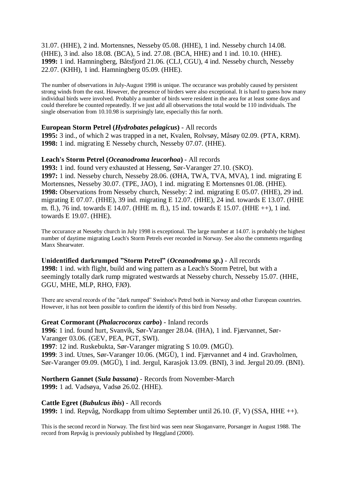31.07. (HHE), 2 ind. Mortensnes, Nesseby 05.08. (HHE), 1 ind. Nesseby church 14.08. (HHE), 3 ind. also 18.08. (BCA), 5 ind. 27.08. (BCA, HHE) and 1 ind. 10.10. (HHE). **1999:** 1 ind. Hamningberg, Båtsfjord 21.06. (CLJ, CGU), 4 ind. Nesseby church, Nesseby 22.07. (KHH), 1 ind. Hamningberg 05.09. (HHE).

The number of observations in July-August 1998 is unique. The occurance was probably caused by persistent strong winds from the east. However, the presence of birders were also exceptional. It is hard to guess how many individual birds were involved. Probably a number of birds were resident in the area for at least some days and could therefore be counted repeatedly. If we just add all observations the total would be 110 individuals. The single observation from 10.10.98 is surprisingly late, especially this far north.

# **European Storm Petrel (***Hydrobates pelagicus***)** - All records

**1995:** 3 ind., of which 2 was trapped in a net, Kvalen, Rolvsøy, Måsøy 02.09. (PTA, KRM). **1998:** 1 ind. migrating E Nesseby church, Nesseby 07.07. (HHE).

# **Leach's Storm Petrel (***Oceanodroma leucorhoa***)** - All records

**1993:** 1 ind. found very exhausted at Hesseng, Sør-Varanger 27.10. (SKO). **1997:** 1 ind. Nesseby church, Nesseby 28.06. (ØHA, TWA, TVA, MVA), 1 ind. migrating E Mortensnes, Nesseby 30.07. (TPE, JAO), 1 ind. migrating E Mortensnes 01.08. (HHE). **1998:** Observations from Nesseby church, Nesseby: 2 ind. migrating E 05.07. (HHE), 29 ind. migrating E 07.07. (HHE), 39 ind. migrating E 12.07. (HHE), 24 ind. towards E 13.07. (HHE m. fl.), 76 ind. towards E 14.07. (HHE m. fl.), 15 ind. towards E 15.07. (HHE ++), 1 ind. towards E 19.07. (HHE).

The occurance at Nesseby church in July 1998 is exceptional. The large number at 14.07. is probably the highest number of daytime migrating Leach's Storm Petrels ever recorded in Norway. See also the comments regarding Manx Shearwater.

# **Unidentified darkrumped "Storm Petrel" (***Oceanodroma sp***.)** - All records

**1998:** 1 ind. with flight, build and wing pattern as a Leach's Storm Petrel, but with a seemingly totally dark rump migrated westwards at Nesseby church, Nesseby 15.07. (HHE, GGU, MHE, MLP, RHO, FJØ).

There are several records of the "dark rumped" Swinhoe's Petrel both in Norway and other European countries. However, it has not been possible to confirm the identify of this bird from Nesseby.

# **Great Cormorant (***Phalacrocorax carbo***)** - Inland records

**1996**: 1 ind. found hurt, Svanvik, Sør-Varanger 28.04. (IHA), 1 ind. Fjærvannet, Sør-Varanger 03.06. (GEV, PEA, PGT, SWI).

**1997**: 12 ind. Ruskebukta, Sør-Varanger migrating S 10.09. (MGÜ).

**1999**: 3 ind. Utnes, Sør-Varanger 10.06. (MGÜ), 1 ind. Fjærvannet and 4 ind. Gravholmen, Sør-Varanger 09.09. (MGÜ), 1 ind. Jergul, Karasjok 13.09. (BNI), 3 ind. Jergul 20.09. (BNI).

**Northern Gannet (***Sula bassana***)** - Records from November-March **1999:** 1 ad. Vadsøya, Vadsø 26.02. (HHE).

# **Cattle Egret (***Bubulcus ibis***)** - All records

**1999:** 1 ind. Repvåg, Nordkapp from ultimo September until 26.10. (F, V) (SSA, HHE ++).

This is the second record in Norway. The first bird was seen near Skoganvarre, Porsanger in August 1988. The record from Repvåg is previously published by Heggland (2000).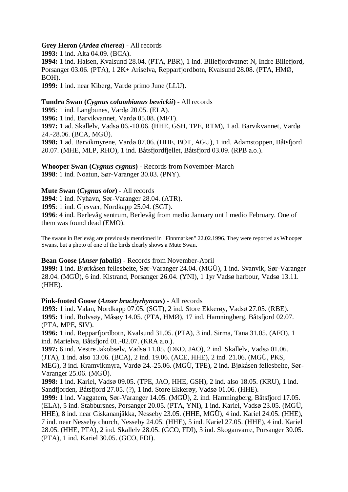# **Grey Heron (***Ardea cinerea***)** - All records

**1993:** 1 ind. Alta 04.09. (BCA). **1994:** 1 ind. Halsen, Kvalsund 28.04. (PTA, PBR), 1 ind. Billefjordvatnet N, Indre Billefjord, Porsanger 03.06. (PTA), 1 2K+ Ariselva, Repparfjordbotn, Kvalsund 28.08. (PTA, HMØ, BOH). **1999:** 1 ind. near Kiberg, Vardø primo June (LLU).

# **Tundra Swan (***Cygnus columbianus bewickii***)** - All records

**1995**: 1 ind. Langbunes, Vardø 20.05. (ELA).

**1996:** 1 ind. Barvikvannet, Vardø 05.08. (MFT).

**1997:** 1 ad. Skallelv, Vadsø 06.-10.06. (HHE, GSH, TPE, RTM), 1 ad. Barvikvannet, Vardø 24.-28.06. (BCA, MGÜ).

**1998:** 1 ad. Barvikmyrene, Vardø 07.06. (HHE, BOT, AGU), 1 ind. Adamstoppen, Båtsfjord 20.07. (MHE, MLP, RHO), 1 ind. Båtsfjordfjellet, Båtsfjord 03.09. (RPB a.o.).

**Whooper Swan (***Cygnus cygnus***)** - Records from November-March **1998**: 1 ind. Noatun, Sør-Varanger 30.03. (PNY).

#### **Mute Swan (***Cygnus olor***)** - All records

**1994**: 1 ind. Nyhavn, Sør-Varanger 28.04. (ATR).

**1995**: 1 ind. Gjesvær, Nordkapp 25.04. (SGT).

**1996**: 4 ind. Berlevåg sentrum, Berlevåg from medio January until medio February. One of them was found dead (EMO).

The swans in Berlevåg are previously mentioned in "Finnmarken" 22.02.1996. They were reported as Whooper Swans, but a photo of one of the birds clearly shows a Mute Swan.

# **Bean Goose (***Anser fabalis***)** - Records from November-April

**1999:** 1 ind. Bjørkåsen fellesbeite, Sør-Varanger 24.04. (MGÜ), 1 ind. Svanvik, Sør-Varanger 28.04. (MGÜ), 6 ind. Kistrand, Porsanger 26.04. (YNI), 1 1yr Vadsø harbour, Vadsø 13.11. (HHE).

# **Pink-footed Goose (***Anser brachyrhyncus***)** - All records

**1993:** 1 ind. Valan, Nordkapp 07.05. (SGT), 2 ind. Store Ekkerøy, Vadsø 27.05. (RBE). **1995:** 1 ind. Rolvsøy, Måsøy 14.05. (PTA, HMØ), 17 ind. Hamningberg, Båtsfjord 02.07. (PTA, MPE, SIV).

**1996:** 1 ind. Repparfjordbotn, Kvalsund 31.05. (PTA), 3 ind. Sirma, Tana 31.05. (AFO), 1 ind. Marielva, Båtsfjord 01.-02.07. (KRA a.o.).

**1997:** 6 ind. Vestre Jakobselv, Vadsø 11.05. (DKO, JAO), 2 ind. Skallelv, Vadsø 01.06. (JTA), 1 ind. also 13.06. (BCA), 2 ind. 19.06. (ACE, HHE), 2 ind. 21.06. (MGÜ, PKS, MEG), 3 ind. Kramvikmyra, Vardø 24.-25.06. (MGÜ, TPE), 2 ind. Bjøkåsen fellesbeite, Sør-Varanger 25.06. (MGÜ).

**1998:** 1 ind. Kariel, Vadsø 09.05. (TPE, JAO, HHE, GSH), 2 ind. also 18.05. (KRU), 1 ind. Sandfjorden, Båtsfjord 27.05. (?), 1 ind. Store Ekkerøy, Vadsø 01.06. (HHE).

**1999:** 1 ind. Vaggatem, Sør-Varanger 14.05. (MGÜ), 2. ind. Hamningberg, Båtsfjord 17.05. (ELA), 5 ind. Stabbursnes, Porsanger 20.05. (PTA, YNI), 1 ind. Kariel, Vadsø 23.05. (MGÜ, HHE), 8 ind. near Giskananjåkka, Nesseby 23.05. (HHE, MGÜ), 4 ind. Kariel 24.05. (HHE), 7 ind. near Nesseby church, Nesseby 24.05. (HHE), 5 ind. Kariel 27.05. (HHE), 4 ind. Kariel 28.05. (HHE, PTA), 2 ind. Skallelv 28.05. (GCO, FDI), 3 ind. Skoganvarre, Porsanger 30.05. (PTA), 1 ind. Kariel 30.05. (GCO, FDI).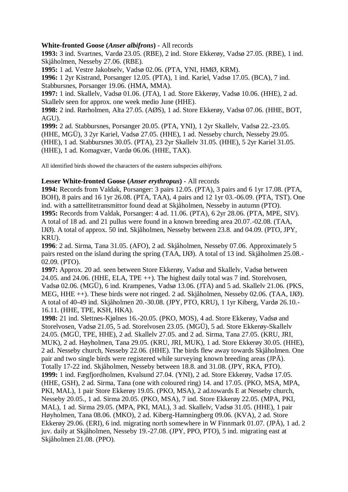# **White-fronted Goose (***Anser albifrons***)** - All records

**1993:** 3 ind. Svartnes, Vardø 23.05. (RBE), 2 ind. Store Ekkerøy, Vadsø 27.05. (RBE), 1 ind. Skjåholmen, Nesseby 27.06. (RBE).

**1995:** 1 ad. Vestre Jakobselv, Vadsø 02.06. (PTA, YNI, HMØ, KRM).

**1996:** 1 2yr Kistrand, Porsanger 12.05. (PTA), 1 ind. Kariel, Vadsø 17.05. (BCA), 7 ind. Stabbursnes, Porsanger 19.06. (HMA, MMA).

**1997:** 1 ind. Skallelv, Vadsø 01.06. (JTA), 1 ad. Store Ekkerøy, Vadsø 10.06. (HHE), 2 ad. Skallelv seen for approx. one week medio June (HHE).

**1998:** 2 ind. Rørholmen, Alta 27.05. (AØS), 1 ad. Store Ekkerøy, Vadsø 07.06. (HHE, BOT, AGU).

**1999:** 2 ad. Stabbursnes, Porsanger 20.05. (PTA, YNI), 1 2yr Skallelv, Vadsø 22.-23.05. (HHE, MGÜ), 3 2yr Kariel, Vadsø 27.05. (HHE), 1 ad. Nesseby church, Nesseby 29.05. (HHE), 1 ad. Stabbursnes 30.05. (PTA), 23 2yr Skallelv 31.05. (HHE), 5 2yr Kariel 31.05. (HHE), 1 ad. Komagvær, Vardø 06.06. (HHE, TAX).

All identified birds showed the characters of the eastern subspecies *albifrons.*

# **Lesser White-fronted Goose (***Anser erythropus***)** - All records

**1994:** Records from Valdak, Porsanger: 3 pairs 12.05. (PTA), 3 pairs and 6 1yr 17.08. (PTA, BOH), 8 pairs and 16 1yr 26.08. (PTA, TAA), 4 pairs and 12 1yr 03.-06.09. (PTA, TST). One ind. with a sattellitetransmittor found dead at Skjåholmen, Nesseby in autumn (PTO). **1995:** Records from Valdak, Porsanger: 4 ad. 11.06. (PTA), 6 2yr 28.06. (PTA, MPE, SIV). A total of 18 ad. and 21 pullus were found in a known breeding area 20.07.-02.08. (TAA, IJØ). A total of approx. 50 ind. Skjåholmen, Nesseby between 23.8. and 04.09. (PTO, JPY, KRU).

**1996**: 2 ad. Sirma, Tana 31.05. (AFO), 2 ad. Skjåholmen, Nesseby 07.06. Approximately 5 pairs rested on the island during the spring (TAA, IJØ). A total of 13 ind. Skjåholmen 25.08.- 02.09. (PTO).

**1997:** Approx. 20 ad. seen between Store Ekkerøy, Vadsø and Skallelv, Vadsø between 24.05. and 24.06. (HHE, ELA, TPE ++). The highest daily total was 7 ind. Storelvosen, Vadsø 02.06. (MGÜ), 6 ind. Krampenes, Vadsø 13.06. (JTA) and 5 ad. Skallelv 21.06. (PKS, MEG, HHE ++). These birds were not ringed. 2 ad. Skjåholmen, Nesseby 02.06. (TAA, IJØ). A total of 40-49 ind. Skjåholmen 20.-30.08. (JPY, PTO, KRU), 1 1yr Kiberg, Vardø 26.10.- 16.11. (HHE, TPE, KSH, HKA).

**1998:** 21 ind. Slettnes-Kjølnes 16.-20.05. (PKO, MOS), 4 ad. Store Ekkerøy, Vadsø and Storelvosen, Vadsø 21.05, 5 ad. Storelvosen 23.05. (MGÜ), 5 ad. Store Ekkerøy-Skallelv 24.05. (MGÜ, TPE, HHE), 2 ad. Skallelv 27.05. and 2 ad. Sirma, Tana 27.05. (KRU, JRI, MUK), 2 ad. Høyholmen, Tana 29.05. (KRU, JRI, MUK), 1 ad. Store Ekkerøy 30.05. (HHE), 2 ad. Nesseby church, Nesseby 22.06. (HHE). The birds flew away towards Skjåholmen. One pair and two single birds were registered while surveying known breeding areas (JPÄ). Totally 17-22 ind. Skjåholmen, Nesseby between 18.8. and 31.08. (JPY, RKA, PTO). **1999:** 1 ind. Fægfjordholmen, Kvalsund 27.04. (YNI), 2 ad. Store Ekkerøy, Vadsø 17.05. (HHE, GSH), 2 ad. Sirma, Tana (one with coloured ring) 14. and 17.05. (PKO, MSA, MPA, PKI, MAL), 1 pair Store Ekkerøy 19.05. (PKO, MSA), 2 ad.towards E at Nesseby church, Nesseby 20.05., 1 ad. Sirma 20.05. (PKO, MSA), 7 ind. Store Ekkerøy 22.05. (MPA, PKI, MAL), 1 ad. Sirma 29.05. (MPA, PKI, MAL), 3 ad. Skallelv, Vadsø 31.05. (HHE), 1 pair Høyholmen, Tana 08.06. (MKO), 2 ad. Kiberg-Hamningberg 09.06. (KVA), 2 ad. Store Ekkerøy 29.06. (ERI), 6 ind. migrating north somewhere in W Finnmark 01.07. (JPÄ), 1 ad. 2 juv. daily at Skjåholmen, Nesseby 19.-27.08. (JPY, PPO, PTO), 5 ind. migrating east at Skjåholmen 21.08. (PPO).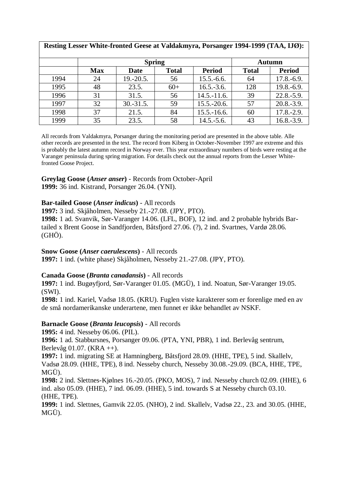| Resting Lesser White-fronted Geese at Valdakmyra, Porsanger 1994-1999 (TAA, IJØ): |               |             |              |                 |               |                |
|-----------------------------------------------------------------------------------|---------------|-------------|--------------|-----------------|---------------|----------------|
|                                                                                   | <b>Spring</b> |             |              |                 | <b>Autumn</b> |                |
|                                                                                   | <b>Max</b>    | Date        | <b>Total</b> | <b>Period</b>   | <b>Total</b>  | <b>Period</b>  |
| 1994                                                                              | 24            | $19.-20.5.$ | 56           | $15.5.-6.6.$    | 64            | $17.8.-6.9.$   |
| 1995                                                                              | 48            | 23.5.       | $60+$        | $16.5.-3.6.$    | 128           | $19.8 - 6.9$ . |
| 1996                                                                              | 31            | 31.5.       | 56           | $14.5 - 11.6$ . | 39            | $22.8 - 5.9$ . |
| 1997                                                                              | 32            | $30.-31.5.$ | 59           | $15.5 - 20.6$ . | 57            | $20.8 - 3.9$ . |
| 1998                                                                              | 37            | 21.5.       | 84           | $15.5 - 16.6$ . | 60            | $17.8 - 2.9.$  |
| 1999                                                                              | 35            | 23.5.       | 58           | $14.5.-5.6.$    | 43            | $16.8.-3.9.$   |

All records from Valdakmyra, Porsanger during the monitoring period are presented in the above table. Alle other records are presented in the text. The record from Kiberg in October-November 1997 are extreme and this is probably the latest autumn record in Norway ever. This year extraordinary numbers of birds were resting at the Varanger peninsula during spring migration. For details check out the annual reports from the Lesser Whitefronted Goose Project.

# **Greylag Goose (***Anser anser***)** - Records from October-April

**1999:** 36 ind. Kistrand, Porsanger 26.04. (YNI).

# **Bar-tailed Goose (***Anser indicus***)** - All records

**1997:** 3 ind. Skjåholmen, Nesseby 21.-27.08. (JPY, PTO).

**1998:** 1 ad. Svanvik, Sør-Varanger 14.06. (LFL, BOF), 12 ind. and 2 probable hybrids Bartailed x Brent Goose in Sandfjorden, Båtsfjord 27.06. (?), 2 ind. Svartnes, Vardø 28.06. (GHÖ).

# **Snow Goose (***Anser caerulescens***)** - All records

**1997:** 1 ind. (white phase) Skjåholmen, Nesseby 21.-27.08. (JPY, PTO).

# **Canada Goose (***Branta canadansis***)** - All records

**1997:** 1 ind. Bugøyfjord, Sør-Varanger 01.05. (MGÜ), 1 ind. Noatun, Sør-Varanger 19.05. (SWI).

**1998:** 1 ind. Kariel, Vadsø 18.05. (KRU). Fuglen viste karakterer som er forenlige med en av de små nordamerikanske underartene, men funnet er ikke behandlet av NSKF.

# **Barnacle Goose (***Branta leucopsis***)** - All records

**1995:** 4 ind. Nesseby 06.06. (PIL).

**1996:** 1 ad. Stabbursnes, Porsanger 09.06. (PTA, YNI, PBR), 1 ind. Berlevåg sentrum, Berlevåg 01.07. (KRA ++).

**1997:** 1 ind. migrating SE at Hamningberg, Båtsfjord 28.09. (HHE, TPE), 5 ind. Skallelv, Vadsø 28.09. (HHE, TPE), 8 ind. Nesseby church, Nesseby 30.08.-29.09. (BCA, HHE, TPE, MGÜ).

**1998:** 2 ind. Slettnes-Kjølnes 16.-20.05. (PKO, MOS), 7 ind. Nesseby church 02.09. (HHE), 6 ind. also 05.09. (HHE), 7 ind. 06.09. (HHE), 5 ind. towards S at Nesseby church 03.10. (HHE, TPE).

**1999:** 1 ind. Slettnes, Gamvik 22.05. (NHO), 2 ind. Skallelv, Vadsø 22., 23. and 30.05. (HHE, MGÜ).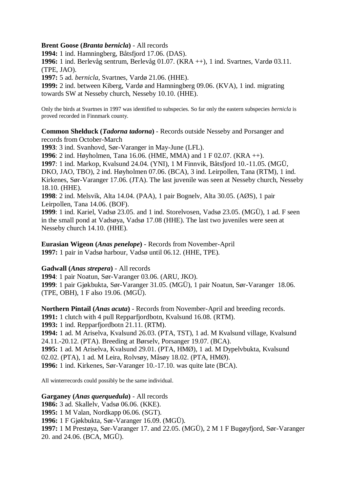# **Brent Goose (***Branta bernicla***)** - All records

**1994:** 1 ind. Hamningberg, Båtsfjord 17.06. (DAS).

**1996:** 1 ind. Berlevåg sentrum, Berlevåg 01.07. (KRA ++), 1 ind. Svartnes, Vardø 03.11. (TPE, JAO).

**1997:** 5 ad. *bernicla*, Svartnes, Vardø 21.06. (HHE).

**1999:** 2 ind. between Kiberg, Vardø and Hamningberg 09.06. (KVA), 1 ind. migrating towards SW at Nesseby church, Nesseby 10.10. (HHE).

Only the birds at Svartnes in 1997 was identified to subspecies. So far only the eastern subspecies *bernicla* is proved recorded in Finnmark county.

**Common Shelduck (***Tadorna tadorna***)** - Records outside Nesseby and Porsanger and records from October-March

**1993**: 3 ind. Svanhovd, Sør-Varanger in May-June (LFL).

**1996**: 2 ind. Høyholmen, Tana 16.06. (HME, MMA) and 1 F 02.07. (KRA ++). **1997**: 1 ind. Markop, Kvalsund 24.04. (YNI), 1 M Finnvik, Båtsfjord 10.-11.05. (MGÜ,

DKO, JAO, TBO), 2 ind. Høyholmen 07.06. (BCA), 3 ind. Leirpollen, Tana (RTM), 1 ind. Kirkenes, Sør-Varanger 17.06. (JTA). The last juvenile was seen at Nesseby church, Nesseby 18.10. (HHE).

**1998**: 2 ind. Melsvik, Alta 14.04. (PAA), 1 pair Bognelv, Alta 30.05. (AØS), 1 pair Leirpollen, Tana 14.06. (BOF).

**1999**: 1 ind. Kariel, Vadsø 23.05. and 1 ind. Storelvosen, Vadsø 23.05. (MGÜ), 1 ad. F seen in the small pond at Vadsøya, Vadsø 17.08 (HHE). The last two juveniles were seen at Nesseby church 14.10. (HHE).

**Eurasian Wigeon (***Anas penelope***)** - Records from November-April **1997:** 1 pair in Vadsø harbour, Vadsø until 06.12. (HHE, TPE).

# **Gadwall (***Anas strepera***)** - All records

**1994**: 1 pair Noatun, Sør-Varanger 03.06. (ARU, JKO).

**1999**: 1 pair Gjøkbukta, Sør-Varanger 31.05. (MGÜ), 1 pair Noatun, Sør-Varanger 18.06. (TPE, OBH), 1 F also 19.06. (MGÜ).

**Northern Pintail (***Anas acuta***)** - Records from November-April and breeding records. **1991:** 1 clutch with 4 pull Repparfjordbotn, Kvalsund 16.08. (RTM). **1993:** 1 ind. Repparfjordbotn 21.11. (RTM). **1994:** 1 ad. M Ariselva, Kvalsund 26.03. (PTA, TST), 1 ad. M Kvalsund village, Kvalsund 24.11.-20.12. (PTA). Breeding at Børselv, Porsanger 19.07. (BCA). **1995:** 1 ad. M Ariselva, Kvalsund 29.01. (PTA, HMØ), 1 ad. M Dypelvbukta, Kvalsund

02.02. (PTA), 1 ad. M Leira, Rolvsøy, Måsøy 18.02. (PTA, HMØ).

**1996:** 1 ind. Kirkenes, Sør-Varanger 10.-17.10. was quite late (BCA).

All winterrecords could possibly be the same individual.

# **Garganey (***Anas querquedula***)** - All records

**1986:** 3 ad. Skallelv, Vadsø 06.06. (KKE). **1995:** 1 M Valan, Nordkapp 06.06. (SGT). **1996:** 1 F Gjøkbukta, Sør-Varanger 16.09. (MGÜ). **1997:** 1 M Prestøya, Sør-Varanger 17. and 22.05. (MGÜ), 2 M 1 F Bugøyfjord, Sør-Varanger 20. and 24.06. (BCA, MGÜ).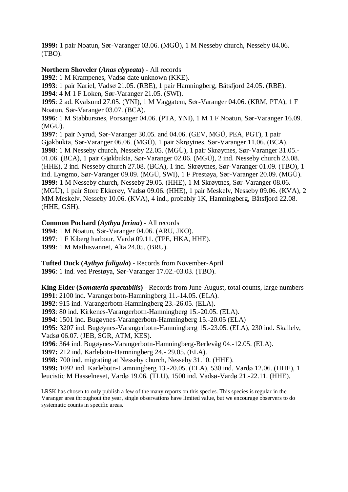**1999:** 1 pair Noatun, Sør-Varanger 03.06. (MGÜ), 1 M Nesseby church, Nesseby 04.06. (TBO).

# **Northern Shoveler (***Anas clypeata***)** - All records

**1992**: 1 M Krampenes, Vadsø date unknown (KKE).

**1993**: 1 pair Kariel, Vadsø 21.05. (RBE), 1 pair Hamningberg, Båtsfjord 24.05. (RBE).

**1994**: 4 M 1 F Loken, Sør-Varanger 21.05. (SWI).

**1995**: 2 ad. Kvalsund 27.05. (YNI), 1 M Vaggatem, Sør-Varanger 04.06. (KRM, PTA), 1 F Noatun, Sør-Varanger 03.07. (BCA).

**1996**: 1 M Stabbursnes, Porsanger 04.06. (PTA, YNI), 1 M 1 F Noatun, Sør-Varanger 16.09. (MGÜ).

**1997**: 1 pair Nyrud, Sør-Varanger 30.05. and 04.06. (GEV, MGÜ, PEA, PGT), 1 pair Gjøkbukta, Sør-Varanger 06.06. (MGÜ), 1 pair Skrøytnes, Sør-Varanger 11.06. (BCA). **1998**: 1 M Nesseby church, Nesseby 22.05. (MGÜ), 1 pair Skrøytnes, Sør-Varanger 31.05.- 01.06. (BCA), 1 pair Gjøkbukta, Sør-Varanger 02.06. (MGÜ), 2 ind. Nesseby church 23.08. (HHE), 2 ind. Nesseby church 27.08. (BCA), 1 ind. Skrøytnes, Sør-Varanger 01.09. (TBO), 1 ind. Lyngmo, Sør-Varanger 09.09. (MGÜ, SWI), 1 F Prestøya, Sør-Varanger 20.09. (MGÜ). **1999:** 1 M Nesseby church, Nesseby 29.05. (HHE), 1 M Skrøytnes, Sør-Varanger 08.06. (MGÜ), 1 pair Store Ekkerøy, Vadsø 09.06. (HHE), 1 pair Meskelv, Nesseby 09.06. (KVA), 2 MM Meskelv, Nesseby 10.06. (KVA), 4 ind., probably 1K, Hamningberg, Båtsfjord 22.08. (HHE, GSH).

# **Common Pochard (***Aythya ferina***)** - All records

**1994**: 1 M Noatun, Sør-Varanger 04.06. (ARU, JKO). **1997**: 1 F Kiberg harbour, Vardø 09.11. (TPE, HKA, HHE). **1999**: 1 M Mathisvannet, Alta 24.05. (BRU).

**Tufted Duck (***Aythya fuligula***)** - Records from November-April **1996**: 1 ind. ved Prestøya, Sør-Varanger 17.02.-03.03. (TBO).

**King Eider (***Somateria spactabilis***)** - Records from June-August, total counts, large numbers **1991**: 2100 ind. Varangerbotn-Hamningberg 11.-14.05. (ELA). **1992**: 915 ind. Varangerbotn-Hamningberg 23.-26.05. (ELA). **1993**: 80 ind. Kirkenes-Varangerbotn-Hamningberg 15.-20.05. (ELA). **1994**: 1501 ind. Bugøynes-Varangerbotn-Hamningberg 15.-20.05 (ELA) **1995:** 3207 ind. Bugøynes-Varangerbotn-Hamningberg 15.-23.05. (ELA), 230 ind. Skallelv, Vadsø 06.07. (JEB, SGR, ATM, KES). **1996**: 364 ind. Bugøynes-Varangerbotn-Hamningberg-Berlevåg 04.-12.05. (ELA). **1997:** 212 ind. Karlebotn-Hamningberg 24.- 29.05. (ELA). **1998:** 700 ind. migrating at Nesseby church, Nesseby 31.10. (HHE). **1999:** 1092 ind. Karlebotn-Hamningberg 13.-20.05. (ELA), 530 ind. Vardø 12.06. (HHE), 1

leucistic M Hasselneset, Vardø 19.06. (TLU), 1500 ind. Vadsø-Vardø 21.-22.11. (HHE).

LRSK has chosen to only publish a few of the many reports on this species. This species is regular in the Varanger area throughout the year, single observations have limited value, but we encourage observers to do systematic counts in specific areas.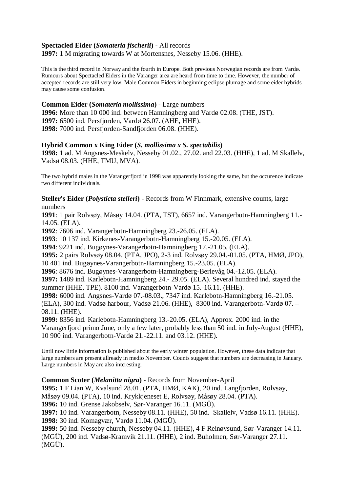# **Spectacled Eider (***Somateria fischerii***)** - All records

**1997:** 1 M migrating towards W at Mortensnes, Nesseby 15.06. (HHE).

This is the third record in Norway and the fourth in Europe. Both previous Norwegian records are from Vardø. Rumours about Spectacled Eiders in the Varanger area are heard from time to time. However, the number of accepted records are still very low. Male Common Eiders in beginning eclipse plumage and some eider hybrids may cause some confusion.

# **Common Eider (***Somateria mollissima***)** - Large numbers

**1996:** More than 10 000 ind. between Hamningberg and Vardø 02.08. (THE, JST). **1997:** 6500 ind. Persfjorden, Vardø 26.07. (AHE, HHE). **1998:** 7000 ind. Persfjorden-Sandfjorden 06.08. (HHE).

# **Hybrid Common x King Eider (***S. mollissima x S. spectabilis***)**

**1998:** 1 ad. M Angsnes-Meskelv, Nesseby 01.02., 27.02. and 22.03. (HHE), 1 ad. M Skallelv, Vadsø 08.03. (HHE, TMU, MVA).

The two hybrid males in the Varangerfjord in 1998 was apparently looking the same, but the occurence indicate two different individuals.

# **Steller's Eider (***Polysticta stelleri***)** - Records from W Finnmark, extensive counts, large numbers

**1991**: 1 pair Rolvsøy, Måsøy 14.04. (PTA, TST), 6657 ind. Varangerbotn-Hamningberg 11.- 14.05. (ELA).

**1992**: 7606 ind. Varangerbotn-Hamningberg 23.-26.05. (ELA).

**1993**: 10 137 ind. Kirkenes-Varangerbotn-Hamningberg 15.-20.05. (ELA).

**1994**: 9221 ind. Bugøynes-Varangerbotn-Hamningberg 17.-21.05. (ELA).

**1995:** 2 pairs Rolvsøy 08.04. (PTA, JPO), 2-3 ind. Rolvsøy 29.04.-01.05. (PTA, HMØ, JPO), 10 401 ind. Bugøynes-Varangerbotn-Hamningberg 15.-23.05. (ELA).

**1996**: 8676 ind. Bugøynes-Varangerbotn-Hamningberg-Berlevåg 04.-12.05. (ELA).

**1997:** 1489 ind. Karlebotn-Hamningberg 24.- 29.05. (ELA). Several hundred ind. stayed the summer (HHE, TPE). 8100 ind. Varangerbotn-Vardø 15.-16.11. (HHE).

**1998:** 6000 ind. Angsnes-Vardø 07.-08.03., 7347 ind. Karlebotn-Hamningberg 16.-21.05. (ELA), 300 ind. Vadsø harbour, Vadsø 21.06. (HHE), 8300 ind. Varangerbotn-Vardø 07. – 08.11. (HHE).

**1999:** 8356 ind. Karlebotn-Hamningberg 13.-20.05. (ELA), Approx. 2000 ind. in the Varangerfjord primo June, only a few later, probably less than 50 ind. in July-August (HHE), 10 900 ind. Varangerbotn-Vardø 21.-22.11. and 03.12. (HHE).

Until now little information is published about the early winter population. However, these data indicate that large numbers are present allready in medio November. Counts suggest that numbers are decreasing in January. Large numbers in May are also interesting.

# **Common Scoter (***Melanitta nigra***)** - Records from November-April

**1995:** 1 F Lian W, Kvalsund 28.01. (PTA, HMØ, KAK), 20 ind. Langfjorden, Rolvsøy,

Måsøy 09.04. (PTA), 10 ind. Krykkjeneset E, Rolvsøy, Måsøy 28.04. (PTA).

**1996:** 10 ind. Grense Jakobselv, Sør-Varanger 16.11. (MGÜ).

**1997:** 10 ind. Varangerbotn, Nesseby 08.11. (HHE), 50 ind. Skallelv, Vadsø 16.11. (HHE). **1998:** 30 ind. Komagvær, Vardø 11.04. (MGÜ).

**1999:** 50 ind. Nesseby church, Nesseby 04.11. (HHE), 4 F Reinøysund, Sør-Varanger 14.11. (MGÜ), 200 ind. Vadsø-Kramvik 21.11. (HHE), 2 ind. Buholmen, Sør-Varanger 27.11. (MGÜ).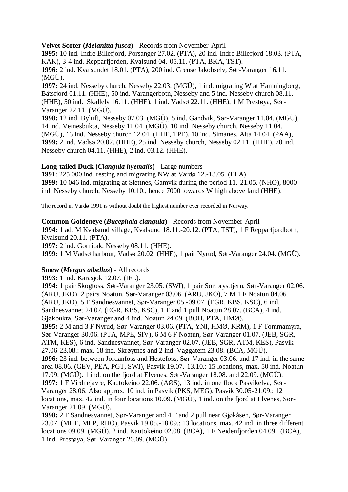# **Velvet Scoter (***Melanitta fusca***)** - Records from November-April

**1995:** 10 ind. Indre Billefjord, Porsanger 27.02. (PTA), 20 ind. Indre Billefjord 18.03. (PTA, KAK), 3-4 ind. Repparfjorden, Kvalsund 04.-05.11. (PTA, BKA, TST). **1996:** 2 ind. Kvalsundet 18.01. (PTA), 200 ind. Grense Jakobselv, Sør-Varanger 16.11. (MGÜ).

**1997:** 24 ind. Nesseby church, Nesseby 22.03. (MGÜ), 1 ind. migrating W at Hamningberg, Båtsfjord 01.11. (HHE), 50 ind. Varangerbotn, Nesseby and 5 ind. Nesseby church 08.11. (HHE), 50 ind. Skallelv 16.11. (HHE), 1 ind. Vadsø 22.11. (HHE), 1 M Prestøya, Sør-Varanger 22.11. (MGÜ).

**1998:** 12 ind. Byluft, Nesseby 07.03. (MGÜ), 5 ind. Gandvik, Sør-Varanger 11.04. (MGÜ), 14 ind. Veinesbukta, Nesseby 11.04. (MGÜ), 10 ind. Nesseby church, Nesseby 11.04. (MGÜ), 13 ind. Nesseby church 12.04. (HHE, TPE), 10 ind. Simanes, Alta 14.04. (PAA), **1999:** 2 ind. Vadsø 20.02. (HHE), 25 ind. Nesseby church, Nesseby 02.11. (HHE), 70 ind. Nesseby church 04.11. (HHE), 2 ind. 03.12. (HHE).

# **Long-tailed Duck (***Clangula hyemalis***)** - Large numbers

**1991**: 225 000 ind. resting and migrating NW at Vardø 12.-13.05. (ELA). **1999:** 10 046 ind. migrating at Slettnes, Gamvik during the period 11.-21.05. (NHO), 8000 ind. Nesseby church, Nesseby 10.10., hence 7000 towards W high above land (HHE).

The record in Vardø 1991 is without doubt the highest number ever recorded in Norway.

### **Common Goldeneye (***Bucephala clangula***)** - Records from November-April

**1994:** 1 ad. M Kvalsund village, Kvalsund 18.11.-20.12. (PTA, TST), 1 F Repparfjordbotn, Kvalsund 20.11. (PTA).

**1997:** 2 ind. Gornitak, Nesseby 08.11. (HHE).

**1999:** 1 M Vadsø harbour, Vadsø 20.02. (HHE), 1 pair Nyrud, Sør-Varanger 24.04. (MGÜ).

# **Smew (***Mergus albellus***)** - All records

**1993:** 1 ind. Karasjok 12.07. (IFL).

**1994:** 1 pair Skogfoss, Sør-Varanger 23.05. (SWI), 1 pair Sortbrysttjern, Sør-Varanger 02.06. (ARU, JKO), 2 pairs Noatun, Sør-Varanger 03.06. (ARU, JKO), 7 M 1 F Noatun 04.06. (ARU, JKO), 5 F Sandnesvannet, Sør-Varanger 05.-09.07. (EGR, KBS, KSC), 6 ind. Sandnesvannet 24.07. (EGR, KBS, KSC), 1 F and 1 pull Noatun 28.07. (BCA), 4 ind. Gjøkbukta, Sør-Varanger and 4 ind. Noatun 24.09. (BOH, PTA, HMØ). **1995:** 2 M and 3 F Nyrud, Sør-Varanger 03.06. (PTA, YNI, HMØ, KRM), 1 F Tommamyra, Sør-Varanger 30.06. (PTA, MPE, SIV), 6 M 6 F Noatun, Sør-Varanger 01.07. (JEB, SGR, ATM, KES), 6 ind. Sandnesvannet, Sør-Varanger 02.07. (JEB, SGR, ATM, KES), Pasvik 27.06-23.08.: max. 18 ind. Skrøytnes and 2 ind. Vaggatem 23.08. (BCA, MGÜ). **1996:** 23 ind. between Jordanfoss and Hestefoss, Sør-Varanger 03.06. and 17 ind. in the same area 08.06. (GEV, PEA, PGT, SWI), Pasvik 19.07.-13.10.: 15 locations, max. 50 ind. Noatun 17.09. (MGÜ). 1 ind. on the fjord at Elvenes, Sør-Varanger 18.08. and 22.09. (MGÜ). **1997:** 1 F Virdnejavre, Kautokeino 22.06. (AØS), 13 ind. in one flock Pasvikelva, Sør-Varanger 28.06. Also approx. 10 ind. in Pasvik (PKS, MEG), Pasvik 30.05-21.09.: 12 locations, max. 42 ind. in four locations 10.09. (MGÜ), 1 ind. on the fjord at Elvenes, Sør-Varanger 21.09. (MGÜ).

**1998:** 2 F Sandnesvannet, Sør-Varanger and 4 F and 2 pull near Gjøkåsen, Sør-Varanger 23.07. (MHE, MLP, RHO), Pasvik 19.05.-18.09.: 13 locations, max. 42 ind. in three different locations 09.09. (MGÜ), 2 ind. Kautokeino 02.08. (BCA), 1 F Neidenfjorden 04.09. (BCA), 1 ind. Prestøya, Sør-Varanger 20.09. (MGÜ).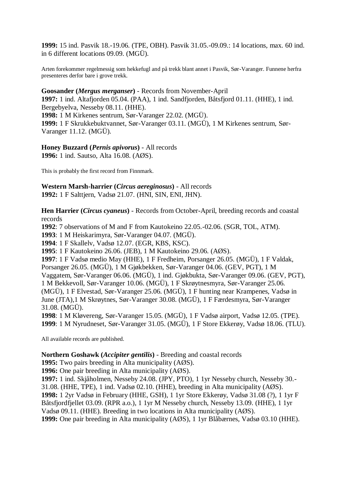**1999:** 15 ind. Pasvik 18.-19.06. (TPE, OBH). Pasvik 31.05.-09.09.: 14 locations, max. 60 ind. in 6 different locations 09.09. (MGÜ).

Arten forekommer regelmessig som hekkefugl and på trekk blant annet i Pasvik, Sør-Varanger. Funnene herfra presenteres derfor bare i grove trekk.

### **Goosander (***Mergus merganser***)** - Records from November-April

**1997:** 1 ind. Altafjorden 05.04. (PAA), 1 ind. Sandfjorden, Båtsfjord 01.11. (HHE), 1 ind. Bergebyelva, Nesseby 08.11. (HHE).

**1998:** 1 M Kirkenes sentrum, Sør-Varanger 22.02. (MGÜ).

**1999:** 1 F Skrukkebuktvannet, Sør-Varanger 03.11. (MGÜ), 1 M Kirkenes sentrum, Sør-Varanger 11.12. (MGÜ).

# **Honey Buzzard (***Pernis apivorus***)** - All records

**1996:** 1 ind. Sautso, Alta 16.08. (AØS).

This is probably the first record from Finnmark.

# **Western Marsh-harrier (***Circus aereginosus***)** - All records **1992:** 1 F Salttjern, Vadsø 21.07. (HNI, SIN, ENI, JHN).

**Hen Harrier (***Circus cyaneus***)** - Records from October-April, breeding records and coastal records

**1992**: 7 observations of M and F from Kautokeino 22.05.-02.06. (SGR, TOL, ATM).

**1993**: 1 M Heiskarimyra, Sør-Varanger 04.07. (MGÜ).

**1994**: 1 F Skallelv, Vadsø 12.07. (EGR, KBS, KSC).

**1995**: 1 F Kautokeino 26.06. (JEB), 1 M Kautokeino 29.06. (AØS).

**1997**: 1 F Vadsø medio May (HHE), 1 F Fredheim, Porsanger 26.05. (MGÜ), 1 F Valdak, Porsanger 26.05. (MGÜ), 1 M Gjøkbekken, Sør-Varanger 04.06. (GEV, PGT), 1 M Vaggatem, Sør-Varanger 06.06. (MGÜ), 1 ind. Gjøkbukta, Sør-Varanger 09.06. (GEV, PGT), 1 M Bekkevoll, Sør-Varanger 10.06. (MGÜ), 1 F Skrøytnesmyra, Sør-Varanger 25.06. (MGÜ), 1 F Elvestad, Sør-Varanger 25.06. (MGÜ), 1 F hunting near Krampenes, Vadsø in June (JTA),1 M Skrøytnes, Sør-Varanger 30.08. (MGÜ), 1 F Færdesmyra, Sør-Varanger 31.08. (MGÜ).

**1998**: 1 M Kløvereng, Sør-Varanger 15.05. (MGÜ), 1 F Vadsø airport, Vadsø 12.05. (TPE). **1999**: 1 M Nyrudneset, Sør-Varanger 31.05. (MGÜ), 1 F Store Ekkerøy, Vadsø 18.06. (TLU).

All available records are published.

# **Northern Goshawk (***Accipiter gentilis***)** - Breeding and coastal records

**1995:** Two pairs breeding in Alta municipality (AØS).

**1996:** One pair breeding in Alta municipality (AØS).

**1997:** 1 ind. Skjåholmen, Nesseby 24.08. (JPY, PTO), 1 1yr Nesseby church, Nesseby 30.- 31.08. (HHE, TPE), 1 ind. Vadsø 02.10. (HHE), breeding in Alta municipality (AØS).

**1998:** 1 2yr Vadsø in February (HHE, GSH), 1 1yr Store Ekkerøy, Vadsø 31.08 (?), 1 1yr F Båtsfjordfjellet 03.09. (RPR a.o.), 1 1yr M Nesseby church, Nesseby 13.09. (HHE), 1 1yr Vadsø 09.11. (HHE). Breeding in two locations in Alta municipality (AØS).

**1999:** One pair breeding in Alta municipality (AØS), 1 1yr Blåbærnes, Vadsø 03.10 (HHE).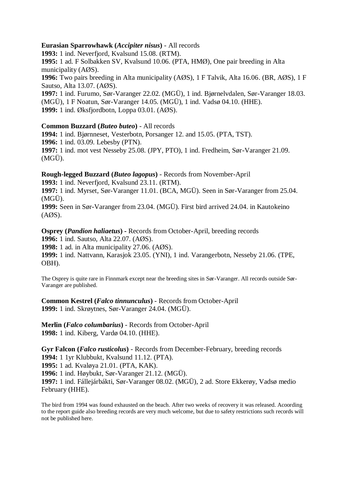# **Eurasian Sparrowhawk (***Accipiter nisus***)** - All records

**1993:** 1 ind. Neverfjord, Kvalsund 15.08. (RTM).

**1995:** 1 ad. F Solbakken SV, Kvalsund 10.06. (PTA, HMØ), One pair breeding in Alta municipality (AØS).

**1996:** Two pairs breeding in Alta municipality (AØS), 1 F Talvik, Alta 16.06. (BR, AØS), 1 F Sautso, Alta 13.07. (AØS).

**1997:** 1 ind. Furumo, Sør-Varanger 22.02. (MGÜ), 1 ind. Bjørnelvdalen, Sør-Varanger 18.03. (MGÜ), 1 F Noatun, Sør-Varanger 14.05. (MGÜ), 1 ind. Vadsø 04.10. (HHE). **1999:** 1 ind. Øksfjordbotn, Loppa 03.01. (AØS).

#### **Common Buzzard (***Buteo buteo***)** - All records

**1994:** 1 ind. Bjørnneset, Vesterbotn, Porsanger 12. and 15.05. (PTA, TST).

**1996:** 1 ind. 03.09. Lebesby (PTN).

**1997:** 1 ind. mot vest Nesseby 25.08. (JPY, PTO), 1 ind. Fredheim, Sør-Varanger 21.09. (MGÜ).

# **Rough-legged Buzzard (***Buteo lagopus***)** - Records from November-April

**1993:** 1 ind. Neverfjord, Kvalsund 23.11. (RTM).

**1997:** 1 ind. Myrset, Sør-Varanger 11.01. (BCA, MGÜ). Seen in Sør-Varanger from 25.04. (MGÜ).

**1999:** Seen in Sør-Varanger from 23.04. (MGÜ). First bird arrived 24.04. in Kautokeino (AØS).

**Osprey (***Pandion haliaetus***) -** Records from October-April, breeding records **1996:** 1 ind. Sautso, Alta 22.07. (AØS).

**1998:** 1 ad. in Alta municipality 27.06. (AØS).

**1999:** 1 ind. Nattvann, Karasjok 23.05. (YNI), 1 ind. Varangerbotn, Nesseby 21.06. (TPE, OBH).

The Osprey is quite rare in Finnmark except near the breeding sites in Sør-Varanger. All records outside Sør-Varanger are published.

**Common Kestrel (***Falco tinnunculus***)** - Records from October-April **1999:** 1 ind. Skrøytnes, Sør-Varanger 24.04. (MGÜ).

**Merlin (***Falco columbarius***)** - Records from October-April **1998:** 1 ind. Kiberg, Vardø 04.10. (HHE).

**Gyr Falcon (***Falco rusticolus***)** - Records from December-February, breeding records **1994:** 1 1yr Klubbukt, Kvalsund 11.12. (PTA). **1995:** 1 ad. Kvaløya 21.01. (PTA, KAK). **1996:** 1 ind. Høybukt, Sør-Varanger 21.12. (MGÜ). **1997:** 1 ind. Fállejárbákti, Sør-Varanger 08.02. (MGÜ), 2 ad. Store Ekkerøy, Vadsø medio February (HHE).

The bird from 1994 was found exhausted on the beach. After two weeks of recovery it was released. Acoording to the report guide also breeding records are very much welcome, but due to safety restrictions such records will not be published here.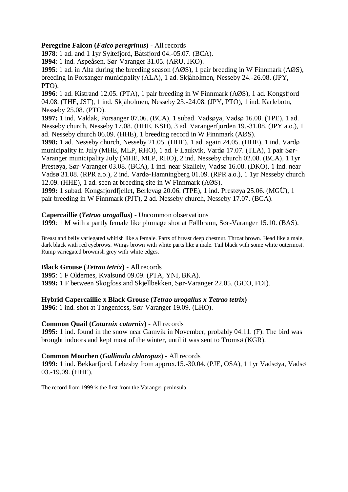# **Peregrine Falcon (***Falco peregrinus***)** - All records

**1978**: 1 ad. and 1 1yr Syltefjord, Båtsfjord 04.-05.07. (BCA).

**1994**: 1 ind. Aspeåsen, Sør-Varanger 31.05. (ARU, JKO).

**1995**: 1 ad. in Alta during the breeding season (AØS), 1 pair breeding in W Finnmark (AØS), breeding in Porsanger municipality (ALA), 1 ad. Skjåholmen, Nesseby 24.-26.08. (JPY, PTO).

**1996**: 1 ad. Kistrand 12.05. (PTA), 1 pair breeding in W Finnmark (AØS), 1 ad. Kongsfjord 04.08. (THE, JST), 1 ind. Skjåholmen, Nesseby 23.-24.08. (JPY, PTO), 1 ind. Karlebotn, Nesseby 25.08. (PTO).

**1997:** 1 ind. Valdak, Porsanger 07.06. (BCA), 1 subad. Vadsøya, Vadsø 16.08. (TPE), 1 ad. Nesseby church, Nesseby 17.08. (HHE, KSH), 3 ad. Varangerfjorden 19.-31.08. (JPY a.o.), 1 ad. Nesseby church 06.09. (HHE), 1 breeding record in W Finnmark (AØS).

**1998:** 1 ad. Nesseby church, Nesseby 21.05. (HHE), 1 ad. again 24.05. (HHE), 1 ind. Vardø municipality in July (MHE, MLP, RHO), 1 ad. F Laukvik, Vardø 17.07. (TLA), 1 pair Sør-Varanger municipality July (MHE, MLP, RHO), 2 ind. Nesseby church 02.08. (BCA), 1 1yr Prestøya, Sør-Varanger 03.08. (BCA), 1 ind. near Skallelv, Vadsø 16.08. (DKO), 1 ind. near Vadsø 31.08. (RPR a.o.), 2 ind. Vardø-Hamningberg 01.09. (RPR a.o.), 1 1yr Nesseby church 12.09. (HHE), 1 ad. seen at breeding site in W Finnmark (AØS).

**1999:** 1 subad. Kongsfjordfjellet, Berlevåg 20.06. (TPE), 1 ind. Prestøya 25.06. (MGÜ), 1 pair breeding in W Finnmark (PJT), 2 ad. Nesseby church, Nesseby 17.07. (BCA).

# **Capercaillie (***Tetrao urogallus***)** - Uncommon observations

**1999**: 1 M with a partly female like plumage shot at Føllbrann, Sør-Varanger 15.10. (BAS).

Breast and belly variegated whitish like a female. Parts of breast deep chestnut. Throat brown. Head like a male, dark black with red eyebrows. Wings brown with white parts like a male. Tail black with some white outermost. Rump variegated brownish grey with white edges.

# **Black Grouse (***Tetrao tetrix***)** - All records

**1995**: 1 F Oldernes, Kvalsund 09.09. (PTA, YNI, BKA).

**1999:** 1 F between Skogfoss and Skjellbekken, Sør-Varanger 22.05. (GCO, FDI).

# **Hybrid Capercaillie x Black Grouse (***Tetrao urogallus x Tetrao tetrix***)**

**1996**: 1 ind. shot at Tangenfoss, Sør-Varanger 19.09. (LHO).

# **Common Quail (***Coturnix coturnix***)** - All records

**1995:** 1 ind. found in the snow near Gamvik in November, probably 04.11. (F). The bird was brought indoors and kept most of the winter, until it was sent to Tromsø (KGR).

# **Common Moorhen (***Gallinula chloropus***)** - All records

**1999:** 1 ind. Bekkarfjord, Lebesby from approx.15.-30.04. (PJE, OSA), 1 1yr Vadsøya, Vadsø 03.-19.09. (HHE).

The record from 1999 is the first from the Varanger peninsula.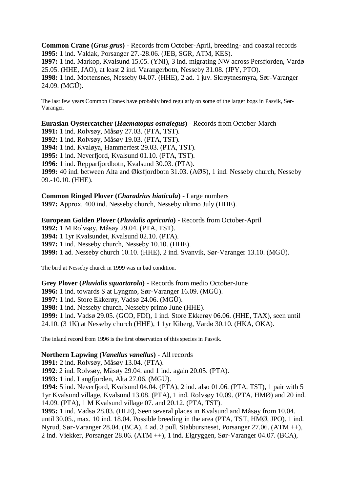**Common Crane (***Grus grus***)** - Records from October-April, breeding- and coastal records **1995:** 1 ind. Valdak, Porsanger 27.-28.06. (JEB, SGR, ATM, KES). **1997:** 1 ind. Markop, Kvalsund 15.05. (YNI), 3 ind. migrating NW across Persfjorden, Vardø 25.05. (HHE, JAO), at least 2 ind. Varangerbotn, Nesseby 31.08. (JPY, PTO). **1998:** 1 ind. Mortensnes, Nesseby 04.07. (HHE), 2 ad. 1 juv. Skrøytnesmyra, Sør-Varanger 24.09. (MGÜ).

The last few years Common Cranes have probably bred regularly on some of the larger bogs in Pasvik, Sør-Varanger.

**Eurasian Oystercatcher (***Haematopus ostralegus***)** - Records from October-March

**1991:** 1 ind. Rolvsøy, Måsøy 27.03. (PTA, TST).

**1992:** 1 ind. Rolvsøy, Måsøy 19.03. (PTA, TST).

**1994:** 1 ind. Kvaløya, Hammerfest 29.03. (PTA, TST).

**1995:** 1 ind. Neverfjord, Kvalsund 01.10. (PTA, TST).

**1996:** 1 ind. Repparfjordbotn, Kvalsund 30.03. (PTA).

**1999:** 40 ind. between Alta and Øksfjordbotn 31.03. (AØS), 1 ind. Nesseby church, Nesseby 09.-10.10. (HHE).

# **Common Ringed Plover (***Charadrius hiaticula***)** - Large numbers

**1997:** Approx. 400 ind. Nesseby church, Nesseby ultimo July (HHE).

# **European Golden Plover (***Pluvialis apricaria***)** - Records from October-April

**1992:** 1 M Rolvsøy, Måsøy 29.04. (PTA, TST). **1994:** 1 1yr Kvalsundet, Kvalsund 02.10. (PTA). **1997:** 1 ind. Nesseby church, Nesseby 10.10. (HHE). **1999:** 1 ad. Nesseby church 10.10. (HHE), 2 ind. Svanvik, Sør-Varanger 13.10. (MGÜ).

The bird at Nesseby church in 1999 was in bad condition.

#### **Grey Plover (***Pluvialis squartarola***)** - Records from medio October-June

**1996:** 1 ind. towards S at Lyngmo, Sør-Varanger 16.09. (MGÜ).

**1997:** 1 ind. Store Ekkerøy, Vadsø 24.06. (MGÜ).

**1998:** 1 ind. Nesseby church, Nesseby primo June (HHE).

**1999:** 1 ind. Vadsø 29.05. (GCO, FDI), 1 ind. Store Ekkerøy 06.06. (HHE, TAX), seen until

24.10. (3 1K) at Nesseby church (HHE), 1 1yr Kiberg, Vardø 30.10. (HKA, OKA).

The inland record from 1996 is the first observation of this species in Pasvik.

#### **Northern Lapwing (***Vanellus vanellus***)** - All records

**1991:** 2 ind. Rolvsøy, Måsøy 13.04. (PTA).

**1992**: 2 ind. Rolvsøy, Måsøy 29.04. and 1 ind. again 20.05. (PTA).

**1993:** 1 ind. Langfjorden, Alta 27.06. (MGÜ).

**1994:** 5 ind. Neverfjord, Kvalsund 04.04. (PTA), 2 ind. also 01.06. (PTA, TST), 1 pair with 5 1yr Kvalsund village, Kvalsund 13.08. (PTA), 1 ind. Rolvsøy 10.09. (PTA, HMØ) and 20 ind. 14.09. (PTA), 1 M Kvalsund village 07. and 20.12. (PTA, TST).

**1995:** 1 ind. Vadsø 28.03. (HLE), Seen several places in Kvalsund and Måsøy from 10.04. until 30.05., max. 10 ind. 18.04. Possible breeding in the area (PTA, TST, HMØ, JPO). 1 ind. Nyrud, Sør-Varanger 28.04. (BCA), 4 ad. 3 pull. Stabbursneset, Porsanger 27.06. (ATM ++), 2 ind. Viekker, Porsanger 28.06. (ATM ++), 1 ind. Elgryggen, Sør-Varanger 04.07. (BCA),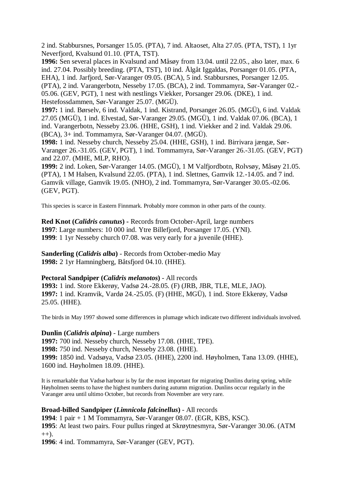2 ind. Stabbursnes, Porsanger 15.05. (PTA), 7 ind. Altaoset, Alta 27.05. (PTA, TST), 1 1yr Neverfjord, Kvalsund 01.10. (PTA, TST).

**1996:** Sen several places in Kvalsund and Måsøy from 13.04. until 22.05., also later, max. 6 ind. 27.04. Possibly breeding. (PTA, TST), 10 ind. Ålgåt Iggaldas, Porsanger 01.05. (PTA, EHA), 1 ind. Jarfjord, Sør-Varanger 09.05. (BCA), 5 ind. Stabbursnes, Porsanger 12.05. (PTA), 2 ind. Varangerbotn, Nesseby 17.05. (BCA), 2 ind. Tommamyra, Sør-Varanger 02.- 05.06. (GEV, PGT), 1 nest with nestlings Viekker, Porsanger 29.06. (DKE), 1 ind. Hestefossdammen, Sør-Varanger 25.07. (MGÜ).

**1997:** 1 ind. Børselv, 6 ind. Valdak, 1 ind. Kistrand, Porsanger 26.05. (MGÜ), 6 ind. Valdak 27.05 (MGÜ), 1 ind. Elvestad, Sør-Varanger 29.05. (MGÜ), 1 ind. Valdak 07.06. (BCA), 1 ind. Varangerbotn, Nesseby 23.06. (HHE, GSH), 1 ind. Viekker and 2 ind. Valdak 29.06. (BCA), 3+ ind. Tommamyra, Sør-Varanger 04.07. (MGÜ).

**1998:** 1 ind. Nesseby church, Nesseby 25.04. (HHE, GSH), 1 ind. Birrivara jængæ, Sør-Varanger 26.-31.05. (GEV, PGT), 1 ind. Tommamyra, Sør-Varanger 26.-31.05. (GEV, PGT) and 22.07. (MHE, MLP, RHO).

**1999:** 2 ind. Loken, Sør-Varanger 14.05. (MGÜ), 1 M Valfjordbotn, Rolvsøy, Måsøy 21.05. (PTA), 1 M Halsen, Kvalsund 22.05. (PTA), 1 ind. Slettnes, Gamvik 12.-14.05. and 7 ind. Gamvik village, Gamvik 19.05. (NHO), 2 ind. Tommamyra, Sør-Varanger 30.05.-02.06. (GEV, PGT).

This species is scarce in Eastern Finnmark. Probably more common in other parts of the county.

**Red Knot (***Calidris canutus***) -** Records from October-April, large numbers **1997**: Large numbers: 10 000 ind. Ytre Billefjord, Porsanger 17.05. (YNI). **1999**: 1 1yr Nesseby church 07.08. was very early for a juvenile (HHE).

**Sanderling (***Calidris alba***)** - Records from October-medio May **1998:** 2 1yr Hamningberg, Båtsfjord 04.10. (HHE).

# **Pectoral Sandpiper (***Calidris melanotos***)** - All records

**1993:** 1 ind. Store Ekkerøy, Vadsø 24.-28.05. (F) (JRB, JBR, TLE, MLE, JAO). **1997:** 1 ind. Kramvik, Vardø 24.-25.05. (F) (HHE, MGÜ), 1 ind. Store Ekkerøy, Vadsø 25.05. (HHE).

The birds in May 1997 showed some differences in plumage which indicate two different individuals involved.

# **Dunlin (***Calidris alpina***)** - Large numbers

**1997:** 700 ind. Nesseby church, Nesseby 17.08. (HHE, TPE). **1998:** 750 ind. Nesseby church, Nesseby 23.08. (HHE). **1999:** 1850 ind. Vadsøya, Vadsø 23.05. (HHE), 2200 ind. Høyholmen, Tana 13.09. (HHE), 1600 ind. Høyholmen 18.09. (HHE).

It is remarkable that Vadsø harbour is by far the most important for migrating Dunlins during spring, while Høyholmen seems to have the highest numbers during autumn migration. Dunlins occur regularly in the Varanger area until ultimo October, but records from November are very rare.

# **Broad-billed Sandpiper (***Limnicola falcinellus***)** - All records

**1994**: 1 pair + 1 M Tommamyra, Sør-Varanger 08.07. (EGR, KBS, KSC). **1995**: At least two pairs. Four pullus ringed at Skrøytnesmyra, Sør-Varanger 30.06. (ATM  $(++)$ .

**1996**: 4 ind. Tommamyra, Sør-Varanger (GEV, PGT).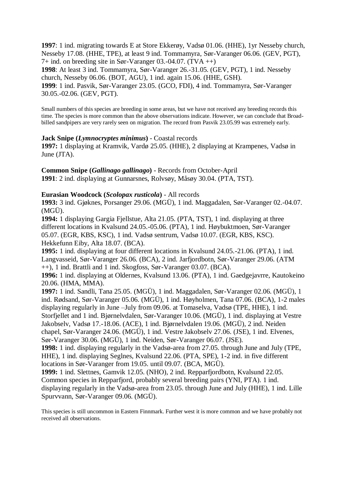**1997**: 1 ind. migrating towards E at Store Ekkerøy, Vadsø 01.06. (HHE), 1yr Nesseby church, Nesseby 17.08. (HHE, TPE), at least 9 ind. Tommamyra, Sør-Varanger 06.06. (GEV, PGT), 7+ ind. on breeding site in Sør-Varanger 03.-04.07. (TVA ++) **1998**: At least 3 ind. Tommamyra, Sør-Varanger 26.-31.05. (GEV, PGT), 1 ind. Nesseby church, Nesseby 06.06. (BOT, AGU), 1 ind. again 15.06. (HHE, GSH).

**1999**: 1 ind. Pasvik, Sør-Varanger 23.05. (GCO, FDI), 4 ind. Tommamyra, Sør-Varanger 30.05.-02.06. (GEV, PGT).

Small numbers of this species are breeding in some areas, but we have not received any breeding records this time. The species is more common than the above observations indicate. However, we can conclude that Broadbilled sandpipers are very rarely seen on migration. The record from Pasvik 23.05.99 was extremely early.

#### **Jack Snipe (***Lymnocryptes minimus***)** - Coastal records

**1997:** 1 displaying at Kramvik, Vardø 25.05. (HHE), 2 displaying at Krampenes, Vadsø in June (JTA).

**Common Snipe (***Gallinago gallinago***)** - Records from October-April **1991**: 2 ind. displaying at Gunnarsnes, Rolvsøy, Måsøy 30.04. (PTA, TST).

### **Eurasian Woodcock (***Scolopax rusticola***)** - All records

**1993:** 3 ind. Gjøknes, Porsanger 29.06. (MGÜ), 1 ind. Maggadalen, Sør-Varanger 02.-04.07. (MGÜ).

**1994:** 1 displaying Gargia Fjellstue, Alta 21.05. (PTA, TST), 1 ind. displaying at three different locations in Kvalsund 24.05.-05.06. (PTA), 1 ind. Høybuktmoen, Sør-Varanger 05.07. (EGR, KBS, KSC), 1 ind. Vadsø sentrum, Vadsø 10.07. (EGR, KBS, KSC). Hekkefunn Eiby, Alta 18.07. (BCA).

**1995:** 1 ind. displaying at four different locations in Kvalsund 24.05.-21.06. (PTA), 1 ind. Langvasseid, Sør-Varanger 26.06. (BCA), 2 ind. Jarfjordbotn, Sør-Varanger 29.06. (ATM ++), 1 ind. Brattli and 1 ind. Skogfoss, Sør-Varanger 03.07. (BCA).

**1996:** 1 ind. displaying at Oldernes, Kvalsund 13.06. (PTA), 1 ind. Gaedgejavrre, Kautokeino 20.06. (HMA, MMA).

**1997:** 1 ind. Sandli, Tana 25.05. (MGÜ), 1 ind. Maggadalen, Sør-Varanger 02.06. (MGÜ), 1 ind. Rødsand, Sør-Varanger 05.06. (MGÜ), 1 ind. Høyholmen, Tana 07.06. (BCA), 1-2 males displaying regularly in June –July from 09.06. at Tomaselva, Vadsø (TPE, HHE), 1 ind. Storfjellet and 1 ind. Bjørnelvdalen, Sør-Varanger 10.06. (MGÜ), 1 ind. displaying at Vestre Jakobselv, Vadsø 17.-18.06. (ACE), 1 ind. Bjørnelvdalen 19.06. (MGÜ), 2 ind. Neiden chapel, Sør-Varanger 24.06. (MGÜ), 1 ind. Vestre Jakobselv 27.06. (JSE), 1 ind. Elvenes, Sør-Varanger 30.06. (MGÜ), 1 ind. Neiden, Sør-Varanger 06.07. (JSE).

**1998:** 1 ind. displaying regularly in the Vadsø-area from 27.05. through June and July (TPE, HHE), 1 ind. displaying Seglnes, Kvalsund 22.06. (PTA, SPE), 1-2 ind. in five different locations in Sør-Varanger from 19.05. until 09.07. (BCA, MGÜ).

**1999:** 1 ind. Slettnes, Gamvik 12.05. (NHO), 2 ind. Repparfjordbotn, Kvalsund 22.05. Common species in Repparfjord, probably several breeding pairs (YNI, PTA). 1 ind. displaying regularly in the Vadsø-area from 23.05. through June and July (HHE), 1 ind. Lille Spurvvann, Sør-Varanger 09.06. (MGÜ).

This species is still uncommon in Eastern Finnmark. Further west it is more common and we have probably not received all observations.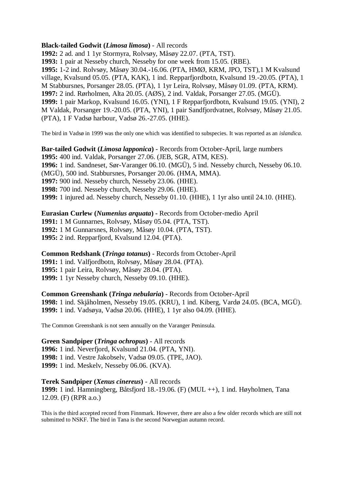# **Black-tailed Godwit (***Limosa limosa***)** - All records

**1992:** 2 ad. and 1 1yr Stormyra, Rolvsøy, Måsøy 22.07. (PTA, TST). **1993:** 1 pair at Nesseby church, Nesseby for one week from 15.05. (RBE). **1995:** 1-2 ind. Rolvsøy, Måsøy 30.04.-16.06. (PTA, HMØ, KRM, JPO, TST),1 M Kvalsund village, Kvalsund 05.05. (PTA, KAK), 1 ind. Repparfjordbotn, Kvalsund 19.-20.05. (PTA), 1 M Stabbursnes, Porsanger 28.05. (PTA), 1 1yr Leira, Rolvsøy, Måsøy 01.09. (PTA, KRM). **1997:** 2 ind. Rørholmen, Alta 20.05. (AØS), 2 ind. Valdak, Porsanger 27.05. (MGÜ). **1999:** 1 pair Markop, Kvalsund 16.05. (YNI), 1 F Repparfjordbotn, Kvalsund 19.05. (YNI), 2 M Valdak, Porsanger 19.-20.05. (PTA, YNI), 1 pair Sandfjordvatnet, Rolvsøy, Måsøy 21.05. (PTA), 1 F Vadsø harbour, Vadsø 26.-27.05. (HHE).

The bird in Vadsø in 1999 was the only one which was identified to subspecies. It was reported as an *islandica*.

**Bar-tailed Godwit (***Limosa lapponica***)** - Records from October-April, large numbers **1995:** 400 ind. Valdak, Porsanger 27.06. (JEB, SGR, ATM, KES). **1996:** 1 ind. Sandneset, Sør-Varanger 06.10. (MGÜ), 5 ind. Nesseby church, Nesseby 06.10. (MGÜ), 500 ind. Stabbursnes, Porsanger 20.06. (HMA, MMA). **1997:** 900 ind. Nesseby church, Nesseby 23.06. (HHE). **1998:** 700 ind. Nesseby church, Nesseby 29.06. (HHE). **1999:** 1 injured ad. Nesseby church, Nesseby 01.10. (HHE), 1 1yr also until 24.10. (HHE).

**Eurasian Curlew (***Numenius arquata***) -** Records from October-medio April **1991:** 1 M Gunnarnes, Rolvsøy, Måsøy 05.04. (PTA, TST). **1992:** 1 M Gunnarsnes, Rolvsøy, Måsøy 10.04. (PTA, TST). **1995:** 2 ind. Repparfjord, Kvalsund 12.04. (PTA).

**Common Redshank (***Tringa totanus***)** - Records from October-April **1991:** 1 ind. Valfjordbotn, Rolvsøy, Måsøy 28.04. (PTA). **1995:** 1 pair Leira, Rolvsøy, Måsøy 28.04. (PTA). **1999:** 1 1yr Nesseby church, Nesseby 09.10. (HHE).

**Common Greenshank (***Tringa nebularia***)** - Records from October-April **1998:** 1 ind. Skjåholmen, Nesseby 19.05. (KRU), 1 ind. Kiberg, Vardø 24.05. (BCA, MGÜ). **1999:** 1 ind. Vadsøya, Vadsø 20.06. (HHE), 1 1yr also 04.09. (HHE).

The Common Greenshank is not seen annually on the Varanger Peninsula.

**Green Sandpiper (***Tringa ochropus***)** - All records

**1996:** 1 ind. Neverfjord, Kvalsund 21.04. (PTA, YNI). **1998:** 1 ind. Vestre Jakobselv, Vadsø 09.05. (TPE, JAO). **1999:** 1 ind. Meskelv, Nesseby 06.06. (KVA).

**Terek Sandpiper (***Xenus cinereus***)** - All records

**1999:** 1 ind. Hamningberg, Båtsfjord 18.-19.06. (F) (MUL ++), 1 ind. Høyholmen, Tana 12.09. (F) (RPR a.o.)

This is the third accepted record from Finnmark. However, there are also a few older records which are still not submitted to NSKF. The bird in Tana is the second Norwegian autumn record.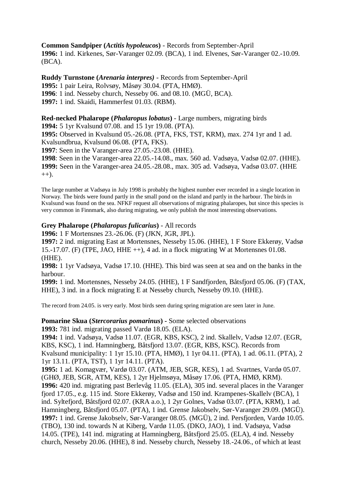**Common Sandpiper (***Actitis hypoleucos***)** - Records from September-April **1996:** 1 ind. Kirkenes, Sør-Varanger 02.09. (BCA), 1 ind. Elvenes, Sør-Varanger 02.-10.09. (BCA).

**Ruddy Turnstone (***Arenaria interpres)* - Records from September-April **1995:** 1 pair Leira, Rolvsøy, Måsøy 30.04. (PTA, HMØ). **1996**: 1 ind. Nesseby church, Nesseby 06. and 08.10. (MGÜ, BCA). **1997:** 1 ind. Skaidi, Hammerfest 01.03. (RBM).

**Red-necked Phalarope (***Phalaropus lobatus***)** - Large numbers, migrating birds **1994:** 5 1yr Kvalsund 07.08. and 15 1yr 19.08. (PTA).

**1995:** Observed in Kvalsund 05.-26.08. (PTA, FKS, TST, KRM), max. 274 1yr and 1 ad. Kvalsundbrua, Kvalsund 06.08. (PTA, FKS).

**1997**: Seen in the Varanger-area 27.05.-23.08. (HHE).

**1998**: Seen in the Varanger-area 22.05.-14.08., max. 560 ad. Vadsøya, Vadsø 02.07. (HHE). **1999:** Seen in the Varanger-area 24.05.-28.08., max. 305 ad. Vadsøya, Vadsø 03.07. (HHE  $(++)$ .

The large number at Vadsøya in July 1998 is probably the highest number ever recorded in a single location in Norway. The birds were found partly in the small pond on the island and partly in the harbour. The birds in Kvalsund was found on the sea. NFKF request all observations of migrating phalaropes, but since this species is very common in Finnmark, also during migrating, we only publish the most interesting observations.

# **Grey Phalarope (***Phalaropus fulicarius***)** - All records

**1996:** 1 F Mortensnes 23.-26.06. (F) (JKN, JGR, JPL).

**1997:** 2 ind. migrating East at Mortensnes, Nesseby 15.06. (HHE), 1 F Store Ekkerøy, Vadsø 15.-17.07. (F) (TPE, JAO, HHE ++), 4 ad. in a flock migrating W at Mortensnes 01.08. (HHE).

**1998:** 1 1yr Vadsøya, Vadsø 17.10. (HHE). This bird was seen at sea and on the banks in the harbour.

**1999:** 1 ind. Mortensnes, Nesseby 24.05. (HHE), 1 F Sandfjorden, Båtsfjord 05.06. (F) (TAX, HHE), 3 ind. in a flock migrating E at Nesseby church, Nesseby 09.10. (HHE).

The record from 24.05. is very early. Most birds seen during spring migration are seen later in June.

**Pomarine Skua (***Stercorarius pomarinus***) -** Some selected observations

**1993:** 781 ind. migrating passed Vardø 18.05. (ELA).

**1994:** 1 ind. Vadsøya, Vadsø 11.07. (EGR, KBS, KSC), 2 ind. Skallelv, Vadsø 12.07. (EGR, KBS, KSC), 1 ind. Hamningberg, Båtsfjord 13.07. (EGR, KBS, KSC). Records from Kvalsund municipality: 1 1yr 15.10. (PTA, HMØ), 1 1yr 04.11. (PTA), 1 ad. 06.11. (PTA), 2 1yr 13.11. (PTA, TST), 1 1yr 14.11. (PTA).

**1995:** 1 ad. Komagvær, Vardø 03.07. (ATM, JEB, SGR, KES), 1 ad. Svartnes, Vardø 05.07. (GHØ, JEB, SGR, ATM, KES), 1 2yr Hjelmsøya, Måsøy 17.06. (PTA, HMØ, KRM). **1996:** 420 ind. migrating past Berlevåg 11.05. (ELA), 305 ind. several places in the Varanger fjord 17.05., e.g. 115 ind. Store Ekkerøy, Vadsø and 150 ind. Krampenes-Skallelv (BCA), 1 ind. Syltefjord, Båtsfjord 02.07. (KRA a.o.), 1 2yr Golnes, Vadsø 03.07. (PTA, KRM), 1 ad. Hamningberg, Båtsfjord 05.07. (PTA), 1 ind. Grense Jakobselv, Sør-Varanger 29.09. (MGÜ). **1997:** 1 ind. Grense Jakobselv, Sør-Varanger 08.05. (MGÜ), 2 ind. Persfjorden, Vardø 10.05. (TBO), 130 ind. towards N at Kiberg, Vardø 11.05. (DKO, JAO), 1 ind. Vadsøya, Vadsø 14.05. (TPE), 141 ind. migrating at Hamningberg, Båtsfjord 25.05. (ELA), 4 ind. Nesseby church, Nesseby 20.06. (HHE), 8 ind. Nesseby church, Nesseby 18.-24.06., of which at least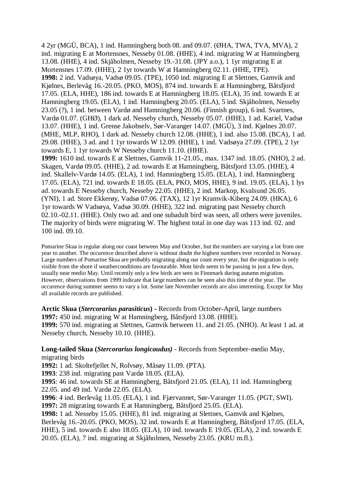4 2yr (MGÜ, BCA), 1 ind. Hamningberg both 08. and 09.07. (ØHA, TWA, TVA, MVA), 2 ind. migrating E at Mortensnes, Nesseby 01.08. (HHE), 4 ind. migrating W at Hamningberg 13.08. (HHE), 4 ind. Skjåholmen, Nesseby 19.-31.08. (JPY a.o.), 1 1yr migrating E at Mortensnes 17.09. (HHE), 2 1yr towards W at Hamningberg 02.11. (HHE, TPE). **1998:** 2 ind. Vadsøya, Vadsø 09.05. (TPE), 1050 ind. migrating E at Slettnes, Gamvik and Kjølnes, Berlevåg 16.-20.05. (PKO, MOS), 874 ind. towards E at Hamningberg, Båtsfjord 17.05. (ELA, HHE), 186 ind. towards E at Hamningberg 18.05. (ELA), 35 ind. towards E at Hamningberg 19.05. (ELA), 1 ind. Hamningberg 20.05. (ELA), 5 ind. Skjåholmen, Nesseby 23.05 (?), 1 ind. between Vardø and Hamningberg 20.06. (Finnish group), 6 ind. Svartnes, Vardø 01.07. (GHØ), 1 dark ad. Nesseby church, Nesseby 05.07. (HHE), 1 ad. Kariel, Vadsø 13.07. (HHE), 1 ind. Grense Jakobselv, Sør-Varanger 14.07. (MGÜ), 3 ind. Kjølnes 20.07. (MHE, MLP, RHO), 1 dark ad. Nesseby church 12.08. (HHE), 1 ind. also 15.08. (BCA), 1 ad. 29.08. (HHE), 3 ad. and 1 1yr towards W 12.09. (HHE), 1 ind. Vadsøya 27.09. (TPE), 2 1yr towards E, 1 1yr towards W Nesseby church 11.10. (HHE). **1999:** 1610 ind. towards E at Slettnes, Gamvik 11-21.05., max. 1347 ind. 18.05. (NHO), 2 ad. Skagen, Vardø 09.05. (HHE), 2 ad. towards E at Hamningberg, Båtsfjord 13.05. (HHE), 4 ind. Skallelv-Vardø 14.05. (ELA), 1 ind. Hamningberg 15.05. (ELA), 1 ind. Hamningberg 17.05. (ELA), 721 ind. towards E 18.05. (ELA, PKO, MOS, HHE), 9 ind. 19.05. (ELA), 1 lys ad. towards E Nesseby church, Nesseby 22.05. (HHE), 2 ind. Markop, Kvalsund 26.05. (YNI), 1 ad. Store Ekkerøy, Vadsø 07.06. (TAX), 12 1yr Kramvik-Kiberg 24.09. (HKA), 6

1yr towards W Vadsøya, Vadsø 30.09. (HHE), 322 ind. migrating past Nesseby church 02.10.-02.11. (HHE). Only two ad. and one subadult bird was seen, all others were juveniles. The majority of birds were migrating W. The highest total in one day was 113 ind. 02. and 100 ind. 09.10.

Pomarine Skua is regular along our coast between May and October, but the numbers are varying a lot from one year to another. The occurence described above is without doubt the highest numbers ever recorded in Norway. Large numbers of Pomarine Skua are probably migrating along our coast every year, but the migration is only visible from the shore if weatherconditions are favourable. Most birds seem to be passing in just a few days, usually near medio May. Until recently only a few birds are seen in Finnmark during autumn migration. However, observations from 1999 indicate that large numbers can be seen also this time of the year. The occurence during summer seems to vary a lot. Some late November records are also interesting. Except for May all available records are published.

**Arctic Skua (***Stercorarius parasiticus***) -** Records from October-April, large numbers **1997:** 450 ind. migrating W at Hamningberg, Båtsfjord 13.08. (HHE). **1999:** 570 ind. migrating at Slettnes, Gamvik between 11. and 21.05. (NHO). At least 1 ad. at Nesseby church, Nesseby 10.10. (HHE).

**Long-tailed Skua (***Stercorarius longicaudus)* - Records from September-medio May, migrating birds

**1992:** 1 ad. Skoltefjellet N, Rolvsøy, Måsøy 11.09. (PTA).

**1993**: 238 ind. migrating past Vardø 18.05. (ELA).

**1995**: 46 ind. towards SE at Hamningberg, Båtsfjord 21.05. (ELA), 11 ind. Hamningberg 22.05. and 49 ind. Vardø 22.05. (ELA).

**1996**: 4 ind. Berlevåg 11.05. (ELA), 1 ind. Fjærvannet, Sør-Varanger 11.05. (PGT, SWI). **1997:** 28 migrating towards E at Hamningberg, Båtsfjord 25.05. (ELA).

**1998:** 1 ad. Nesseby 15.05. (HHE), 81 ind. migrating at Slettnes, Gamvik and Kjølnes, Berlevåg 16.-20.05. (PKO, MOS), 32 ind. towards E at Hamningberg, Båtsfjord 17.05. (ELA, HHE), 5 ind. towards E also 18.05. (ELA), 10 ind. towards E 19.05. (ELA), 2 ind. towards E 20.05. (ELA), 7 ind. migrating at Skjåholmen, Nesseby 23.05. (KRU m.fl.).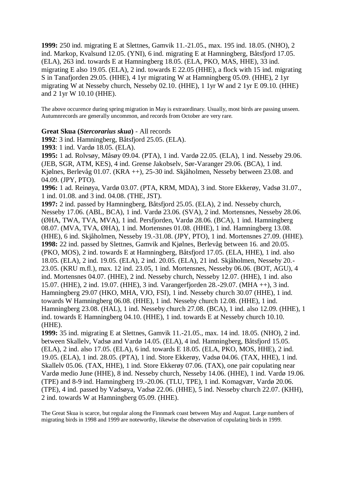**1999:** 250 ind. migrating E at Slettnes, Gamvik 11.-21.05., max. 195 ind. 18.05. (NHO), 2 ind. Markop, Kvalsund 12.05. (YNI), 6 ind. migrating E at Hamningberg, Båtsfjord 17.05. (ELA), 263 ind. towards E at Hamningberg 18.05. (ELA, PKO, MAS, HHE), 33 ind. migrating E also 19.05. (ELA), 2 ind. towards E 22.05 (HHE), a flock with 15 ind. migrating S in Tanafjorden 29.05. (HHE), 4 1yr migrating W at Hamningberg 05.09. (HHE), 2 1yr migrating W at Nesseby church, Nesseby 02.10. (HHE), 1 1yr W and 2 1yr E 09.10. (HHE) and 2 1yr W 10.10 (HHE).

The above occurence during spring migration in May is extraordinary. Usually, most birds are passing unseen. Autumnrecords are generally uncommon, and records from October are very rare.

#### **Great Skua (***Stercorarius skua***)** - All records

**1992**: 3 ind. Hamningberg, Båtsfjord 25.05. (ELA).

**1993**: 1 ind. Vardø 18.05. (ELA).

**1995:** 1 ad. Rolvsøy, Måsøy 09.04. (PTA), 1 ind. Vardø 22.05. (ELA), 1 ind. Nesseby 29.06. (JEB, SGR, ATM, KES), 4 ind. Grense Jakobselv, Sør-Varanger 29.06. (BCA), 1 ind. Kjølnes, Berlevåg 01.07. (KRA ++), 25-30 ind. Skjåholmen, Nesseby between 23.08. and 04.09. (JPY, PTO).

**1996:** 1 ad. Reinøya, Vardø 03.07. (PTA, KRM, MDA), 3 ind. Store Ekkerøy, Vadsø 31.07., 1 ind. 01.08. and 3 ind. 04.08. (THE, JST).

**1997:** 2 ind. passed by Hamningberg, Båtsfjord 25.05. (ELA), 2 ind. Nesseby church, Nesseby 17.06. (ABL, BCA), 1 ind. Vardø 23.06. (SVA), 2 ind. Mortensnes, Nesseby 28.06. (ØHA, TWA, TVA, MVA), 1 ind. Persfjorden, Vardø 28.06. (BCA), 1 ind. Hamningberg 08.07. (MVA, TVA, ØHA), 1 ind. Mortensnes 01.08. (HHE), 1 ind. Hamningberg 13.08. (HHE), 6 ind. Skjåholmen, Nesseby 19.-31.08. (JPY, PTO), 1 ind. Mortensnes 27.09. (HHE). **1998:** 22 ind. passed by Slettnes, Gamvik and Kjølnes, Berlevåg between 16. and 20.05. (PKO, MOS), 2 ind. towards E at Hamningberg, Båtsfjord 17.05. (ELA, HHE), 1 ind. also 18.05. (ELA), 2 ind. 19.05. (ELA), 2 ind. 20.05. (ELA), 21 ind. Skjåholmen, Nesseby 20.- 23.05. (KRU m.fl.), max. 12 ind. 23.05, 1 ind. Mortensnes, Nesseby 06.06. (BOT, AGU), 4 ind. Mortensnes 04.07. (HHE), 2 ind. Nesseby church, Nesseby 12.07. (HHE), 1 ind. also 15.07. (HHE), 2 ind. 19.07. (HHE), 3 ind. Varangerfjorden 28.-29.07. (MHA ++), 3 ind. Hamningberg 29.07 (HKO, MHA, VJO, FSI), 1 ind. Nesseby church 30.07 (HHE), 1 ind. towards W Hamningberg 06.08. (HHE), 1 ind. Nesseby church 12.08. (HHE), 1 ind. Hamningberg 23.08. (HAL), 1 ind. Nesseby church 27.08. (BCA), 1 ind. also 12.09. (HHE), 1 ind. towards E Hamningberg 04.10. (HHE), 1 ind. towards E at Nesseby church 10.10. (HHE).

**1999:** 35 ind. migrating E at Slettnes, Gamvik 11.-21.05., max. 14 ind. 18.05. (NHO), 2 ind. between Skallelv, Vadsø and Vardø 14.05. (ELA), 4 ind. Hamningberg, Båtsfjord 15.05. (ELA), 2 ind. also 17.05. (ELA), 6 ind. towards E 18.05. (ELA, PKO, MOS, HHE), 2 ind. 19.05. (ELA), 1 ind. 28.05. (PTA), 1 ind. Store Ekkerøy, Vadsø 04.06. (TAX, HHE), 1 ind. Skallelv 05.06. (TAX, HHE), 1 ind. Store Ekkerøy 07.06. (TAX), one pair copulating near Vardø medio June (HHE), 8 ind. Nesseby church, Nesseby 14.06. (HHE), 1 ind. Vardø 19.06. (TPE) and 8-9 ind. Hamningberg 19.-20.06. (TLU, TPE), 1 ind. Komagvær, Vardø 20.06. (TPE), 4 ind. passed by Vadsøya, Vadsø 22.06. (HHE), 5 ind. Nesseby church 22.07. (KHH), 2 ind. towards W at Hamningberg 05.09. (HHE).

The Great Skua is scarce, but regular along the Finnmark coast between May and August. Large numbers of migrating birds in 1998 and 1999 are noteworthy, likewise the observation of copulating birds in 1999.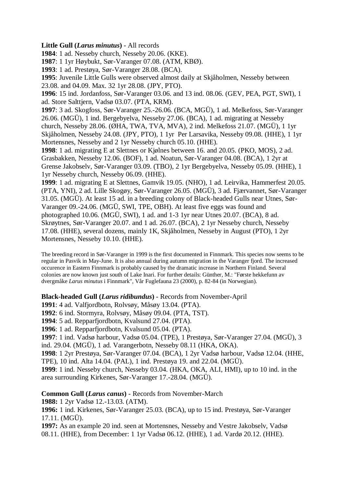# **Little Gull (***Larus minutus***)** - All records

**1984**: 1 ad. Nesseby church, Nesseby 20.06. (KKE).

**1987**: 1 1yr Høybukt, Sør-Varanger 07.08. (ATM, KBØ).

**1993**: 1 ad. Prestøya, Sør-Varanger 28.08. (BCA).

**1995**: Juvenile Little Gulls were observed almost daily at Skjåholmen, Nesseby between 23.08. and 04.09. Max. 32 1yr 28.08. (JPY, PTO).

**1996**: 15 ind. Jordanfoss, Sør-Varanger 03.06. and 13 ind. 08.06. (GEV, PEA, PGT, SWI), 1 ad. Store Salttjern, Vadsø 03.07. (PTA, KRM).

**1997**: 3 ad. Skogfoss, Sør-Varanger 25.-26.06. (BCA, MGÜ), 1 ad. Melkefoss, Sør-Varanger 26.06. (MGÜ), 1 ind. Bergebyelva, Nesseby 27.06. (BCA), 1 ad. migrating at Nesseby church, Nesseby 28.06. (ØHA, TWA, TVA, MVA), 2 ind. Melkefoss 21.07. (MGÜ), 1 1yr Skjåholmen, Nesseby 24.08. (JPY, PTO), 1 1yr Per Larsavika, Nesseby 09.08. (HHE), 1 1yr Mortensnes, Nesseby and 2 1yr Nesseby church 05.10. (HHE).

**1998**: 1 ad. migrating E at Slettnes or Kjølnes between 16. and 20.05. (PKO, MOS), 2 ad. Grasbakken, Nesseby 12.06. (BOF), 1 ad. Noatun, Sør-Varanger 04.08. (BCA), 1 2yr at Grense Jakobselv, Sør-Varanger 03.09. (TBO), 2 1yr Bergebyelva, Nesseby 05.09. (HHE), 1 1yr Nesseby church, Nesseby 06.09. (HHE).

**1999**: 1 ad. migrating E at Slettnes, Gamvik 19.05. (NHO), 1 ad. Leirvika, Hammerfest 20.05. (PTA, YNI), 2 ad. Lille Skogøy, Sør-Varanger 26.05. (MGÜ), 3 ad. Fjærvannet, Sør-Varanger 31.05. (MGÜ). At least 15 ad. in a breeding colony of Black-headed Gulls near Utnes, Sør-Varanger 09.-24.06. (MGÜ, SWI, TPE, OBH). At least five eggs was found and photographed 10.06. (MGÜ, SWI), 1 ad. and 1-3 1yr near Utnes 20.07. (BCA), 8 ad. Skrøytnes, Sør-Varanger 20.07. and 1 ad. 26.07. (BCA), 2 1yr Nesseby church, Nesseby 17.08. (HHE), several dozens, mainly 1K, Skjåholmen, Nesseby in August (PTO), 1 2yr Mortensnes, Nesseby 10.10. (HHE).

The breeding record in Sør-Varanger in 1999 is the first documented in Finnmark. This species now seems to be regular in Pasvik in May-June. It is also annual during autumn migration in the Varanger fjord. The increased occurence in Eastern Finnmark is probably caused by the dramatic increase in Northern Finland. Several colonies are now known just south of Lake Inari. For further details: Günther, M.: "Første hekkefunn av dvergmåke *Larus minutus* i Finnmark", Vår Fuglefauna 23 (2000), p. 82-84 (in Norwegian).

# **Black-headed Gull (***Larus ridibundus***)** - Records from November-April

**1991**: 4 ad. Valfjordbotn, Rolvsøy, Måsøy 13.04. (PTA).

**1992**: 6 ind. Stormyra, Rolvsøy, Måsøy 09.04. (PTA, TST).

**1994**: 5 ad. Repparfjordbotn, Kvalsund 27.04. (PTA).

**1996**: 1 ad. Repparfjordbotn, Kvalsund 05.04. (PTA).

**1997**: 1 ind. Vadsø harbour, Vadsø 05.04. (TPE), 1 Prestøya, Sør-Varanger 27.04. (MGÜ), 3 ind. 29.04. (MGÜ), 1 ad. Varangerbotn, Nesseby 08.11 (HKA, OKA).

**1998**: 1 2yr Prestøya, Sør-Varanger 07.04. (BCA), 1 2yr Vadsø harbour, Vadsø 12.04. (HHE, TPE), 10 ind. Alta 14.04. (PAL), 1 ind. Prestøya 19. and 22.04. (MGÜ).

**1999**: 1 ind. Nesseby church, Nesseby 03.04. (HKA, OKA, ALI, HMI), up to 10 ind. in the area surrounding Kirkenes, Sør-Varanger 17.-28.04. (MGÜ).

**Common Gull (***Larus canus***)** - Records from November-March

**1988:** 1 2yr Vadsø 12.-13.03. (ATM).

**1996:** 1 ind. Kirkenes, Sør-Varanger 25.03. (BCA), up to 15 ind. Prestøya, Sør-Varanger 17.11. (MGÜ).

**1997:** As an example 20 ind. seen at Mortensnes, Nesseby and Vestre Jakobselv, Vadsø 08.11. (HHE), from December: 1 1yr Vadsø 06.12. (HHE), 1 ad. Vardø 20.12. (HHE).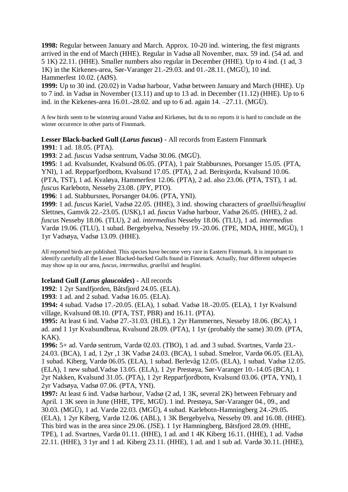**1998:** Regular between January and March. Approx. 10-20 ind. wintering, the first migrants arrived in the end of March (HHE). Regular in Vadsø all November, max. 59 ind. (54 ad. and 5 1K) 22.11. (HHE). Smaller numbers also regular in December (HHE). Up to 4 ind. (1 ad, 3 1K) in the Kirkenes-area, Sør-Varanger 21.-29.03. and 01.-28.11. (MGÜ), 10 ind. Hammerfest 10.02. (AØS).

**1999:** Up to 30 ind. (20.02) in Vadsø harbour, Vadsø between January and March (HHE). Up to 7 ind. in Vadsø in November (13.11) and up to 13 ad. in December (11.12) (HHE). Up to 6 ind. in the Kirkenes-area 16.01.-28.02. and up to 6 ad. again 14. –27.11. (MGÜ).

A few birds seem to be wintering around Vadsø and Kirkenes, but du to no reports it is hard to conclude on the winter occurence in other parts of Finnmark.

**Lesser Black-backed Gull (***Larus fuscus***)** - All records from Eastern Finnmark **1991**: 1 ad. 18.05. (PTA).

**1993**: 2 ad. *fuscus* Vadsø sentrum, Vadsø 30.06. (MGÜ).

**1995**: 1 ad. Kvalsundet, Kvalsund 06.05. (PTA), 1 pair Stabbursnes, Porsanger 15.05. (PTA, YNI), 1 ad. Repparfjordbotn, Kvalsund 17.05. (PTA), 2 ad. Beritsjorda, Kvalsund 10.06. (PTA, TST), 1 ad. Kvaløya, Hammerfest 12.06. (PTA), 2 ad. also 23.06. (PTA, TST), 1 ad. *fuscus* Karlebotn, Nesseby 23.08. (JPY, PTO).

**1996**: 1 ad. Stabbursnes, Porsanger 04.06. (PTA, YNI).

**1999**: 1 ad. *fuscus* Kariel, Vadsø 22.05. (HHE), 3 ind. showing characters of *graellsii/heuglini* Slettnes, Gamvik 22.-23.05. (USK),1 ad*. fuscus* Vadsø harbour, Vadsø 26.05. (HHE), 2 ad. *fuscus* Nesseby 18.06. (TLU), 2 ad. *intermedius* Nesseby 18.06. (TLU), 1 ad. *intermedius* Vardø 19.06. (TLU), 1 subad. Bergebyelva, Nesseby 19.-20.06. (TPE, MDA, HHE, MGÜ), 1 1yr Vadsøya, Vadsø 13.09. (HHE).

All reported birds are published. This species have become very rare in Eastern Finnmark. It is important to identify carefully all the Lesser Blacked-backed Gulls found in Finnmark. Actually, four different subspecies may show up in our area, *fuscus, intermedius, graellsii* and *heuglini.*

#### **Iceland Gull (***Larus glaucoides***)** - All records

**1992**: 1 2yr Sandfjorden, Båtsfjord 24.05. (ELA).

**1993**: 1 ad. and 2 subad. Vadsø 16.05. (ELA).

**1994:** 4 subad. Vadsø 17.-20.05. (ELA), 1 subad. Vadsø 18.-20.05. (ELA), 1 1yr Kvalsund village, Kvalsund 08.10. (PTA, TST, PBR) and 16.11. (PTA).

**1995:** At least 6 ind. Vadsø 27.-31.03. (HLE), 1 2yr Hammernes, Nesseby 18.06. (BCA), 1 ad. and 1 1yr Kvalsundbrua, Kvalsund 28.09. (PTA), 1 1yr (probably the same) 30.09. (PTA, KAK).

**1996:** 5+ ad. Vardø sentrum, Vardø 02.03. (TBO), 1 ad. and 3 subad. Svartnes, Vardø 23.- 24.03. (BCA), 1 ad, 1 2yr ,1 3K Vadsø 24.03. (BCA), 1 subad. Smelror, Vardø 06.05. (ELA), 1 subad. Kiberg, Vardø 06.05. (ELA), 1 subad. Berlevåg 12.05. (ELA), 1 subad. Vadsø 12.05. (ELA), 1 new subad.Vadsø 13.05. (ELA), 1 2yr Prestøya, Sør-Varanger 10.-14.05 (BCA), 1 2yr Nakken, Kvalsund 31.05. (PTA), 1 2yr Repparfjordbotn, Kvalsund 03.06. (PTA, YNI), 1 2yr Vadsøya, Vadsø 07.06. (PTA, YNI).

**1997:** At least 6 ind. Vadsø harbour, Vadsø (2 ad, 1 3K, several 2K) between February and April. 1 3K seen in June (HHE, TPE, MGÜ). 1 ind. Prestøya, Sør-Varanger 04., 09., and 30.03. (MGÜ), 1 ad. Vardø 22.03. (MGÜ), 4 subad. Karlebotn-Hamningberg 24.-29.05. (ELA), 1 2yr Kiberg, Vardø 12.06. (ABL), 1 3K Bergebyelva, Nesseby 09. and 16.08. (HHE). This bird was in the area since 29.06. (JSE). 1 1yr Hamningberg, Båtsfjord 28.09. (HHE, TPE), 1 ad. Svartnes, Vardø 01.11. (HHE), 1 ad. and 1 4K Kiberg 16.11. (HHE), 1 ad. Vadsø 22.11. (HHE), 3 1yr and 1 ad. Kiberg 23.11. (HHE), 1 ad. and 1 sub ad. Vardø 30.11. (HHE),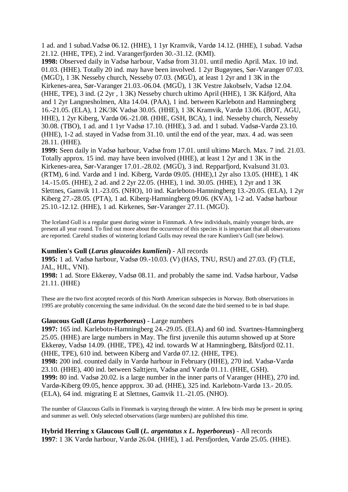1 ad. and 1 subad.Vadsø 06.12. (HHE), 1 1yr Kramvik, Vardø 14.12. (HHE), 1 subad. Vadsø 21.12. (HHE, TPE), 2 ind. Varangerfjorden 30.-31.12. (KMI).

**1998:** Observed daily in Vadsø harbour, Vadsø from 31.01. until medio April. Max. 10 ind. 01.03. (HHE). Totally 20 ind. may have been involved. 1 2yr Bugøynes, Sør-Varanger 07.03. (MGÜ), 1 3K Nesseby church, Nesseby 07.03. (MGÜ), at least 1 2yr and 1 3K in the Kirkenes-area, Sør-Varanger 21.03.-06.04. (MGÜ), 1 3K Vestre Jakobselv, Vadsø 12.04. (HHE, TPE), 3 ind. (2 2yr , 1 3K) Nesseby church ultimo April (HHE), 1 3K Kåfjord, Alta and 1 2yr Langnesholmen, Alta 14.04. (PAA), 1 ind. between Karlebotn and Hamningberg 16.-21.05. (ELA), 1 2K/3K Vadsø 30.05. (HHE), 1 3K Kramvik, Vardø 13.06. (BOT, AGU, HHE), 1 2yr Kiberg, Vardø 06.-21.08. (HHE, GSH, BCA), 1 ind. Nesseby church, Nesseby 30.08. (TBO), 1 ad. and 1 1yr Vadsø 17.10. (HHE), 3 ad. and 1 subad. Vadsø-Vardø 23.10. (HHE), 1-2 ad. stayed in Vadsø from 31.10. until the end of the year, max. 4 ad. was seen 28.11. (HHE).

**1999:** Seen daily in Vadsø harbour, Vadsø from 17.01. until ultimo March. Max. 7 ind. 21.03. Totally approx. 15 ind. may have been involved (HHE), at least 1 2yr and 1 3K in the Kirkenes-area, Sør-Varanger 17.01.-28.02. (MGÜ), 3 ind. Repparfjord, Kvalsund 31.03. (RTM), 6 ind. Vardø and 1 ind. Kiberg, Vardø 09.05. (HHE),1 2yr also 13.05. (HHE), 1 4K 14.-15.05. (HHE), 2 ad. and 2 2yr 22.05. (HHE), 1 ind. 30.05. (HHE), 1 2yr and 1 3K Slettnes, Gamvik 11.-23.05. (NHO), 10 ind. Karlebotn-Hamningberg 13.-20.05. (ELA), 1 2yr Kiberg 27.-28.05. (PTA), 1 ad. Kiberg-Hamningberg 09.06. (KVA), 1-2 ad. Vadsø harbour 25.10.-12.12. (HHE), 1 ad. Kirkenes, Sør-Varanger 27.11. (MGÜ).

The Iceland Gull is a regular guest during winter in Finnmark. A few individuals, mainly younger birds, are present all year round. To find out more about the occurence of this species it is important that all observations are reported. Careful studies of wintering Iceland Gulls may reveal the rare Kumlien's Gull (see below).

#### **Kumlien's Gull (***Larus glaucoides kumlieni***)** - All records

**1995:** 1 ad. Vadsø harbour, Vadsø 09.-10.03. (V) (HAS, TNU, RSU) and 27.03. (F) (TLE, JAL, HJL, VNI).

**1998:** 1 ad. Store Ekkerøy, Vadsø 08.11. and probably the same ind. Vadsø harbour, Vadsø 21.11. (HHE)

These are the two first accepted records of this North American subspecies in Norway. Both observations in 1995 are probably concerning the same individual. On the second date the bird seemed to be in bad shape.

#### **Glaucous Gull (***Larus hyperboreus***)** - Large numbers

**1997:** 165 ind. Karlebotn-Hamningberg 24.-29.05. (ELA) and 60 ind. Svartnes-Hamningberg 25.05. (HHE) are large numbers in May. The first juvenile this autumn showed up at Store Ekkerøy, Vadsø 14.09. (HHE, TPE), 42 ind. towards W at Hamningberg, Båtsfjord 02.11. (HHE, TPE), 610 ind. between Kiberg and Vardø 07.12. (HHE, TPE). **1998:** 200 ind. counted daily in Vardø harbour in February (HHE), 270 ind. Vadsø-Vardø 23.10. (HHE), 400 ind. between Salttjern, Vadsø and Vardø 01.11. (HHE, GSH). **1999:** 80 ind. Vadsø 20.02. is a large number in the inner parts of Varanger (HHE), 270 ind. Vardø-Kiberg 09.05, hence appprox. 30 ad. (HHE), 325 ind. Karlebotn-Vardø 13.- 20.05. (ELA), 64 ind. migrating E at Slettnes, Gamvik 11.-21.05. (NHO).

The number of Glaucous Gulls in Finnmark is varying through the winter. A few birds may be present in spring and summer as well. Only selected observations (large numbers) are published this time.

**Hybrid Herring x Glaucous Gull (***L. argentatus x L. hyperboreus***)** - All records **1997**: 1 3K Vardø harbour, Vardø 26.04. (HHE), 1 ad. Persfjorden, Vardø 25.05. (HHE).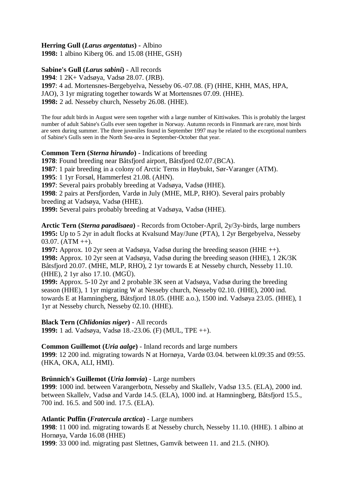**Herring Gull (***Larus argentatus***) -** Albino

**1998:** 1 albino Kiberg 06. and 15.08 (HHE, GSH)

# **Sabine's Gull (***Larus sabini***)** - All records

**1994**: 1 2K+ Vadsøya, Vadsø 28.07. (JRB). **1997**: 4 ad. Mortensnes-Bergebyelva, Nesseby 06.-07.08. (F) (HHE, KHH, MAS, HPA, JAO), 3 1yr migrating together towards W at Mortensnes 07.09. (HHE). **1998:** 2 ad. Nesseby church, Nesseby 26.08. (HHE).

The four adult birds in August were seen together with a large number of Kittiwakes. This is probably the largest number of adult Sabine's Gulls ever seen together in Norway. Autumn records in Finnmark are rare, most birds are seen during summer. The three juveniles found in September 1997 may be related to the exceptional numbers of Sabine's Gulls seen in the North Sea-area in September-October that year.

**Common Tern (***Sterna hirundo***)** - Indications of breeding

**1978**: Found breeding near Båtsfjord airport, Båtsfjord 02.07.(BCA).

**1987**: 1 pair breeding in a colony of Arctic Terns in Høybukt, Sør-Varanger (ATM).

**1995**: 1 1yr Forsøl, Hammerfest 21.08. (AHN).

**1997**: Several pairs probably breeding at Vadsøya, Vadsø (HHE).

**1998**: 2 pairs at Persfjorden, Vardø in July (MHE, MLP, RHO). Several pairs probably breeding at Vadsøya, Vadsø (HHE).

**1999:** Several pairs probably breeding at Vadsøya, Vadsø (HHE).

**Arctic Tern (***Sterna paradisaea***)** - Records from October-April, 2y/3y-birds, large numbers **1995:** Up to 5 2yr in adult flocks at Kvalsund May/June (PTA), 1 2yr Bergebyelva, Nesseby  $03.07.$  (ATM  $++$ ).

**1997:** Approx. 10 2yr seen at Vadsøya, Vadsø during the breeding season (HHE ++). **1998:** Approx. 10 2yr seen at Vadsøya, Vadsø during the breeding season (HHE), 1 2K/3K Båtsfjord 20.07. (MHE, MLP, RHO), 2 1yr towards E at Nesseby church, Nesseby 11.10. (HHE), 2 1yr also 17.10. (MGÜ).

**1999:** Approx. 5-10 2yr and 2 probable 3K seen at Vadsøya, Vadsø during the breeding season (HHE), 1 1yr migrating W at Nesseby church, Nesseby 02.10. (HHE), 2000 ind. towards E at Hamningberg, Båtsfjord 18.05. (HHE a.o.), 1500 ind. Vadsøya 23.05. (HHE), 1 1yr at Nesseby church, Nesseby 02.10. (HHE).

**Black Tern (***Chlidonias niger***)** - All records

**1999:** 1 ad. Vadsøya, Vadsø 18.-23.06. (F) (MUL, TPE ++).

# **Common Guillemot (***Uria aalge***)** - Inland records and large numbers

**1999**: 12 200 ind. migrating towards N at Hornøya, Vardø 03.04. between kl.09:35 and 09:55. (HKA, OKA, ALI, HMI).

# **Brünnich's Guillemot (***Uria lomvia***)** - Large numbers

**1999**: 1000 ind. between Varangerbotn, Nesseby and Skallelv, Vadsø 13.5. (ELA), 2000 ind. between Skallelv, Vadsø and Vardø 14.5. (ELA), 1000 ind. at Hamningberg, Båtsfjord 15.5., 700 ind. 16.5. and 500 ind. 17.5. (ELA).

# **Atlantic Puffin (***Fratercula arctica***)** - Large numbers

**1998**: 11 000 ind. migrating towards E at Nesseby church, Nesseby 11.10. (HHE). 1 albino at Hornøya, Vardø 16.08 (HHE)

**1999**: 33 000 ind. migrating past Slettnes, Gamvik between 11. and 21.5. (NHO).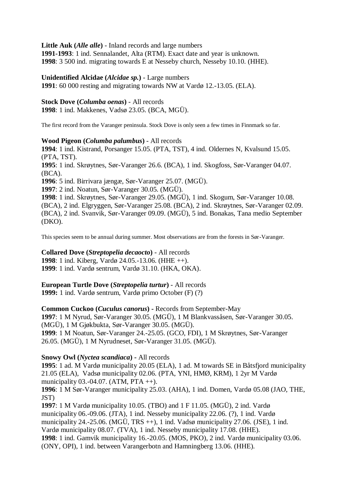**Little Auk (***Alle alle***)** - Inland records and large numbers **1991-1993**: 1 ind. Sennalandet, Alta (RTM). Exact date and year is unknown. **1998**: 3 500 ind. migrating towards E at Nesseby church, Nesseby 10.10. (HHE).

**Unidentified Alcidae (***Alcidae sp.***)** - Large numbers **1991**: 60 000 resting and migrating towards NW at Vardø 12.-13.05. (ELA).

**Stock Dove (***Columba oenas***)** - All records

**1998**: 1 ind. Makkenes, Vadsø 23.05. (BCA, MGÜ).

The first record from the Varanger peninsula. Stock Dove is only seen a few times in Finnmark so far.

# **Wood Pigeon (***Columba palumbus***)** - All records

**1994**: 1 ind. Kistrand, Porsanger 15.05. (PTA, TST), 4 ind. Oldernes N, Kvalsund 15.05. (PTA, TST). **1995**: 1 ind. Skrøytnes, Sør-Varanger 26.6. (BCA), 1 ind. Skogfoss, Sør-Varanger 04.07. (BCA). **1996**: 5 ind. Birrivara jængæ, Sør-Varanger 25.07. (MGÜ). **1997**: 2 ind. Noatun, Sør-Varanger 30.05. (MGÜ). **1998**: 1 ind. Skrøytnes, Sør-Varanger 29.05. (MGÜ), 1 ind. Skogum, Sør-Varanger 10.08. (BCA), 2 ind. Elgryggen, Sør-Varanger 25.08. (BCA), 2 ind. Skrøytnes, Sør-Varanger 02.09. (BCA), 2 ind. Svanvik, Sør-Varanger 09.09. (MGÜ), 5 ind. Bonakas, Tana medio September (DKO).

This species seem to be annual during summer. Most observations are from the forests in Sør-Varanger.

# **Collared Dove (***Streptopelia decaocto***)** - All records **1998**: 1 ind. Kiberg, Vardø 24.05.-13.06. (HHE ++).

**1999**: 1 ind. Vardø sentrum, Vardø 31.10. (HKA, OKA).

# **European Turtle Dove (***Streptopelia turtur***)** - All records

**1999:** 1 ind. Vardø sentrum, Vardø primo October (F) (?)

# **Common Cuckoo (***Cuculus canorus***) -** Records from September-May

**1997**: 1 M Nyrud, Sør-Varanger 30.05. (MGÜ), 1 M Blankvassåsen, Sør-Varanger 30.05. (MGÜ), 1 M Gjøkbukta, Sør-Varanger 30.05. (MGÜ). **1999**: 1 M Noatun, Sør-Varanger 24.-25.05. (GCO, FDI), 1 M Skrøytnes, Sør-Varanger 26.05. (MGÜ), 1 M Nyrudneset, Sør-Varanger 31.05. (MGÜ).

# **Snowy Owl (***Nyctea scandiaca***) -** All records

**1995**: 1 ad. M Vardø municipality 20.05 (ELA), 1 ad. M towards SE in Båtsfjord municipality 21.05 (ELA), Vadsø municipality 02.06. (PTA, YNI, HMØ, KRM), 1 2yr M Vardø municipality 03.-04.07. (ATM, PTA ++).

**1996**: 1 M Sør-Varanger municipality 25.03. (AHA), 1 ind. Domen, Vardø 05.08 (JAO, THE, JST)

**1997**: 1 M Vardø municipality 10.05. (TBO) and 1 F 11.05. (MGÜ), 2 ind. Vardø municipality 06.-09.06. (JTA), 1 ind. Nesseby municipality 22.06. (?), 1 ind. Vardø municipality 24.-25.06. (MGÜ, TRS  $++$ ), 1 ind. Vadsø municipality 27.06. (JSE), 1 ind. Vardø municipality 08.07. (TVA), 1 ind. Nesseby municipality 17.08. (HHE). **1998**: 1 ind. Gamvik municipality 16.-20.05. (MOS, PKO), 2 ind. Vardø municipality 03.06. (ONY, OPI), 1 ind. between Varangerbotn and Hamningberg 13.06. (HHE).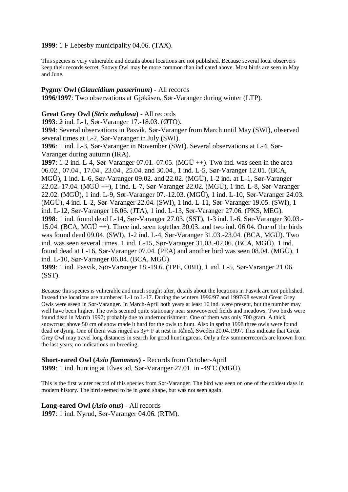#### **1999**: 1 F Lebesby municipality 04.06. (TAX).

This species is very vulnerable and details about locations are not published. Because several local observers keep their records secret, Snowy Owl may be more common than indicated above. Most birds are seen in May and June.

# **Pygmy Owl (***Glaucidium passerinum***)** - All records

**1996/1997**: Two observations at Gjøkåsen, Sør-Varanger during winter (LTP).

### **Great Grey Owl (***Strix nebulosa***)** - All records

**1993**: 2 ind. L-1, Sør-Varanger 17.-18.03. (ØTO).

**1994**: Several observations in Pasvik, Sør-Varanger from March until May (SWI), observed several times at L-2, Sør-Varanger in July (SWI).

**1996**: 1 ind. L-3, Sør-Varanger in November (SWI). Several observations at L-4, Sør-Varanger during autumn (IRA).

**1997**: 1-2 ind. L-4, Sør-Varanger 07.01.-07.05. (MGÜ ++). Two ind. was seen in the area 06.02., 07.04., 17.04., 23.04., 25.04. and 30.04., 1 ind. L-5, Sør-Varanger 12.01. (BCA, MGÜ), 1 ind. L-6, Sør-Varanger 09.02. and 22.02. (MGÜ), 1-2 ind. at L-1, Sør-Varanger 22.02.-17.04. (MGÜ ++), 1 ind. L-7, Sør-Varanger 22.02. (MGÜ), 1 ind. L-8, Sør-Varanger 22.02. (MGÜ), 1 ind. L-9, Sør-Varanger 07.-12.03. (MGÜ), 1 ind. L-10, Sør-Varanger 24.03. (MGÜ), 4 ind. L-2, Sør-Varanger 22.04. (SWI), 1 ind. L-11, Sør-Varanger 19.05. (SWI), 1 ind. L-12, Sør-Varanger 16.06. (JTA), 1 ind. L-13, Sør-Varanger 27.06. (PKS, MEG). **1998**: 1 ind. found dead L-14, Sør-Varanger 27.03. (SST), 1-3 ind. L-6, Sør-Varanger 30.03.- 15.04. (BCA,  $MGU +$ ). Three ind. seen together 30.03. and two ind. 06.04. One of the birds was found dead 09.04. (SWI), 1-2 ind. L-4, Sør-Varanger 31.03.-23.04. (BCA, MGÜ). Two ind. was seen several times. 1 ind. L-15, Sør-Varanger 31.03.-02.06. (BCA, MGÜ). 1 ind. found dead at L-16, Sør-Varanger 07.04. (PEA) and another bird was seen 08.04. (MGÜ), 1 ind. L-10, Sør-Varanger 06.04. (BCA, MGÜ).

**1999**: 1 ind. Pasvik, Sør-Varanger 18.-19.6. (TPE, OBH), 1 ind. L-5, Sør-Varanger 21.06. (SST).

Because this species is vulnerable and much sought after, details about the locations in Pasvik are not published. Instead the locations are numbered L-1 to L-17. During the winters 1996/97 and 1997/98 several Great Grey Owls were sseen in Sør-Varanger. In March-April both years at least 10 ind. were present, but the number may well have been higher. The owls seemed quite stationary near snowcovered fields and meadows. Two birds were found dead in March 1997; probably due to undernourishment. One of them was only 700 gram. A thick snowcrust above 50 cm of snow made it hard for the owls to hunt. Also in spring 1998 three owls were found dead or dying. One of them was ringed as 3y+ F at nest in Råneå, Sweden 20.04.1997. This indicate that Great Grey Owl may travel long distances in search for good huntingareas. Only a few summerrecords are known from the last years; no indications on breeding.

**Short-eared Owl (***Asio flammeus***)** - Records from October-April **1999**: 1 ind. hunting at Elvestad, Sør-Varanger  $27.01$ . in  $-49^{\circ}C$  (MGÜ).

This is the first winter record of this species from Sør-Varanger. The bird was seen on one of the coldest days in modern history. The bird seemed to be in good shape, but was not seen again.

**Long-eared Owl (***Asio otus***)** - All records **1997**: 1 ind. Nyrud, Sør-Varanger 04.06. (RTM).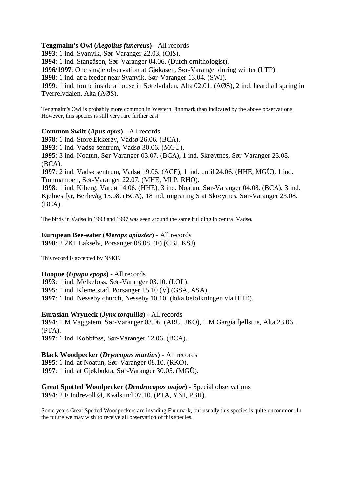#### **Tengmalm's Owl (***Aegolius funereus***)** - All records

**1993**: 1 ind. Svanvik, Sør-Varanger 22.03. (OIS).

**1994**: 1 ind. Stangåsen, Sør-Varanger 04.06. (Dutch ornithologist).

**1996/1997**: One single observation at Gjøkåsen, Sør-Varanger during winter (LTP).

**1998**: 1 ind. at a feeder near Svanvik, Sør-Varanger 13.04. (SWI).

**1999**: 1 ind. found inside a house in Sørelvdalen, Alta 02.01. (AØS), 2 ind. heard all spring in Tverrelvdalen, Alta (AØS).

Tengmalm's Owl is probably more common in Western Finnmark than indicated by the above observations. However, this species is still very rare further east.

#### **Common Swift (***Apus apus***)** - All records

**1978**: 1 ind. Store Ekkerøy, Vadsø 26.06. (BCA).

**1993**: 1 ind. Vadsø sentrum, Vadsø 30.06. (MGÜ).

**1995**: 3 ind. Noatun, Sør-Varanger 03.07. (BCA), 1 ind. Skrøytnes, Sør-Varanger 23.08. (BCA).

**1997**: 2 ind. Vadsø sentrum, Vadsø 19.06. (ACE), 1 ind. until 24.06. (HHE, MGÜ), 1 ind. Tommamoen, Sør-Varanger 22.07. (MHE, MLP, RHO).

**1998**: 1 ind. Kiberg, Vardø 14.06. (HHE), 3 ind. Noatun, Sør-Varanger 04.08. (BCA), 3 ind. Kjølnes fyr, Berlevåg 15.08. (BCA), 18 ind. migrating S at Skrøytnes, Sør-Varanger 23.08. (BCA).

The birds in Vadsø in 1993 and 1997 was seen around the same building in central Vadsø.

# **European Bee-eater (***Merops apiaster***)** - All records

**1998**: 2 2K+ Lakselv, Porsanger 08.08. (F) (CBJ, KSJ).

This record is accepted by NSKF.

#### **Hoopoe (***Upupa epops***)** - All records

**1993**: 1 ind. Melkefoss, Sør-Varanger 03.10. (LOL). **1995**: 1 ind. Klemetstad, Porsanger 15.10 (V) (GSA, ASA). **1997**: 1 ind. Nesseby church, Nesseby 10.10. (lokalbefolkningen via HHE).

**Eurasian Wryneck (***Jynx torquilla***)** - All records

**1994**: 1 M Vaggatem, Sør-Varanger 03.06. (ARU, JKO), 1 M Gargia fjellstue, Alta 23.06. (PTA). **1997**: 1 ind. Kobbfoss, Sør-Varanger 12.06. (BCA).

#### **Black Woodpecker (***Dryocopus martius***)** - All records **1995**: 1 ind. at Noatun, Sør-Varanger 08.10. (RKO). **1997**: 1 ind. at Gjøkbukta, Sør-Varanger 30.05. (MGÜ).

# **Great Spotted Woodpecker (***Dendrocopos major***)** - Special observations **1994**: 2 F Indrevoll Ø, Kvalsund 07.10. (PTA, YNI, PBR).

Some years Great Spotted Woodpeckers are invading Finnmark, but usually this species is quite uncommon. In the future we may wish to receive all observation of this species.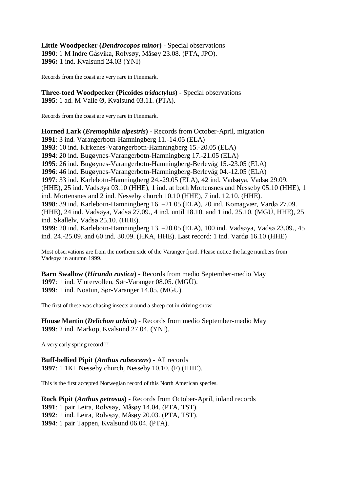**Little Woodpecker (***Dendrocopos minor***)** - Special observations **1990**: 1 M Indre Gåsvika, Rolvsøy, Måsøy 23.08. (PTA, JPO). **1996:** 1 ind. Kvalsund 24.03 (YNI)

Records from the coast are very rare in Finnmark.

**Three-toed Woodpecker (Picoides** *tridactylus***)** - Special observations **1995**: 1 ad. M Valle Ø, Kvalsund 03.11. (PTA).

Records from the coast are very rare in Finnmark.

**Horned Lark (***Eremophila alpestris***)** - Records from October-April, migration **1991**: 3 ind. Varangerbotn-Hamningberg 11.-14.05 (ELA) **1993**: 10 ind. Kirkenes-Varangerbotn-Hamningberg 15.-20.05 (ELA) **1994**: 20 ind. Bugøynes-Varangerbotn-Hamningberg 17.-21.05 (ELA) **1995**: 26 ind. Bugøynes-Varangerbotn-Hamningberg-Berlevåg 15.-23.05 (ELA) **1996**: 46 ind. Bugøynes-Varangerbotn-Hamningberg-Berlevåg 04.-12.05 (ELA) **1997**: 33 ind. Karlebotn-Hamningberg 24.-29.05 (ELA), 42 ind. Vadsøya, Vadsø 29.09. (HHE), 25 ind. Vadsøya 03.10 (HHE), 1 ind. at both Mortensnes and Nesseby 05.10 (HHE), 1 ind. Mortensnes and 2 ind. Nesseby church 10.10 (HHE), 7 ind. 12.10. (HHE). **1998**: 39 ind. Karlebotn-Hamningberg 16. –21.05 (ELA), 20 ind. Komagvær, Vardø 27.09. (HHE), 24 ind. Vadsøya, Vadsø 27.09., 4 ind. until 18.10. and 1 ind. 25.10. (MGÜ, HHE), 25 ind. Skallelv, Vadsø 25.10. (HHE). **1999**: 20 ind. Karlebotn-Hamningberg 13. –20.05 (ELA), 100 ind. Vadsøya, Vadsø 23.09., 45 ind. 24.-25.09. and 60 ind. 30.09. (HKA, HHE). Last record: 1 ind. Vardø 16.10 (HHE)

Most observations are from the northern side of the Varanger fjord. Please notice the large numbers from Vadsøya in autumn 1999.

**Barn Swallow (***Hirundo rustica***)** - Records from medio September-medio May **1997**: 1 ind. Vintervollen, Sør-Varanger 08.05. (MGÜ). **1999**: 1 ind. Noatun, Sør-Varanger 14.05. (MGÜ).

The first of these was chasing insects around a sheep cot in driving snow.

**House Martin (***Delichon urbica***)** - Records from medio September-medio May **1999**: 2 ind. Markop, Kvalsund 27.04. (YNI).

A very early spring record!!!

**Buff-bellied Pipit (***Anthus rubescens***)** - All records **1997**: 1 1K+ Nesseby church, Nesseby 10.10. (F) (HHE).

This is the first accepted Norwegian record of this North American species.

**Rock Pipit (***Anthus petrosus***)** - Records from October-April, inland records : 1 pair Leira, Rolvsøy, Måsøy 14.04. (PTA, TST). : 1 ind. Leira, Rolvsøy, Måsøy 20.03. (PTA, TST). : 1 pair Tappen, Kvalsund 06.04. (PTA).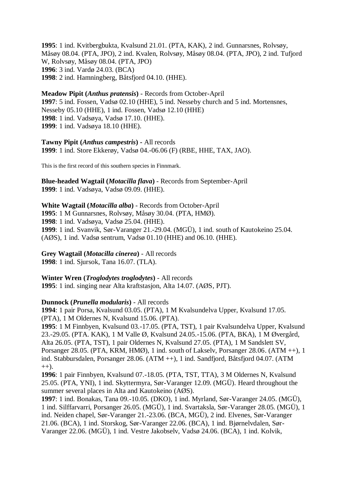**1995**: 1 ind. Kvitbergbukta, Kvalsund 21.01. (PTA, KAK), 2 ind. Gunnarsnes, Rolvsøy, Måsøy 08.04. (PTA, JPO), 2 ind. Kvalen, Rolvsøy, Måsøy 08.04. (PTA, JPO), 2 ind. Tufjord W, Rolvsøy, Måsøy 08.04. (PTA, JPO) **1996**: 3 ind. Vardø 24.03. (BCA) **1998**: 2 ind. Hamningberg, Båtsfjord 04.10. (HHE).

**Meadow Pipit (***Anthus pratensis***)** - Records from October-April **1997**: 5 ind. Fossen, Vadsø 02.10 (HHE), 5 ind. Nesseby church and 5 ind. Mortensnes, Nesseby 05.10 (HHE), 1 ind. Fossen, Vadsø 12.10 (HHE) **1998**: 1 ind. Vadsøya, Vadsø 17.10. (HHE). **1999**: 1 ind. Vadsøya 18.10 (HHE).

**Tawny Pipit (***Anthus campestris***) -** All records **1999**: 1 ind. Store Ekkerøy, Vadsø 04.-06.06 (F) (RBE, HHE, TAX, JAO).

This is the first record of this southern species in Finnmark.

**Blue-headed Wagtail (***Motacilla flava***)** - Records from September-April **1999**: 1 ind. Vadsøya, Vadsø 09.09. (HHE).

**White Wagtail (***Motacilla alba***)** - Records from October-April **1995**: 1 M Gunnarsnes, Rolvsøy, Måsøy 30.04. (PTA, HMØ). **1998**: 1 ind. Vadsøya, Vadsø 25.04. (HHE). **1999**: 1 ind. Svanvik, Sør-Varanger 21.-29.04. (MGÜ), 1 ind. south of Kautokeino 25.04. (AØS), 1 ind. Vadsø sentrum, Vadsø 01.10 (HHE) and 06.10. (HHE).

**Grey Wagtail (***Motacilla cinerea***)** - All records **1998**: 1 ind. Sjursok, Tana 16.07. (TLA).

**Winter Wren (***Troglodytes troglodytes***)** - All records **1995**: 1 ind. singing near Alta kraftstasjon, Alta 14.07. (AØS, PJT).

#### **Dunnock (***Prunella modularis***)** - All records

**1994**: 1 pair Porsa, Kvalsund 03.05. (PTA), 1 M Kvalsundelva Upper, Kvalsund 17.05. (PTA), 1 M Oldernes N, Kvalsund 15.06. (PTA).

**1995**: 1 M Finnbyen, Kvalsund 03.-17.05. (PTA, TST), 1 pair Kvalsundelva Upper, Kvalsund 23.-29.05. (PTA. KAK), 1 M Valle Ø, Kvalsund 24.05.-15.06. (PTA, BKA), 1 M Øvergård, Alta 26.05. (PTA, TST), 1 pair Oldernes N, Kvalsund 27.05. (PTA), 1 M Sandslett SV, Porsanger 28.05. (PTA, KRM, HMØ), 1 ind. south of Lakselv, Porsanger 28.06. (ATM ++), 1 ind. Stabbursdalen, Porsanger 28.06. (ATM ++), 1 ind. Sandfjord, Båtsfjord 04.07. (ATM  $(++)$ .

**1996**: 1 pair Finnbyen, Kvalsund 07.-18.05. (PTA, TST, TTA), 3 M Oldernes N, Kvalsund 25.05. (PTA, YNI), 1 ind. Skyttermyra, Sør-Varanger 12.09. (MGÜ). Heard throughout the summer several places in Alta and Kautokeino (AØS).

**1997**: 1 ind. Bonakas, Tana 09.-10.05. (DKO), 1 ind. Myrland, Sør-Varanger 24.05. (MGÜ), 1 ind. Silffarvarri, Porsanger 26.05. (MGÜ), 1 ind. Svartaksla, Sør-Varanger 28.05. (MGÜ), 1 ind. Neiden chapel, Sør-Varanger 21.-23.06. (BCA, MGÜ), 2 ind. Elvenes, Sør-Varanger 21.06. (BCA), 1 ind. Storskog, Sør-Varanger 22.06. (BCA), 1 ind. Bjørnelvdalen, Sør-Varanger 22.06. (MGÜ), 1 ind. Vestre Jakobselv, Vadsø 24.06. (BCA), 1 ind. Kolvik,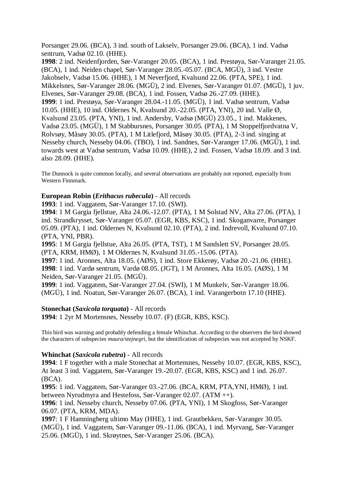Porsanger 29.06. (BCA), 3 ind. south of Lakselv, Porsanger 29.06. (BCA), 1 ind. Vadsø sentrum, Vadsø 02.10. (HHE).

**1998**: 2 ind. Neidenfjorden, Sør-Varanger 20.05. (BCA), 1 ind. Prestøya, Sør-Varanger 21.05. (BCA), 1 ind. Neiden chapel, Sør-Varanger 28.05.-05.07. (BCA, MGÜ), 3 ind. Vestre Jakobselv, Vadsø 15.06. (HHE), 1 M Neverfjord, Kvalsund 22.06. (PTA, SPE), 1 ind. Mikkelsnes, Sør-Varanger 28.06. (MGÜ), 2 ind. Elvenes, Sør-Varanger 01.07. (MGÜ), 1 juv. Elvenes, Sør-Varanger 29.08. (BCA), 1 ind. Fossen, Vadsø 26.-27.09. (HHE). **1999**: 1 ind. Prestøya, Sør-Varanger 28.04.-11.05. (MGÜ), 1 ind. Vadsø sentrum, Vadsø 10.05. (HHE), 10 ind. Oldernes N, Kvalsund 20.-22.05. (PTA, YNI), 20 ind. Valle Ø, Kvalsund 23.05. (PTA, YNI), 1 ind. Andersby, Vadsø (MGÜ) 23.05., 1 ind. Makkenes, Vadsø 23.05. (MGÜ), 1 M Stabbursnes, Porsanger 30.05. (PTA), 1 M Stoppelfjordvatna V, Rolvsøy, Måsøy 30.05. (PTA), 1 M Litlefjord, Måsøy 30.05. (PTA), 2-3 ind. singing at Nesseby church, Nesseby 04.06. (TBO), 1 ind. Sandnes, Sør-Varanger 17.06. (MGÜ), 1 ind. towards west at Vadsø sentrum, Vadsø 10.09. (HHE), 2 ind. Fossen, Vadsø 18.09. and 3 ind. also 28.09. (HHE).

The Dunnock is quite common locally, and several observations are probably not reported, especially from Western Finnmark.

### **European Robin (***Erithacus rubecula***)** - All records

**1993**: 1 ind. Vaggatem, Sør-Varanger 17.10. (SWI).

**1994**: 1 M Gargia fjellstue, Alta 24.06.-12.07. (PTA), 1 M Solstad NV, Alta 27.06. (PTA), 1 ind. Strandkrysset, Sør-Varanger 05.07. (EGR, KBS, KSC), 1 ind. Skoganvarre, Porsanger 05.09. (PTA), 1 ind. Oldernes N, Kvalsund 02.10. (PTA), 2 ind. Indrevoll, Kvalsund 07.10. (PTA, YNI, PBR).

**1995**: 1 M Gargia fjellstue, Alta 26.05. (PTA, TST), 1 M Sandslett SV, Porsanger 28.05. (PTA, KRM, HMØ), 1 M Oldernes N, Kvalsund 31.05.-15.06. (PTA).

**1997**: 1 ind. Aronnes, Alta 18.05. (AØS), 1 ind. Store Ekkerøy, Vadsø 20.-21.06. (HHE). **1998**: 1 ind. Vardø sentrum, Vardø 08.05. (JGT), 1 M Aronnes, Alta 16.05. (AØS), 1 M Neiden, Sør-Varanger 21.05. (MGÜ).

**1999**: 1 ind. Vaggatem, Sør-Varanger 27.04. (SWI), 1 M Munkelv, Sør-Varanger 18.06. (MGÜ), 1 ind. Noatun, Sør-Varanger 26.07. (BCA), 1 ind. Varangerbotn 17.10 (HHE).

#### **Stonechat (***Saxicola torquata***)** - All records

**1994**: 1 2yr M Mortensnes, Nesseby 10.07. (F) (EGR, KBS, KSC).

This bird was warning and probably defending a female Whinchat. According to the observers the bird showed the characters of subspecies *maura/stejnegri*, but the identification of subspecies was not accepted by NSKF.

#### **Whinchat (***Saxicola rubetra***)** - All records

**1994**: 1 F together with a male Stonechat at Mortensnes, Nesseby 10.07. (EGR, KBS, KSC), At least 3 ind. Vaggatem, Sør-Varanger 19.-20.07. (EGR, KBS, KSC) and 1 ind. 26.07. (BCA).

**1995**: 1 ind. Vaggatem, Sør-Varanger 03.-27.06. (BCA, KRM, PTA,YNI, HMØ), 1 ind. between Nyrudmyra and Hestefoss, Sør-Varanger 02.07. (ATM ++).

**1996**: 1 ind. Nesseby church, Nesseby 07.06. (PTA, YNI), 1 M Skogfoss, Sør-Varanger 06.07. (PTA, KRM, MDA).

**1997**: 1 F Hamningberg ultimo May (HHE), 1 ind. Grautbekken, Sør-Varanger 30.05. (MGÜ), 1 ind. Vaggatem, Sør-Varanger 09.-11.06. (BCA), 1 ind. Myrvang, Sør-Varanger 25.06. (MGÜ), 1 ind. Skrøytnes, Sør-Varanger 25.06. (BCA).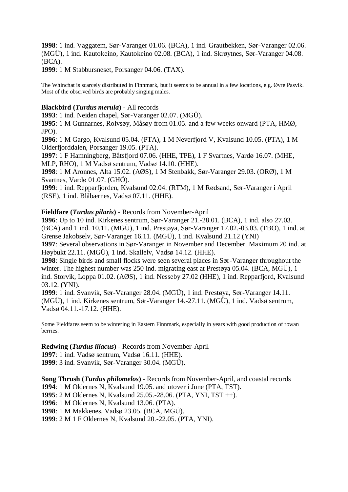**1998**: 1 ind. Vaggatem, Sør-Varanger 01.06. (BCA), 1 ind. Grautbekken, Sør-Varanger 02.06. (MGÜ), 1 ind. Kautokeino, Kautokeino 02.08. (BCA), 1 ind. Skrøytnes, Sør-Varanger 04.08. (BCA).

**1999**: 1 M Stabbursneset, Porsanger 04.06. (TAX).

The Whinchat is scarcely distributed in Finnmark, but it seems to be annual in a few locations, e.g. Øvre Pasvik. Most of the observed birds are probably singing males.

### **Blackbird (***Turdus merula***)** - All records

**1993**: 1 ind. Neiden chapel, Sør-Varanger 02.07. (MGÜ).

**1995**: 1 M Gunnarnes, Rolvsøy, Måsøy from 01.05. and a few weeks onward (PTA, HMØ, JPO).

**1996**: 1 M Gargo, Kvalsund 05.04. (PTA), 1 M Neverfjord V, Kvalsund 10.05. (PTA), 1 M Olderfjorddalen, Porsanger 19.05. (PTA).

**1997**: 1 F Hamningberg, Båtsfjord 07.06. (HHE, TPE), 1 F Svartnes, Vardø 16.07. (MHE, MLP, RHO), 1 M Vadsø sentrum, Vadsø 14.10. (HHE).

**1998**: 1 M Aronnes, Alta 15.02. (AØS), 1 M Stenbakk, Sør-Varanger 29.03. (ORØ), 1 M Svartnes, Vardø 01.07. (GHÖ).

**1999**: 1 ind. Repparfjorden, Kvalsund 02.04. (RTM), 1 M Rødsand, Sør-Varanger i April (RSE), 1 ind. Blåbærnes, Vadsø 07.11. (HHE).

#### **Fieldfare (***Turdus pilaris***)** - Records from November-April

**1996**: Up to 10 ind. Kirkenes sentrum, Sør-Varanger 21.-28.01. (BCA), 1 ind. also 27.03. (BCA) and 1 ind. 10.11. (MGÜ), 1 ind. Prestøya, Sør-Varanger 17.02.-03.03. (TBO), 1 ind. at Grense Jakobselv, Sør-Varanger 16.11. (MGÜ), 1 ind. Kvalsund 21.12 (YNI)

**1997**: Several observations in Sør-Varanger in November and December. Maximum 20 ind. at Høybukt 22.11. (MGÜ), 1 ind. Skallelv, Vadsø 14.12. (HHE).

**1998**: Single birds and small flocks were seen several places in Sør-Varanger throughout the winter. The highest number was 250 ind. migrating east at Prestøya 05.04. (BCA, MGÜ), 1 ind. Storvik, Loppa 01.02. (AØS), 1 ind. Nesseby 27.02 (HHE), 1 ind. Repparfjord, Kvalsund 03.12. (YNI).

**1999**: 1 ind. Svanvik, Sør-Varanger 28.04. (MGÜ), 1 ind. Prestøya, Sør-Varanger 14.11. (MGÜ), 1 ind. Kirkenes sentrum, Sør-Varanger 14.-27.11. (MGÜ), 1 ind. Vadsø sentrum, Vadsø 04.11.-17.12. (HHE).

Some Fieldfares seem to be wintering in Eastern Finnmark, especially in years with good production of rowan berries.

#### **Redwing (***Turdus iliacus***)** - Records from November-April

**1997**: 1 ind. Vadsø sentrum, Vadsø 16.11. (HHE).

**1999**: 3 ind. Svanvik, Sør-Varanger 30.04. (MGÜ).

**Song Thrush (***Turdus philomelos***)** - Records from November-April, and coastal records : 1 M Oldernes N, Kvalsund 19.05. and utover i June (PTA, TST). : 2 M Oldernes N, Kvalsund 25.05.-28.06. (PTA, YNI, TST ++). : 1 M Oldernes N, Kvalsund 13.06. (PTA). : 1 M Makkenes, Vadsø 23.05. (BCA, MGÜ). : 2 M 1 F Oldernes N, Kvalsund 20.-22.05. (PTA, YNI).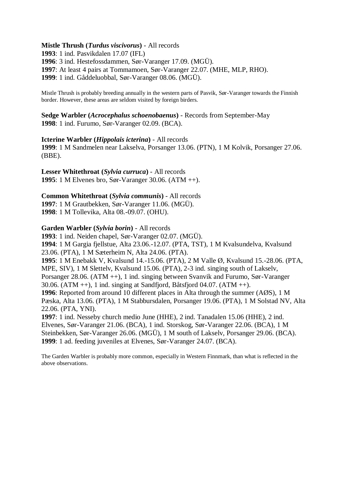### **Mistle Thrush (***Turdus viscivorus***)** - All records

: 1 ind. Pasvikdalen 17.07 (IFL) : 3 ind. Hestefossdammen, Sør-Varanger 17.09. (MGÜ). : At least 4 pairs at Tommamoen, Sør-Varanger 22.07. (MHE, MLP, RHO). : 1 ind. Gåddeluobbal, Sør-Varanger 08.06. (MGÜ).

Mistle Thrush is probably breeding annually in the western parts of Pasvik, Sør-Varanger towards the Finnish border. However, these areas are seldom visited by foreign birders.

**Sedge Warbler (***Acrocephalus schoenobaenus***)** - Records from September-May **1998**: 1 ind. Furumo, Sør-Varanger 02.09. (BCA).

#### **Icterine Warbler (***Hippolais icterina***)** - All records

**1999**: 1 M Sandmelen near Lakselva, Porsanger 13.06. (PTN), 1 M Kolvik, Porsanger 27.06. (BBE).

**Lesser Whitethroat (***Sylvia curruca***)** - All records **1995**: 1 M Elvenes bro, Sør-Varanger 30.06. (ATM ++).

# **Common Whitethroat (***Sylvia communis***)** - All records

**1997**: 1 M Grautbekken, Sør-Varanger 11.06. (MGÜ).

**1998**: 1 M Tollevika, Alta 08.-09.07. (OHU).

#### **Garden Warbler (***Sylvia borin***)** - All records

**1993**: 1 ind. Neiden chapel, Sør-Varanger 02.07. (MGÜ).

**1994**: 1 M Gargia fjellstue, Alta 23.06.-12.07. (PTA, TST), 1 M Kvalsundelva, Kvalsund 23.06. (PTA), 1 M Sæterheim N, Alta 24.06. (PTA).

**1995**: 1 M Enebakk V, Kvalsund 14.-15.06. (PTA), 2 M Valle Ø, Kvalsund 15.-28.06. (PTA, MPE, SIV), 1 M Slettelv, Kvalsund 15.06. (PTA), 2-3 ind. singing south of Lakselv, Porsanger 28.06. (ATM ++), 1 ind. singing between Svanvik and Furumo, Sør-Varanger 30.06. (ATM  $++$ ), 1 ind. singing at Sandfjord, Båtsfjord 04.07. (ATM  $++$ ).

**1996**: Reported from around 10 different places in Alta through the summer (AØS), 1 M Pæska, Alta 13.06. (PTA), 1 M Stabbursdalen, Porsanger 19.06. (PTA), 1 M Solstad NV, Alta 22.06. (PTA, YNI).

**1997**: 1 ind. Nesseby church medio June (HHE), 2 ind. Tanadalen 15.06 (HHE), 2 ind. Elvenes, Sør-Varanger 21.06. (BCA), 1 ind. Storskog, Sør-Varanger 22.06. (BCA), 1 M Steinbekken, Sør-Varanger 26.06. (MGÜ), 1 M south of Lakselv, Porsanger 29.06. (BCA). **1999**: 1 ad. feeding juveniles at Elvenes, Sør-Varanger 24.07. (BCA).

The Garden Warbler is probably more common, especially in Western Finnmark, than what is reflected in the above observations.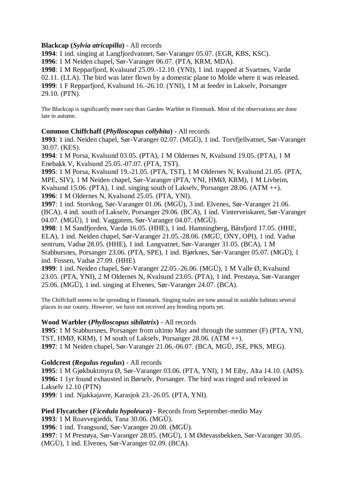# **Blackcap (***Sylvia atricapilla***)** - All records

**1994**: 1 ind. singing at Langfjordvannet, Sør-Varanger 05.07. (EGR, KBS, KSC).

**1996**: 1 M Neiden chapel, Sør-Varanger 06.07. (PTA, KRM, MDA).

**1998**: 1 M Repparfjord, Kvalsund 25.09.-12.10. (YNI), 1 ind. trapped at Svartnes, Vardø 02.11. (LLA). The bird was later flown by a domestic plane to Molde where it was released. **1999**: 1 F Repparfjord, Kvalsund 16.-26.10. (YNI), 1 M at feeder in Lakselv, Porsanger 29.10. (PTN).

The Blackcap is significantly more rare than Garden Warbler in Finnmark. Most of the observations are done late in autumn.

# **Common Chiffchaff (***Phylloscopus collybita***)** - All records

**1993**: 1 ind. Neiden chapel, Sør-Varanger 02.07. (MGÜ), 1 ind. Torvfjellvatnet, Sør-Varanger 30.07. (KES).

**1994**: 1 M Porsa, Kvalsund 03.05. (PTA), 1 M Oldernes N, Kvalsund 19.05. (PTA), 1 M Enebakk V, Kvalsund 25.05.-07.07. (PTA, TST).

**1995**: 1 M Porsa, Kvalsund 19.-21.05. (PTA, TST), 1 M Oldernes N, Kvalsund 21.05. (PTA, MPE, SIV), 1 M Neiden chapel, Sør-Varanger (PTA, YNI, HMØ, KRM), 1 M Livheim, Kvalsund 15.06. (PTA), 1 ind. singing south of Lakselv, Porsanger 28.06. (ATM ++). **1996**: 1 M Oldernes N, Kvalsund 25.05. (PTA, YNI).

**1997**: 1 ind. Storskog, Sør-Varanger 01.06. (MGÜ), 3 ind. Elvenes, Sør-Varanger 21.06. (BCA), 4 ind. south of Lakselv, Porsanger 29.06. (BCA), 1 ind. Vinterveiskaret, Sør-Varanger 04.07. (MGÜ), 1 ind. Vaggatem, Sør-Varanger 04.07. (MGÜ).

**1998**: 1 M Sandfjorden, Vardø 16.05. (HHE), 1 ind. Hamningberg, Båtsfjord 17.05. (HHE, ELA), 1 ind. Neiden chapel, Sør-Varanger 21.05.-28.06. (MGÜ, ONY, OPI), 1 ind. Vadsø sentrum, Vadsø 28.05. (HHE), 1 ind. Langvatnet, Sør-Varanger 31.05. (BCA), 1 M Stabbursnes, Porsanger 23.06. (PTA, SPE), 1 ind. Bjørknes, Sør-Varanger 05.07. (MGÜ), 1 ind. Fossen, Vadsø 27.09. (HHE).

**1999**: 1 ind. Neiden chapel, Sør-Varanger 22.05.-26.06. (MGÜ), 1 M Valle Ø, Kvalsund 23.05. (PTA, YNI), 2 M Oldernes N, Kvalsund 23.05. (PTA), 1 ind. Prestøya, Sør-Varanger 25.06. (MGÜ), 1 ind. singing at Elvenes, Sør-Varanger 24.07. (BCA).

The Chiffchaff seems to be spreading in Finnmark. Singing males are now annual in suitable habitats several places in our county. However, we have not received any breeding reports yet.

# **Wood Warbler (***Phylloscopus sibilatrix***)** - All records

**1995**: 1 M Stabbursnes, Porsanger from ultimo May and through the summer (F) (PTA, YNI, TST, HMØ, KRM), 1 M south of Lakselv, Porsanger 28.06. (ATM ++). **1997**: 1 M Neiden chapel, Sør-Varanger 21.06.-06.07. (BCA, MGÜ, JSE, PKS, MEG).

# **Goldcrest (***Regulus regulus***)** - All records

**1995**: 1 M Gjøkbuktmyra Ø, Sør-Varanger 03.06. (PTA, YNI), 1 M Eiby, Alta 14.10. (AØS). **1996:** 1 1yr found exhausted in Børselv, Porsanger. The bird was ringed and released in Lakselv 12.10 (PTN) **1999**: 1 ind. Njakkajavre, Karasjok 23.-26.05. (PTA, YNI).

**Pied Flycatcher (***Ficedula hypoleuca***)** - Records from September-medio May

**1993**: 1 M Roavvegieddi, Tana 30.06. (MGÜ).

**1996**: 1 ind. Trangsund, Sør-Varanger 20.08. (MGÜ).

**1997**: 1 M Prestøya, Sør-Varanger 28.05. (MGÜ), 1 M Ødevassbekken, Sør-Varanger 30.05. (MGÜ), 1 ind. Elvenes, Sør-Varanger 02.09. (BCA).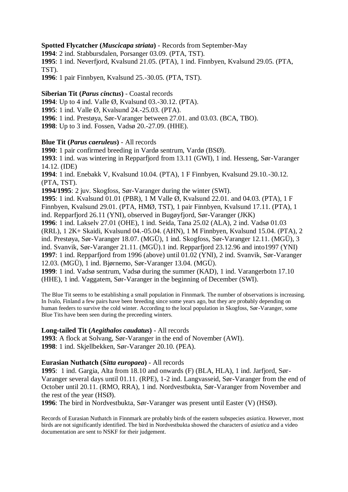# **Spotted Flycatcher (***Muscicapa striata***)** - Records from September-May

**1994**: 2 ind. Stabbursdalen, Porsanger 03.09. (PTA, TST).

**1995**: 1 ind. Neverfjord, Kvalsund 21.05. (PTA), 1 ind. Finnbyen, Kvalsund 29.05. (PTA, TST).

**1996**: 1 pair Finnbyen, Kvalsund 25.-30.05. (PTA, TST).

**Siberian Tit (***Parus cinctus***)** - Coastal records : Up to 4 ind. Valle Ø, Kvalsund 03.-30.12. (PTA). : 1 ind. Valle Ø, Kvalsund 24.-25.03. (PTA). : 1 ind. Prestøya, Sør-Varanger between 27.01. and 03.03. (BCA, TBO). : Up to 3 ind. Fossen, Vadsø 20.-27.09. (HHE).

# **Blue Tit (***Parus caeruleus***)** - All records

**1990**: 1 pair confirmed breeding in Vardø sentrum, Vardø (BSØ). **1993**: 1 ind. was wintering in Repparfjord from 13.11 (GWI), 1 ind. Hesseng, Sør-Varanger 14.12. (IDE) **1994**: 1 ind. Enebakk V, Kvalsund 10.04. (PTA), 1 F Finnbyen, Kvalsund 29.10.-30.12. (PTA, TST). **1994/1995**: 2 juv. Skogfoss, Sør-Varanger during the winter (SWI). **1995**: 1 ind. Kvalsund 01.01 (PBR), 1 M Valle Ø, Kvalsund 22.01. and 04.03. (PTA), 1 F Finnbyen, Kvalsund 29.01. (PTA, HMØ, TST), 1 pair Finnbyen, Kvalsund 17.11. (PTA), 1 ind. Repparfjord 26.11 (YNI), observed in Bugøyfjord, Sør-Varanger (JKK) **1996**: 1 ind. Lakselv 27.01 (OHE), 1 ind. Seida, Tana 25.02 (ALA), 2 ind. Vadsø 01.03 (RRL), 1 2K+ Skaidi, Kvalsund 04.-05.04. (AHN), 1 M Finnbyen, Kvalsund 15.04. (PTA), 2 ind. Prestøya, Sør-Varanger 18.07. (MGÜ), 1 ind. Skogfoss, Sør-Varanger 12.11. (MGÜ), 3 ind. Svanvik, Sør-Varanger 21.11. (MGÜ).1 ind. Repparfjord 23.12.96 and into1997 (YNI) **1997**: 1 ind. Repparfjord from 1996 (above) until 01.02 (YNI), 2 ind. Svanvik, Sør-Varanger 12.03. (MGÜ), 1 ind. Bjørnemo, Sør-Varanger 13.04. (MGÜ). **1999**: 1 ind. Vadsø sentrum, Vadsø during the summer (KAD), 1 ind. Varangerbotn 17.10 (HHE), 1 ind. Vaggatem, Sør-Varanger in the beginning of December (SWI).

The Blue Tit seems to be establishing a small population in Finnmark. The number of observations is increasing. In Ivalo, Finland a few pairs have been breeding since some years ago, but they are probably depending on human feeders to survive the cold winter. According to the local population in Skogfoss, Sør-Varanger, some Blue Tits have been seen during the preceeding winters.

# **Long-tailed Tit (***Aegithalos caudatus***)** - All records

**1993**: A flock at Solvang, Sør-Varanger in the end of November (AWI). **1998**: 1 ind. Skjellbekken, Sør-Varanger 20.10. (PEA).

# **Eurasian Nuthatch (***Sitta europaea***)** - All records

**1995**: 1 ind. Gargia, Alta from 18.10 and onwards (F) (BLA, HLA), 1 ind. Jarfjord, Sør-Varanger several days until 01.11. (RPE), 1-2 ind. Langvasseid, Sør-Varanger from the end of October until 20.11. (RMO, RRA), 1 ind. Nordvestbukta, Sør-Varanger from November and the rest of the year (HSØ).

**1996**: The bird in Nordvestbukta, Sør-Varanger was present until Easter (V) (HSØ).

Records of Eurasian Nuthatch in Finnmark are probably birds of the eastern subspecies *asiatica*. However, most birds are not significantly identified. The bird in Nordvestbukta showed the characters of *asiatica* and a video documentation are sent to NSKF for their judgement.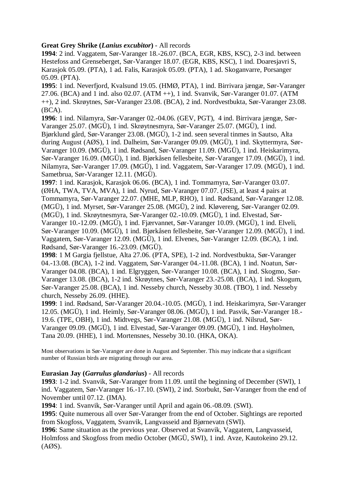# **Great Grey Shrike (***Lanius excubitor***)** - All records

**1994**: 2 ind. Vaggatem, Sør-Varanger 18.-26.07. (BCA, EGR, KBS, KSC), 2-3 ind. between Hestefoss and Grenseberget, Sør-Varanger 18.07. (EGR, KBS, KSC), 1 ind. Doaresjavri S, Karasjok 05.09. (PTA), 1 ad. Falis, Karasjok 05.09. (PTA), 1 ad. Skoganvarre, Porsanger 05.09. (PTA).

**1995**: 1 ind. Neverfjord, Kvalsund 19.05. (HMØ, PTA), 1 ind. Birrivara jængæ, Sør-Varanger 27.06. (BCA) and 1 ind. also 02.07. (ATM ++), 1 ind. Svanvik, Sør-Varanger 01.07. (ATM ++), 2 ind. Skrøytnes, Sør-Varanger 23.08. (BCA), 2 ind. Nordvestbukta, Sør-Varanger 23.08. (BCA).

**1996**: 1 ind. Nilamyra, Sør-Varanger 02.-04.06. (GEV, PGT), 4 ind. Birrivara jængæ, Sør-Varanger 25.07. (MGÜ), 1 ind. Skrøytnesmyra, Sør-Varanger 25.07. (MGÜ), 1 ind. Bjørklund gård, Sør-Varanger 23.08. (MGÜ), 1-2 ind. seen several tinmes in Sautso, Alta during August (AØS), 1 ind. Dalheim, Sør-Varanger 09.09. (MGÜ), 1 ind. Skyttermyra, Sør-Varanger 10.09. (MGÜ), 1 ind. Rødsand, Sør-Varanger 11.09. (MGÜ), 1 ind. Heiskarimyra, Sør-Varanger 16.09. (MGÜ), 1 ind. Bjørkåsen fellesbeite, Sør-Varanger 17.09. (MGÜ), 1 ind. Nilamyra, Sør-Varanger 17.09. (MGÜ), 1 ind. Vaggatem, Sør-Varanger 17.09. (MGÜ), 1 ind. Sametbrua, Sør-Varanger 12.11. (MGÜ).

**1997**: 1 ind. Karasjok, Karasjok 06.06. (BCA), 1 ind. Tommamyra, Sør-Varanger 03.07. (ØHA, TWA, TVA, MVA), 1 ind. Nyrud, Sør-Varanger 07.07. (JSE), at least 4 pairs at Tommamyra, Sør-Varanger 22.07. (MHE, MLP, RHO), 1 ind. Rødsand, Sør-Varanger 12.08. (MGÜ), 1 ind. Myrset, Sør-Varanger 25.08. (MGÜ), 2 ind. Kløvereng, Sør-Varanger 02.09. (MGÜ), 1 ind. Skrøytnesmyra, Sør-Varanger 02.-10.09. (MGÜ), 1 ind. Elvestad, Sør-Varanger 10.-12.09. (MGÜ), 1 ind. Fjærvannet, Sør-Varanger 10.09. (MGÜ), 1 ind. Elveli, Sør-Varanger 10.09. (MGÜ), 1 ind. Bjørkåsen fellesbeite, Sør-Varanger 12.09. (MGÜ), 1 ind. Vaggatem, Sør-Varanger 12.09. (MGÜ), 1 ind. Elvenes, Sør-Varanger 12.09. (BCA), 1 ind. Rødsand, Sør-Varanger 16.-23.09. (MGÜ).

**1998**: 1 M Gargia fjellstue, Alta 27.06. (PTA, SPE), 1-2 ind. Nordvestbukta, Sør-Varanger 04.-13.08. (BCA), 1-2 ind. Vaggatem, Sør-Varanger 04.-11.08. (BCA), 1 ind. Noatun, Sør-Varanger 04.08. (BCA), 1 ind. Elgryggen, Sør-Varanger 10.08. (BCA), 1 ind. Skogmo, Sør-Varanger 13.08. (BCA), 1-2 ind. Skrøytnes, Sør-Varanger 23.-25.08. (BCA), 1 ind. Skogum, Sør-Varanger 25.08. (BCA), 1 ind. Nesseby church, Nesseby 30.08. (TBO), 1 ind. Nesseby church, Nesseby 26.09. (HHE).

**1999**: 1 ind. Rødsand, Sør-Varanger 20.04.-10.05. (MGÜ), 1 ind. Heiskarimyra, Sør-Varanger 12.05. (MGÜ), 1 ind. Heimly, Sør-Varanger 08.06. (MGÜ), 1 ind. Pasvik, Sør-Varanger 18.- 19.6. (TPE, OBH), 1 ind. Midtvegs, Sør-Varanger 21.08. (MGÜ), 1 ind. Nilsrud, Sør-Varanger 09.09. (MGÜ), 1 ind. Elvestad, Sør-Varanger 09.09. (MGÜ), 1 ind. Høyholmen, Tana 20.09. (HHE), 1 ind. Mortensnes, Nesseby 30.10. (HKA, OKA).

Most observations in Sør-Varanger are done in August and September. This may indicate that a significant number of Russian birds are migrating through our area.

# **Eurasian Jay (***Garrulus glandarius***)** - All records

**1993**: 1-2 ind. Svanvik, Sør-Varanger from 11.09. until the beginning of December (SWI), 1 ind. Vaggatem, Sør-Varanger 16.-17.10. (SWI), 2 ind. Storbukt, Sør-Varanger from the end of November until 07.12. (IMA).

**1994**: 1 ind. Svanvik, Sør-Varanger until April and again 06.-08.09. (SWI).

**1995**: Quite numerous all over Sør-Varanger from the end of October. Sightings are reported from Skogfoss, Vaggatem, Svanvik, Langvasseid and Bjørnevatn (SWI).

**1996**: Same situation as the previous year. Observed at Svanvik, Vaggatem, Langvasseid, Holmfoss and Skogfoss from medio October (MGÜ, SWI), 1 ind. Avze, Kautokeino 29.12.  $(AdS)$ .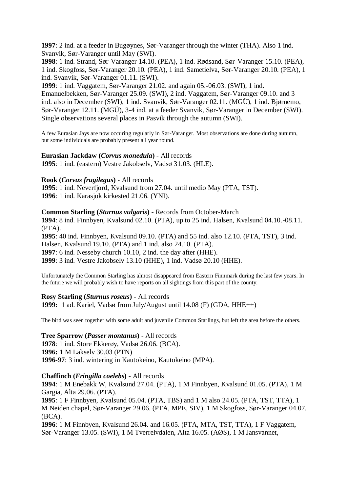**1997**: 2 ind. at a feeder in Bugøynes, Sør-Varanger through the winter (THA). Also 1 ind. Svanvik, Sør-Varanger until May (SWI).

**1998**: 1 ind. Strand, Sør-Varanger 14.10. (PEA), 1 ind. Rødsand, Sør-Varanger 15.10. (PEA), 1 ind. Skogfoss, Sør-Varanger 20.10. (PEA), 1 ind. Sametielva, Sør-Varanger 20.10. (PEA), 1 ind. Svanvik, Sør-Varanger 01.11. (SWI).

**1999**: 1 ind. Vaggatem, Sør-Varanger 21.02. and again 05.-06.03. (SWI), 1 ind. Emanuelbekken, Sør-Varanger 25.09. (SWI), 2 ind. Vaggatem, Sør-Varanger 09.10. and 3 ind. also in December (SWI), 1 ind. Svanvik, Sør-Varanger 02.11. (MGÜ), 1 ind. Bjørnemo, Sør-Varanger 12.11. (MGÜ), 3-4 ind. at a feeder Svanvik, Sør-Varanger in December (SWI). Single observations several places in Pasvik through the autumn (SWI).

A few Eurasian Jays are now occuring regularly in Sør-Varanger. Most observations are done during autumn, but some individuals are probably present all year round.

#### **Eurasian Jackdaw (***Corvus monedula***)** - All records

**1995**: 1 ind. (eastern) Vestre Jakobselv, Vadsø 31.03. (HLE).

**Rook (***Corvus frugilegus***)** - All records

**1995**: 1 ind. Neverfjord, Kvalsund from 27.04. until medio May (PTA, TST). **1996**: 1 ind. Karasjok kirkested 21.06. (YNI).

#### **Common Starling (***Sturnus vulgaris***)** - Records from October-March

**1994**: 8 ind. Finnbyen, Kvalsund 02.10. (PTA), up to 25 ind. Halsen, Kvalsund 04.10.-08.11. (PTA).

: 40 ind. Finnbyen, Kvalsund 09.10. (PTA) and 55 ind. also 12.10. (PTA, TST), 3 ind. Halsen, Kvalsund 19.10. (PTA) and 1 ind. also 24.10. (PTA). : 6 ind. Nesseby church 10.10, 2 ind. the day after (HHE). : 3 ind. Vestre Jakobselv 13.10 (HHE), 1 ind. Vadsø 20.10 (HHE).

Unfortunately the Common Starling has almost disappeared from Eastern Finnmark during the last few years. In the future we will probably wish to have reports on all sightings from this part of the county.

**Rosy Starling (***Sturnus roseus***) -** All records

**1999:** 1 ad. Kariel, Vadsø from July/August until 14.08 (F) (GDA, HHE++)

The bird was seen together with some adult and juvenile Common Starlings, but left the area before the others.

**Tree Sparrow (***Passer montanus***)** - All records **1978**: 1 ind. Store Ekkerøy, Vadsø 26.06. (BCA). **1996:** 1 M Lakselv 30.03 (PTN) **1996-97**: 3 ind. wintering in Kautokeino, Kautokeino (MPA).

#### **Chaffinch (***Fringilla coelebs***)** - All records

**1994**: 1 M Enebakk W, Kvalsund 27.04. (PTA), 1 M Finnbyen, Kvalsund 01.05. (PTA), 1 M Gargia, Alta 29.06. (PTA).

**1995**: 1 F Finnbyen, Kvalsund 05.04. (PTA, TBS) and 1 M also 24.05. (PTA, TST, TTA), 1 M Neiden chapel, Sør-Varanger 29.06. (PTA, MPE, SIV), 1 M Skogfoss, Sør-Varanger 04.07. (BCA).

**1996**: 1 M Finnbyen, Kvalsund 26.04. and 16.05. (PTA, MTA, TST, TTA), 1 F Vaggatem, Sør-Varanger 13.05. (SWI), 1 M Tverrelvdalen, Alta 16.05. (AØS), 1 M Jansvannet,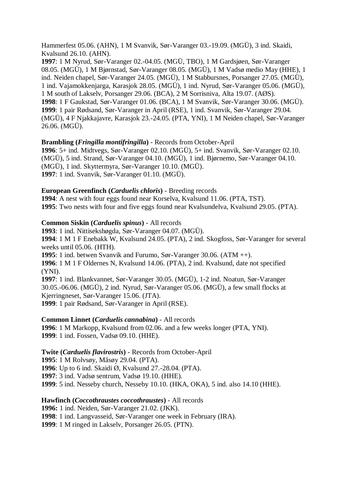Hammerfest 05.06. (AHN), 1 M Svanvik, Sør-Varanger 03.-19.09. (MGÜ), 3 ind. Skaidi, Kvalsund 26.10. (AHN).

**1997**: 1 M Nyrud, Sør-Varanger 02.-04.05. (MGÜ, TBO), 1 M Gardsjøen, Sør-Varanger 08.05. (MGÜ), 1 M Bjørnstad, Sør-Varanger 08.05. (MGÜ), 1 M Vadsø medio May (HHE), 1 ind. Neiden chapel, Sør-Varanger 24.05. (MGÜ), 1 M Stabbursnes, Porsanger 27.05. (MGÜ), 1 ind. Vajamokkenjarga, Karasjok 28.05. (MGÜ), 1 ind. Nyrud, Sør-Varanger 05.06. (MGÜ), 1 M south of Lakselv, Porsanger 29.06. (BCA), 2 M Sorrisniva, Alta 19.07. (AØS). **1998**: 1 F Gaukstad, Sør-Varanger 01.06. (BCA), 1 M Svanvik, Sør-Varanger 30.06. (MGÜ). **1999**: 1 pair Rødsand, Sør-Varanger in April (RSE), 1 ind. Svanvik, Sør-Varanger 29.04. (MGÜ), 4 F Njakkajavre, Karasjok 23.-24.05. (PTA, YNI), 1 M Neiden chapel, Sør-Varanger 26.06. (MGÜ).

# **Brambling (***Fringilla montifringilla***)** - Records from October-April

**1996**: 5+ ind. Midtvegs, Sør-Varanger 02.10. (MGÜ), 5+ ind. Svanvik, Sør-Varanger 02.10. (MGÜ), 5 ind. Strand, Sør-Varanger 04.10. (MGÜ), 1 ind. Bjørnemo, Sør-Varanger 04.10. (MGÜ), 1 ind. Skyttermyra, Sør-Varanger 10.10. (MGÜ). **1997**: 1 ind. Svanvik, Sør-Varanger 01.10. (MGÜ).

#### **European Greenfinch (***Carduelis chloris***)** - Breeding records

**1994**: A nest with four eggs found near Korselva, Kvalsund 11.06. (PTA, TST). **1995**: Two nests with four and five eggs found near Kvalsundelva, Kvalsund 29.05. (PTA).

#### **Common Siskin (***Carduelis spinus***)** - All records

**1993**: 1 ind. Nittisekshøgda, Sør-Varanger 04.07. (MGÜ).

**1994**: 1 M 1 F Enebakk W, Kvalsund 24.05. (PTA), 2 ind. Skogfoss, Sør-Varanger for several weeks until 05.06. (HTH).

**1995**: 1 ind. betwen Svanvik and Furumo, Sør-Varanger 30.06. (ATM ++).

**1996**: 1 M 1 F Oldernes N, Kvalsund 14.06. (PTA), 2 ind. Kvalsund, date not specified (YNI).

**1997**: 1 ind. Blankvannet, Sør-Varanger 30.05. (MGÜ), 1-2 ind. Noatun, Sør-Varanger 30.05.-06.06. (MGÜ), 2 ind. Nyrud, Sør-Varanger 05.06. (MGÜ), a few small flocks at Kjerringneset, Sør-Varanger 15.06. (JTA). **1999**: 1 pair Rødsand, Sør-Varanger in April (RSE).

# **Common Linnet (***Carduelis cannabina***)** - All records

**1996**: 1 M Markopp, Kvalsund from 02.06. and a few weeks longer (PTA, YNI). **1999**: 1 ind. Fossen, Vadsø 09.10. (HHE).

#### **Twite (***Carduelis flavirostris***)** - Records from October-April

**1995**: 1 M Rolvsøy, Måsøy 29.04. (PTA).

**1996**: Up to 6 ind. Skaidi Ø, Kvalsund 27.-28.04. (PTA).

**1997**: 3 ind. Vadsø sentrum, Vadsø 19.10. (HHE).

**1999**: 5 ind. Nesseby church, Nesseby 10.10. (HKA, OKA), 5 ind. also 14.10 (HHE).

#### **Hawfinch (***Coccothraustes coccothraustes***)** - All records

**1996:** 1 ind. Neiden, Sør-Varanger 21.02. (JKK).

**1998**: 1 ind. Langvasseid, Sør-Varanger one week in February (IRA).

**1999**: 1 M ringed in Lakselv, Porsanger 26.05. (PTN).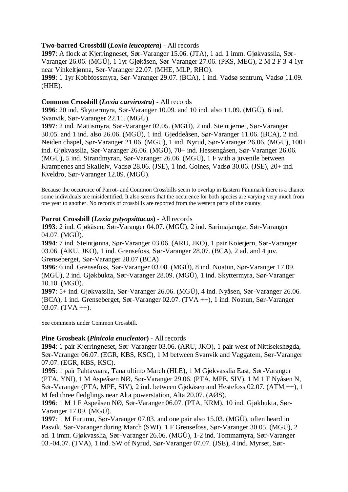# **Two-barred Crossbill (***Loxia leucoptera***)** - All records

**1997**: A flock at Kjerringneset, Sør-Varanger 15.06. (JTA), 1 ad. 1 imm. Gjøkvasslia, Sør-Varanger 26.06. (MGÜ), 1 1yr Gjøkåsen, Sør-Varanger 27.06. (PKS, MEG), 2 M 2 F 3-4 1yr near Vinkeltjønna, Sør-Varanger 22.07. (MHE, MLP, RHO). **1999**: 1 1yr Kobbfossmyra, Sør-Varanger 29.07. (BCA), 1 ind. Vadsø sentrum, Vadsø 11.09. (HHE).

### **Common Crossbill (***Loxia curvirostra***)** - All records

**1996**: 20 ind. Skyttermyra, Sør-Varanger 10.09. and 10 ind. also 11.09. (MGÜ), 6 ind. Svanvik, Sør-Varanger 22.11. (MGÜ).

**1997**: 2 ind. Mattismyra, Sør-Varanger 02.05. (MGÜ), 2 ind. Steintjernet, Sør-Varanger 30.05. and 1 ind. also 26.06. (MGÜ), 1 ind. Gjeddeåsen, Sør-Varanger 11.06. (BCA), 2 ind. Neiden chapel, Sør-Varanger 21.06. (MGÜ), 1 ind. Nyrud, Sør-Varanger 26.06. (MGÜ), 100+ ind. Gjøkvasslia, Sør-Varanger 26.06. (MGÜ), 70+ ind. Hessengåsen, Sør-Varanger 26.06. (MGÜ), 5 ind. Strandmyran, Sør-Varanger 26.06. (MGÜ), 1 F with a juvenile between Krampenes and Skallelv, Vadsø 28.06. (JSE), 1 ind. Golnes, Vadsø 30.06. (JSE), 20+ ind. Kveldro, Sør-Varanger 12.09. (MGÜ).

Because the occurence of Parrot- and Common Crossbills seem to overlap in Eastern Finnmark there is a chance some individuals are misidentified. It also seems that the occurence for both species are varying very much from one year to another. No records of crossbills are reported from the western parts of the county.

#### **Parrot Crossbill (***Loxia pytyopsittacus***)** - All records

**1993**: 2 ind. Gjøkåsen, Sør-Varanger 04.07. (MGÜ), 2 ind. Sarimajængæ, Sør-Varanger 04.07. (MGÜ).

**1994**: 7 ind. Steintjønna, Sør-Varanger 03.06. (ARU, JKO), 1 pair Koietjern, Sør-Varanger 03.06. (AKU, JKO), 1 ind. Grensefoss, Sør-Varanger 28.07. (BCA), 2 ad. and 4 juv. Grenseberget, Sør-Varanger 28.07 (BCA)

**1996**: 6 ind. Grensefoss, Sør-Varanger 03.08. (MGÜ), 8 ind. Noatun, Sør-Varanger 17.09. (MGÜ), 2 ind. Gjøkbukta, Sør-Varanger 28.09. (MGÜ), 1 ind. Skyttermyra, Sør-Varanger 10.10. (MGÜ).

**1997**: 5+ ind. Gjøkvasslia, Sør-Varanger 26.06. (MGÜ), 4 ind. Nyåsen, Sør-Varanger 26.06. (BCA), 1 ind. Grenseberget, Sør-Varanger 02.07. (TVA ++), 1 ind. Noatun, Sør-Varanger  $03.07.$  (TVA  $++$ ).

See comments under Common Crossbill.

#### **Pine Grosbeak (***Pinicola enucleator***)** - All records

**1994**: 1 pair Kjerringneset, Sør-Varanger 03.06. (ARU, JKO), 1 pair west of Nittisekshøgda, Sør-Varanger 06.07. (EGR, KBS, KSC), 1 M between Svanvik and Vaggatem, Sør-Varanger 07.07. (EGR, KBS, KSC).

**1995**: 1 pair Pahtavaara, Tana ultimo March (HLE), 1 M Gjøkvasslia East, Sør-Varanger (PTA, YNI), 1 M Aspeåsen NØ, Sør-Varanger 29.06. (PTA, MPE, SIV), 1 M 1 F Nyåsen N, Sør-Varanger (PTA, MPE, SIV), 2 ind. between Gjøkåsen and Hestefoss 02.07. (ATM ++), 1 M fed three fledglings near Alta powerstation, Alta 20.07. (AØS).

**1996**: 1 M 1 F Aspeåsen NØ, Sør-Varanger 06.07. (PTA, KRM), 10 ind. Gjøkbukta, Sør-Varanger 17.09. (MGÜ).

**1997**: 1 M Furumo, Sør-Varanger 07.03. and one pair also 15.03. (MGÜ), often heard in Pasvik, Sør-Varanger during March (SWI), 1 F Grensefoss, Sør-Varanger 30.05. (MGÜ), 2 ad. 1 imm. Gjøkvasslia, Sør-Varanger 26.06. (MGÜ), 1-2 ind. Tommamyra, Sør-Varanger 03.-04.07. (TVA), 1 ind. SW of Nyrud, Sør-Varanger 07.07. (JSE), 4 ind. Myrset, Sør-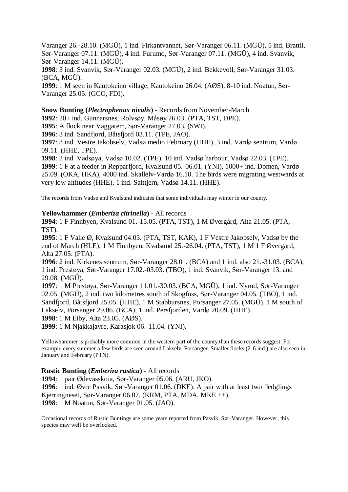Varanger 26.-28.10. (MGÜ), 1 ind. Firkantvannet, Sør-Varanger 06.11. (MGÜ), 5 ind. Brattli, Sør-Varanger 07.11. (MGÜ), 4 ind. Furumo, Sør-Varanger 07.11. (MGÜ), 4 ind. Svanvik, Sør-Varanger 14.11. (MGÜ).

**1998**: 3 ind. Svanvik, Sør-Varanger 02.03. (MGÜ), 2 ind. Bekkevoll, Sør-Varanger 31.03. (BCA, MGÜ).

**1999**: 1 M seen in Kautokeino village, Kautokeino 26.04. (AØS), 8-10 ind. Noatun, Sør-Varanger 25.05. (GCO, FDI).

**Snow Bunting (***Plectrophenax nivalis***)** - Records from November-March

**1992**: 20+ ind. Gunnarsnes, Rolvsøy, Måsøy 26.03. (PTA, TST, DPE).

**1995**: A flock near Vaggatem, Sør-Varanger 27.03. (SWI).

**1996**: 3 ind. Sandfjord, Båtsfjord 03.11. (TPE, JAO).

**1997**: 3 ind. Vestre Jakobselv, Vadsø medio February (HHE), 3 ind. Vardø sentrum, Vardø 09.11. (HHE, TPE).

**1998**: 2 ind. Vadsøya, Vadsø 10.02. (TPE), 10 ind. Vadsø harbour, Vadsø 22.03. (TPE). **1999**: 1 F at a feeder in Repparfjord, Kvalsund 05.-06.01. (YNI), 1000+ ind. Domen, Vardø 25.09. (OKA, HKA), 4000 ind. Skallelv-Vardø 16.10. The birds were migrating westwards at very low altitudes (HHE), 1 ind. Salttjern, Vadsø 14.11. (HHE).

The records from Vadsø and Kvalsund indicates that some individuals may winter in our county.

#### **Yellowhammer (***Emberiza citrinella***)** - All records

**1994**: 1 F Finnbyen, Kvalsund 01.-15.05. (PTA, TST), 1 M Øvergård, Alta 21.05. (PTA, TST).

**1995**: 1 F Valle Ø, Kvalsund 04.03. (PTA, TST, KAK), 1 F Vestre Jakobselv, Vadsø by the end of March (HLE), 1 M Finnbyen, Kvalsund 25.-26.04. (PTA, TST), 1 M 1 F Øvergård, Alta 27.05. (PTA).

**1996**: 2 ind. Kirkenes sentrum, Sør-Varanger 28.01. (BCA) and 1 ind. also 21.-31.03. (BCA), 1 ind. Prestøya, Sør-Varanger 17.02.-03.03. (TBO), 1 ind. Svanvik, Sør-Varanger 13. and 29.08. (MGÜ).

**1997**: 1 M Prestøya, Sør-Varanger 11.01.-30.03. (BCA, MGÜ), 1 ind. Nyrud, Sør-Varanger 02.05. (MGÜ), 2 ind. two kilometres south of Skogfoss, Sør-Varanger 04.05. (TBO), 1 ind. Sandfjord, Båtsfjord 25.05. (HHE), 1 M Stabbursnes, Porsanger 27.05. (MGÜ), 1 M south of Lakselv, Porsanger 29.06. (BCA), 1 ind. Persfjorden, Vardø 20.09. (HHE).

**1998**: 1 M Eiby, Alta 23.05. (AØS).

**1999**: 1 M Njakkajavre, Karasjok 06.-11.04. (YNI).

Yellowhammer is probably more common in the western part of the county than these records suggest. For example every summer a few birds are seen around Lakselv, Porsanger. Smaller flocks (2-6 ind.) are also seen in January and February (PTN).

#### **Rustic Bunting (***Emberiza rustica***)** - All records

: 1 pair Ødevasskoia, Sør-Varanger 05.06. (ARU, JKO). : 1 ind. Øvre Pasvik, Sør-Varanger 01.06. (DKE). A pair with at least two fledglings Kjerringneset, Sør-Varanger 06.07. (KRM, PTA, MDA, MKE ++). : 1 M Noatun, Sør-Varanger 01.05. (JAO).

Occasional records of Rustic Buntings are some years reported from Pasvik, Sør-Varanger. However, this species may well be overlooked.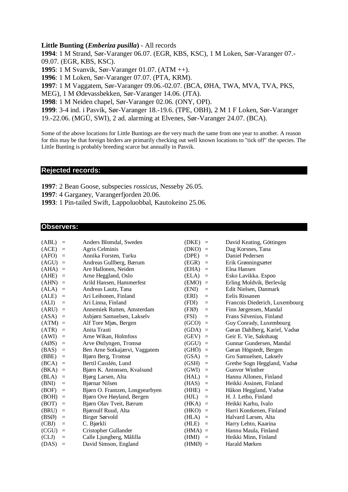#### **Little Bunting (***Emberiza pusilla***)** - All records

**1994**: 1 M Strand, Sør-Varanger 06.07. (EGR, KBS, KSC), 1 M Loken, Sør-Varanger 07.- 09.07. (EGR, KBS, KSC).

**1995**: 1 M Svanvik, Sør-Varanger 01.07. (ATM ++).

**1996**: 1 M Loken, Sør-Varanger 07.07. (PTA, KRM).

**1997**: 1 M Vaggatem, Sør-Varanger 09.06.-02.07. (BCA, ØHA, TWA, MVA, TVA, PKS,

MEG), 1 M Ødevassbekken, Sør-Varanger 14.06. (JTA).

**1998**: 1 M Neiden chapel, Sør-Varanger 02.06. (ONY, OPI).

**1999**: 3-4 ind. i Pasvik, Sør-Varanger 18.-19.6. (TPE, OBH), 2 M 1 F Loken, Sør-Varanger 19.-22.06. (MGÜ, SWI), 2 ad. alarming at Elvenes, Sør-Varanger 24.07. (BCA).

Some of the above locations for Little Buntings are the very much the same from one year to another. A reason for this may be that foreign birders are primarily checking out well known locations to "tick off" the species. The Little Bunting is probably breeding scarce but annually in Pasvik.

#### **Rejected records:**

**1997**: 2 Bean Goose, subspecies *rossicus*, Nesseby 26.05.

**1997**: 4 Garganey, Varangerfjorden 20.06.

**1993**: 1 Pin-tailed Swift, Lappoluobbal, Kautokeino 25.06.

# **Observers:**

| (ABL)            | $\equiv$                       | Anders Blomdal, Sweden          | (DKE)<br>$\equiv$        | David Keating, Göttingen       |
|------------------|--------------------------------|---------------------------------|--------------------------|--------------------------------|
| (ACE)            | $=$                            | Agris Celminis                  | (DKO)<br>$=$             | Dag Korsnes, Tana              |
| (AFO)            | $=$                            | Annika Forsten, Turku           | (DPE)<br>$=$             | Daniel Pedersen                |
| (AGU)            | $=$                            | Andreas Gullberg, Bærum         | (EGR)<br>$\equiv$        | Erik Grønningsæter             |
| (AHA)            | $=$                            | Are Hallonen, Neiden            | (EHA)<br>$\equiv$        | Elna Hansen                    |
| (AHE)            | $\qquad \qquad =\qquad \qquad$ | Arne Heggland, Oslo             | (ELA)<br>$=$             | Esko Lavikka. Espoo            |
| (AHN)            | $=$                            | Arild Hansen, Hammerfest        | (EMO)<br>$\equiv$        | Erling Moldvik, Berlevåg       |
| (ALA)            | $\equiv$                       | Andreas Lautz, Tana             | (ENI)<br>$\equiv$        | Edit Nielsen, Danmark          |
| (ALE)            | $\equiv$                       | Ari Leihonen, Finland           | (ERI)<br>$=$             | Eelis Rissanen                 |
| (ALI)            | $\quad =$                      | Ari Linna, Finland              | (FDI)<br>$\equiv$        | Francois Diederich, Luxembourg |
| (ARU)            | $=$                            | Annemiek Rutten, Amsterdam      | (FJØ)<br>$\equiv$        | Finn Jørgensen, Mandal         |
| (ASA)            | $\equiv$                       | Asbjørn Samuelsen, Lakselv      | (FSI)<br>$=$             | Frans Silvenius, Finland       |
| $(ATM) =$        |                                | Alf Tore Mjøs, Bergen           | (GCO)<br>$\equiv$        | Guy Conrady, Luxembourg        |
| (ATR)            | $=$                            | Anita Trasti                    | (GDA)<br>$\equiv$        | Gøran Dahlberg, Kariel, Vadsø  |
| (AWI)            | $\qquad \qquad =\qquad \qquad$ | Arne Wikan, Holmfoss            | (GEV)<br>$=$             | Geir E. Vie, Sakshaug          |
| $(A\emptyset S)$ | $\equiv$                       | Arve Østlyngen, Tromsø          | (GGU)<br>$=$             | Gunnar Gundersen, Mandal       |
| (BAS)            | $\quad =$                      | Ben Arne Sotkajærvi, Vaggatem   | (GHÖ)<br>$=$             | Gøran Högstedt, Bergen         |
| (BBE)            | $\equiv$                       | Bjørn Berg, Tromsø              | (GSA)<br>$\quad \  \  =$ | Gro Samuelsen, Lakselv         |
| (BCA)            | $\equiv$                       | Bertil Casslén, Lund            | (GSH)<br>$\equiv$        | Grethe Sogn Heggland, Vadsø    |
| (BKA)            | $\equiv$                       | Bjørn K. Antonsen, Kvalsund     | (GWI)<br>$\equiv$        | <b>Gunvor Winther</b>          |
| (BLA)            | $\equiv$                       | Bjørg Larsen, Alta              | (HAL)<br>$\equiv$        | Hannu Allonen, Finland         |
| (BNI)            | $\equiv$                       | Bjørnar Nilsen                  | (HAS)<br>$\quad \  \  =$ | Heikki Assinen, Finland        |
| (BOF)            | $\equiv$                       | Bjørn O. Frantzen, Longyearbyen | (HHE)<br>$=$             | Håkon Heggland, Vadsø          |
| (BOH)            | $\equiv$                       | Bjørn Ove Høyland, Bergen       | (HJL)<br>$=$             | H. J. Letho, Finland           |
| (BOT)            | $=$                            | Bjørn Olav Tveit, Bærum         | (HKA)<br>$\equiv$        | Heikki Karhu, Ivalo            |
| (BRU)            | $\equiv$                       | Bjørnulf Ruud, Alta             | (HKO)<br>$\equiv$        | Harri Kontkenen, Finland       |
| (BSØ)            | $\equiv$                       | Birger Sørvold                  | (HLA)<br>$\quad \  \  =$ | Halvard Larsen, Alta           |
| (CBJ)            | $\equiv$                       | C. Bjørkli                      | (HLE)<br>$=$             | Harry Lehto, Kaarina           |
| (CGU)            | $\equiv$                       | Cristopher Gullander            | $(HMA)$ =                | Hannu Maula, Finland           |
| CLJ)             | $=$                            | Calle Ljungberg, Målilla        | (HMI)<br>$=$             | Heikki Minn, Finland           |
| (DAS)            | $=$                            | David Simson, England           | $(HMØ) =$                | Harald Mørken                  |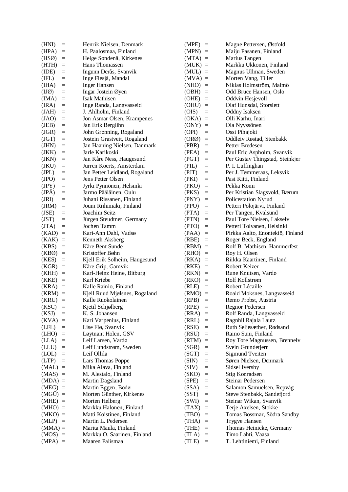| (HNI)            | $\!\!\!=\!\!\!\!$ | Henrik Nielsen, Denmark       | $(MPE) =$                                  | Magne Pettersen, Østfold         |
|------------------|-------------------|-------------------------------|--------------------------------------------|----------------------------------|
| (HPA)            | $\quad =$         | H. Paalosmaa, Finland         | $(MPN)$ =                                  | Maiju Pasanen, Finland           |
| (HSØ)            | $\quad =$         | Helge Søndenå, Kirkenes       | $(MTA)$ =                                  | Marius Tangen                    |
| (HTH)            | $\equiv$          | Hans Thomassen                | $(MUK) =$                                  | Markku Ukkonen, Finland          |
| (IDE)            | $=$               | Ingunn Derås, Svanvik         | $(MUL)$ =                                  | Magnus Ullman, Sweden            |
| (IFL)            | $=$               | Inge Flesjå, Mandal           | $(MVA)$ =                                  | Morten Vang, Tiller              |
| (IHA)            | $=$               | <b>Inger Hansen</b>           | $(NHO) =$                                  | Niklas Holmström, Malmö          |
| $(II\emptyset)$  | $\equiv$          | Ingar Jostein Øyen            | $(OBH)$ =                                  | Odd Bruce Hansen, Oslo           |
| (IMA)            | $=$               | <b>Isak Mathisen</b>          | (OHE)<br>$\equiv$                          | Oddvin Hesjevoll                 |
| (IRA)            | $=$               | Inge Randa, Langvasseid       | $(OHU) =$                                  | Olaf Hunsdal, Storslett          |
| (JAH)            | $\equiv$          | J. Ahlholm, Finland           | (OIS)<br>$\equiv$                          | Oddny Isaksen                    |
| (JAO)            | $\equiv$          | Jon Asmar Olsen, Krampenes    | (OKA)<br>$\equiv$                          | Olli Karhu, Inari                |
|                  |                   | Jan Erik Berglihn             |                                            | Ola Nyyssönen                    |
| (JEB)            | $=$               |                               | $(ONY) =$                                  |                                  |
| (JGR)            | $\!\!\!=\!\!\!\!$ | John Grønning, Rogaland       | (OPI)<br>$\equiv$                          | Ossi Pihajoki                    |
| (IGT)            | $\quad =$         | Jostein Grastveit, Rogaland   | (ORØ)<br>$\quad \  \  =$                   | Oddleiv Røstad, Stenbakk         |
| (HIN)            | $\quad =$         | Jan Haaning Nielsen, Danmark  | (PBR)<br>$\quad =$                         | Petter Bredesen                  |
| (JKK)            | $\equiv$          | Jarle Karikoski               | (PEA)<br>$\equiv$                          | Paul Eric Aspholm, Svanvik       |
| (JKN)            | $=$               | Jan Kåre Ness, Haugesund      | (PGT)<br>$\quad \  \  =$                   | Per Gustav Thingstad, Steinkjer  |
| (JKU)            | $\equiv$          | Jurren Koerts, Amsterdam      | (PIL)<br>$\quad = \quad$                   | P. I. Luffinghan                 |
| (JPL)            | $\equiv$          | Jan Petter Leidland, Rogaland | (PIT)<br>$=$                               | Per J. Tømmeraas, Leksvik        |
| (JPO)            | $=$               | Jens Petter Olsen             | (PKI)<br>$=$                               | Pasi Kitti, Finland              |
| (IPY)            | $=$               | Jyrki Pynnönen, Helsinki      | (PKO)<br>$\equiv$                          | Pekka Komi                       |
| (JPÄ)            | $=$               | Jarmo Pääläinen, Oulu         | (PKS)<br>$\equiv$                          | Per Kristian Slagsvold, Bærum    |
| (JRI)            | $=$               | Juhani Rissanen, Finland      | (PNY)<br>$\quad =$                         | Policestation Nyrud              |
| ( JRM)           | $\quad =$         | Jouni Riihimäki, Finland      | (PPO)<br>$\hspace{0.1in} = \hspace{0.1in}$ | Petteri Polojärvi, Finland       |
| (JSE)            | $\equiv$          | Joachim Seitz                 | (PTA)<br>$\quad \  \  =$                   | Per Tangen, Kvalsund             |
| (JST)            | $=$               | Jürgen Steudtner, Germany     | (PTN)<br>$\quad \  \  =$                   | Paul Tore Nielsen, Lakselv       |
| (TTA)            | $\equiv$          | Jochen Tamm                   | (PTO)<br>$\equiv$                          | Petteri Tolvanen, Helsinki       |
| (KAD)            | $\quad =$         | Kari-Ann Dahl, Vadsø          | (PAA)<br>$\equiv$                          | Pirkka Aalto, Enontekiö, Finland |
| (KAK)            | $=$               | Kenneth Aksberg               | (RBE)<br>$\quad \  \  =$                   | Roger Beck, England              |
|                  |                   | Kåre Bent Sunde               |                                            |                                  |
| (KBS)            | $\equiv$          |                               | $(RBM) =$                                  | Rolf B. Mathisen, Hammerfest     |
| $(KB\emptyset)$  | $\quad \  \  =$   | Kristoffer Bøhn               | $(RHO) =$                                  | Roy H. Olsen                     |
| (KES)            | $\equiv$          | Kjell Erik Solheim, Haugesund | (RKA)<br>$\equiv$                          | Riikka Kaartinen, Finland        |
| (KGR)            | $\equiv$          | Kåre Grip, Gamvik             | (RKE)<br>$\qquad \qquad =$                 | Robert Keizer                    |
| (KHH)            | $\equiv$          | Karl-Heinz Heine, Bitburg     | (RKN)<br>$\quad =$                         | Rune Knutsen, Vardø              |
| (KKE)            | $\equiv$          | Karl Kriebe                   | (RKO)<br>$\equiv$                          | Rolf Kollstrøm                   |
| (KRA)            | $\equiv$          | Kalle Rainio, Finland         | (RLE)<br>$\quad \  \  =$                   | Robert Lécaille                  |
| $(KRM)$ =        |                   | Kjell Ruud Mjølsnes, Rogaland | $(RMO) =$                                  | Roald Moksnes, Langvasseid       |
| (KRU)            | $\equiv$          | Kalle Ruokolainen             | (RPB)<br>$\equiv$                          | Remo Probst, Austria             |
| (KSC)            | $\quad \  \  =$   | Kjetil Schjølberg             | (RPE)<br>$=$                               | Regnor Pedersen                  |
| (KSI)            | $=$               | K. S. Johansen                | (RRA)<br>$\equiv$                          | Rolf Randa, Langvasseid          |
| (KVA)            | $\quad =$         | Kari Varpenius, Finland       | (RRL)<br>$=$                               | Ragnhil Rajala Lautz             |
| (LFL)            | $=$               | Lise Flø, Svanvik             | (RSE)<br>$\equiv$                          | Ruth Seljesæther, Rødsand        |
| (LHO)            | $\quad \  \  =$   | Løytnant Holen, GSV           | (RSU)<br>$=$                               | Raino Suni, Finland              |
| (LLA)            | $=$               | Leif Larsen, Vardø            | (RTM)<br>$=$                               | Roy Tore Magnussen, Brennelv     |
| (LLU)            | $=$               | Leif Lundstrøm, Sweden        | (SGR)<br>$\equiv$                          | Svein Grundetjern                |
| (LOL)            | $\equiv$          | Leif Ollila                   | (SGT)<br>$=$                               | <b>Sigmund Tveiten</b>           |
| (LTP)            | $=$               | Lars Thomas Poppe             | (SIN)<br>$=$                               | Søren Nielsen, Denmark           |
|                  |                   |                               | $\quad =$                                  | Sidsel Iversby                   |
| $(MAL)$ =        |                   | Mika Alava, Finland           | (SIV)<br>(SKO)<br>$\quad =$                |                                  |
| $(MAS)$ =        |                   | M. Alestalo, Finland          |                                            | Stig Konradsen                   |
| $(MDA) =$        |                   | Martin Dagsland               | (SPE)<br>$\quad =$                         | Steinar Pedersen                 |
| $(MEG)$ =        |                   | Martin Eggen, Bodø            | (SSA)<br>$\quad = \quad$                   | Salamon Samuelsen, Repvåg        |
| $(MG\ddot{U}) =$ |                   | Morten Günther, Kirkenes      | (SST)<br>$\equiv$                          | Steve Stenbakk, Sandefjord       |
| $(MHE) =$        |                   | Morten Helberg                | (SWI)<br>$=$                               | Steinar Wikan, Svanvik           |
| $(MHO) =$        |                   | Markku Halonen, Finland       | (TAX)<br>$\quad =$                         | Terje Axelsen, Stokke            |
| $(MKO) =$        |                   | Matti Koistinen, Finland      | (TBO)<br>$\quad = \quad$                   | Tomas Bossmar, Södra Sandby      |
| $(MLP) =$        |                   | Martin L. Pedersen            | (THA)<br>$\quad \  \  =$                   | Trygve Hansen                    |
| $(MMA) =$        |                   | Marita Maula, Finland         | (THE)<br>$\quad =$                         | Thomas Heinicke, Germany         |
| $(MOS)$ =        |                   | Markku O. Saarinen, Finland   | (TLA)<br>$\quad \  \  =$                   | Timo Lahti, Vaasa                |
| $(MPA) =$        |                   | Maaren Palismaa               | (TLE)<br>$\equiv$                          | T. Lehtiniemi, Finland           |